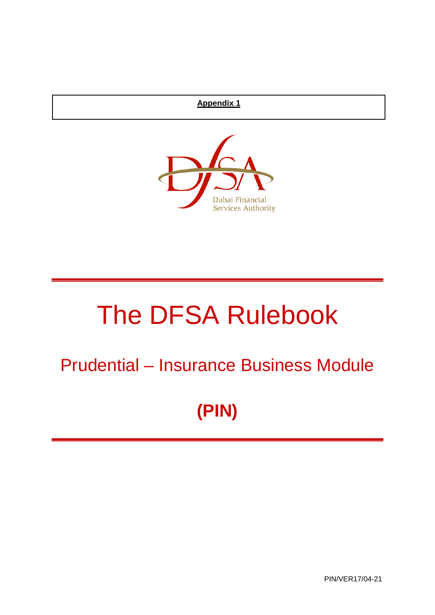## **Appendix 1**



# The DFSA Rulebook

## Prudential – Insurance Business Module

## **(PIN)**

PIN/VER17/04-21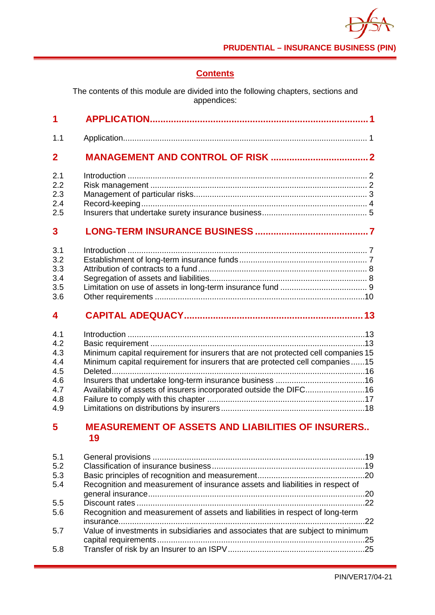## **Contents**

The contents of this module are divided into the following chapters, sections and appendices:

| 1                |                                                                                   |
|------------------|-----------------------------------------------------------------------------------|
| 1.1              |                                                                                   |
| $\overline{2}$   |                                                                                   |
| 2.1              |                                                                                   |
| 2.2              |                                                                                   |
| 2.3              |                                                                                   |
| 2.4              |                                                                                   |
| 2.5              |                                                                                   |
| 3                |                                                                                   |
| 3.1              |                                                                                   |
| 3.2              |                                                                                   |
| 3.3              |                                                                                   |
| 3.4              |                                                                                   |
| 3.5              |                                                                                   |
| 3.6              |                                                                                   |
| $\boldsymbol{4}$ |                                                                                   |
| 4.1              |                                                                                   |
| 4.2              |                                                                                   |
| 4.3              | Minimum capital requirement for insurers that are not protected cell companies 15 |
| 4.4              | Minimum capital requirement for insurers that are protected cell companies15      |
| 4.5              |                                                                                   |
| 4.6              |                                                                                   |
| 4.7              | Availability of assets of insurers incorporated outside the DIFC16                |
| 4.8              |                                                                                   |
| 4.9              |                                                                                   |
| 5                | <b>MEASUREMENT OF ASSETS AND LIABILITIES OF INSURERS</b><br>19                    |
| 5.1              |                                                                                   |
| 5.2              |                                                                                   |
| 5.3              |                                                                                   |
| 5.4              | Recognition and measurement of insurance assets and liabilities in respect of     |
|                  |                                                                                   |
| 5.5              |                                                                                   |
| 5.6              | Recognition and measurement of assets and liabilities in respect of long-term     |
| 5.7              | Value of investments in subsidiaries and associates that are subject to minimum   |
|                  |                                                                                   |

| 5.7 | Value of investments in subsidiaries and associates that are subject to minimum |  |
|-----|---------------------------------------------------------------------------------|--|
|     |                                                                                 |  |
| 5.8 |                                                                                 |  |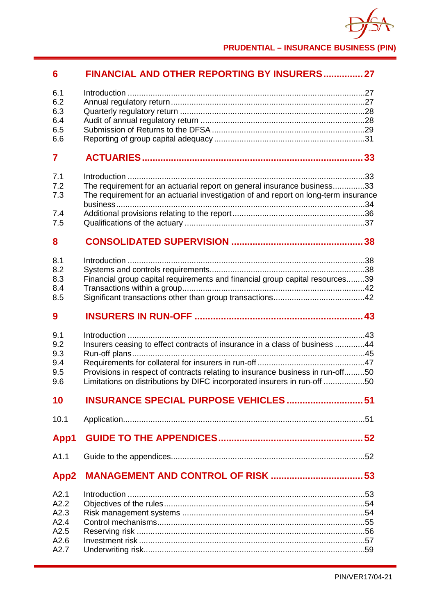

**PRUDENTIAL – INSURANCE BUSINESS (PIN)**

## **6 [FINANCIAL AND OTHER REPORTING BY INSURERS...............27](#page-32-0)**

| 6.1<br>6.2<br>6.3<br>6.4<br>6.5<br>6.6               |                                                                                                                                                                                                                                           |
|------------------------------------------------------|-------------------------------------------------------------------------------------------------------------------------------------------------------------------------------------------------------------------------------------------|
| 7                                                    |                                                                                                                                                                                                                                           |
| 7.1<br>7.2<br>7.3                                    | The requirement for an actuarial report on general insurance business33<br>The requirement for an actuarial investigation of and report on long-term insurance                                                                            |
| 7.4<br>7.5                                           |                                                                                                                                                                                                                                           |
| 8                                                    |                                                                                                                                                                                                                                           |
| 8.1<br>8.2<br>8.3<br>8.4<br>8.5                      | Financial group capital requirements and financial group capital resources39                                                                                                                                                              |
| 9                                                    |                                                                                                                                                                                                                                           |
| 9.1<br>9.2<br>9.3<br>9.4<br>9.5<br>9.6               | Insurers ceasing to effect contracts of insurance in a class of business 44<br>Provisions in respect of contracts relating to insurance business in run-off50<br>Limitations on distributions by DIFC incorporated insurers in run-off 50 |
| 10                                                   | <b>INSURANCE SPECIAL PURPOSE VEHICLES  51</b>                                                                                                                                                                                             |
| 10.1                                                 |                                                                                                                                                                                                                                           |
| App1                                                 |                                                                                                                                                                                                                                           |
| A1.1                                                 |                                                                                                                                                                                                                                           |
| App2                                                 |                                                                                                                                                                                                                                           |
| A2.1<br>A2.2<br>A2.3<br>A2.4<br>A2.5<br>A2.6<br>A2.7 |                                                                                                                                                                                                                                           |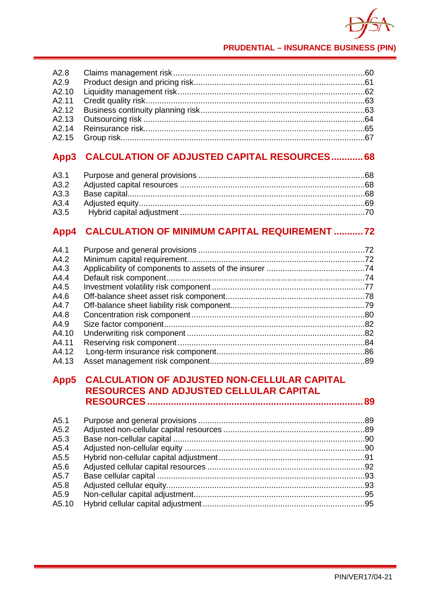

**PRUDENTIAL – INSURANCE BUSINESS (PIN)**

## **App3 [CALCULATION OF ADJUSTED CAPITAL RESOURCES............68](#page-73-0)**

## **App4 [CALCULATION OF MINIMUM CAPITAL REQUIREMENT](#page-77-0) ...........72**

## **App5 [CALCULATION OF ADJUSTED NON-CELLULAR CAPITAL](#page-94-1)  [RESOURCES AND ADJUSTED CELLULAR CAPITAL](#page-94-1)  RESOURCES [..................................................................................89](#page-94-1)**

| A5.1  |  |
|-------|--|
| A5.2  |  |
| A5.3  |  |
| A5.4  |  |
| A5.5  |  |
| A5.6  |  |
| A5.7  |  |
| A5.8  |  |
| A5.9  |  |
| A5.10 |  |
|       |  |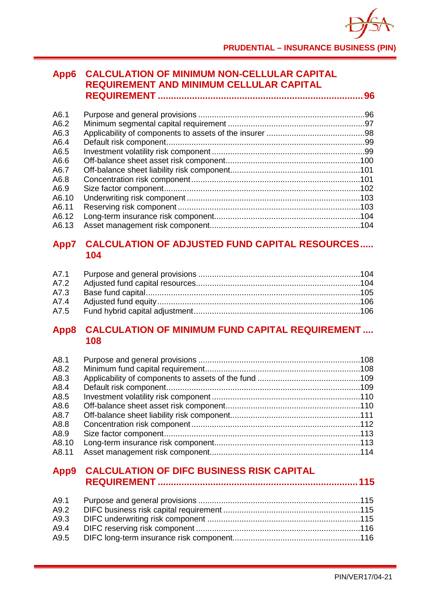### **App6 [CALCULATION OF MINIMUM NON-CELLULAR CAPITAL](#page-101-0)  [REQUIREMENT AND MINIMUM CELLULAR CAPITAL](#page-101-0)  REQUIREMENT [..............................................................................96](#page-101-0)**

| A6.1  |  |
|-------|--|
| A6.2  |  |
| A6.3  |  |
| A6.4  |  |
| A6.5  |  |
| A6.6  |  |
| A6.7  |  |
| A6.8  |  |
| A6.9  |  |
| A6.10 |  |
| A6.11 |  |
| A6.12 |  |
| A6.13 |  |
|       |  |

## **App7 [CALCULATION OF ADJUSTED FUND CAPITAL RESOURCES.....](#page-109-2)  104**

| A7.3 |  |
|------|--|
|      |  |
|      |  |

## **App8 [CALCULATION OF MINIMUM FUND CAPITAL REQUIREMENT](#page-113-0) .... 108**

| A8.1  |  |
|-------|--|
| A8.2  |  |
| A8.3  |  |
| A8.4  |  |
| A8.5  |  |
| A8.6  |  |
| A8.7  |  |
| A8.8  |  |
| A8.9  |  |
| A8.10 |  |
| A8.11 |  |

## **App9 [CALCULATION OF DIFC BUSINESS RISK CAPITAL](#page-120-0)  REQUIREMENT [............................................................................115](#page-120-0)**

| A9.2 |  |
|------|--|
| A9.3 |  |
| A9.4 |  |
| A9.5 |  |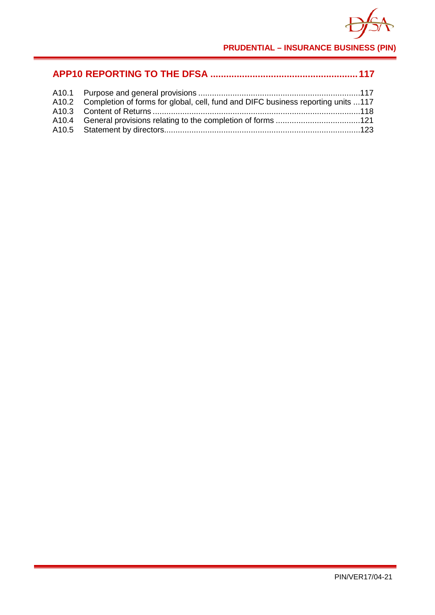

**PRUDENTIAL – INSURANCE BUSINESS (PIN)**

| A10.2 Completion of forms for global, cell, fund and DIFC business reporting units 117 |  |
|----------------------------------------------------------------------------------------|--|
|                                                                                        |  |
|                                                                                        |  |
|                                                                                        |  |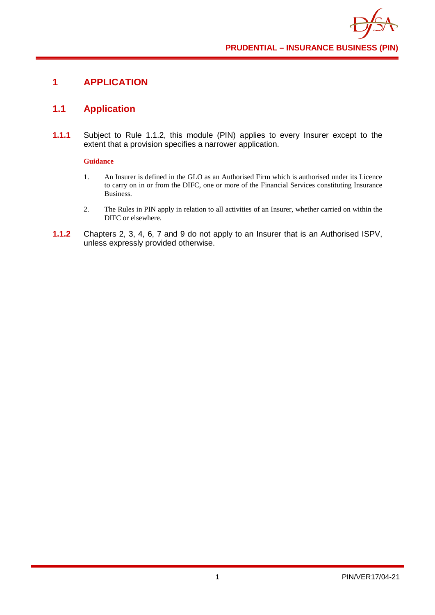## <span id="page-6-0"></span>**1 APPLICATION**

## <span id="page-6-1"></span>**1.1 Application**

**1.1.1** Subject to Rule 1.1.2, this module (PIN) applies to every Insurer except to the extent that a provision specifies a narrower application.

#### **Guidance**

- 1. An Insurer is defined in the GLO as an Authorised Firm which is authorised under its Licence to carry on in or from the DIFC, one or more of the Financial Services constituting Insurance Business.
- 2. The Rules in PIN apply in relation to all activities of an Insurer, whether carried on within the DIFC or elsewhere.
- **1.1.2** Chapters 2, 3, 4, 6, 7 and 9 do not apply to an Insurer that is an Authorised ISPV, unless expressly provided otherwise.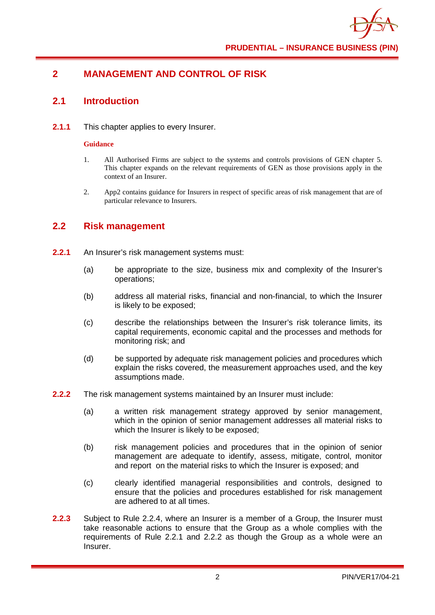## <span id="page-7-0"></span>**2 MANAGEMENT AND CONTROL OF RISK**

#### <span id="page-7-1"></span>**2.1 Introduction**

**2.1.1** This chapter applies to every Insurer.

#### **Guidance**

- 1. All Authorised Firms are subject to the systems and controls provisions of GEN chapter 5. This chapter expands on the relevant requirements of GEN as those provisions apply in the context of an Insurer.
- 2. App2 contains guidance for Insurers in respect of specific areas of risk management that are of particular relevance to Insurers.

## <span id="page-7-2"></span>**2.2 Risk management**

- **2.2.1** An Insurer's risk management systems must:
	- (a) be appropriate to the size, business mix and complexity of the Insurer's operations;
	- (b) address all material risks, financial and non-financial, to which the Insurer is likely to be exposed;
	- (c) describe the relationships between the Insurer's risk tolerance limits, its capital requirements, economic capital and the processes and methods for monitoring risk; and
	- (d) be supported by adequate risk management policies and procedures which explain the risks covered, the measurement approaches used, and the key assumptions made.
- **2.2.2** The risk management systems maintained by an Insurer must include:
	- (a) a written risk management strategy approved by senior management, which in the opinion of senior management addresses all material risks to which the Insurer is likely to be exposed;
	- (b) risk management policies and procedures that in the opinion of senior management are adequate to identify, assess, mitigate, control, monitor and report on the material risks to which the Insurer is exposed; and
	- (c) clearly identified managerial responsibilities and controls, designed to ensure that the policies and procedures established for risk management are adhered to at all times.
- **2.2.3** Subject to Rule 2.2.4, where an Insurer is a member of a Group, the Insurer must take reasonable actions to ensure that the Group as a whole complies with the requirements of Rule 2.2.1 and 2.2.2 as though the Group as a whole were an Insurer.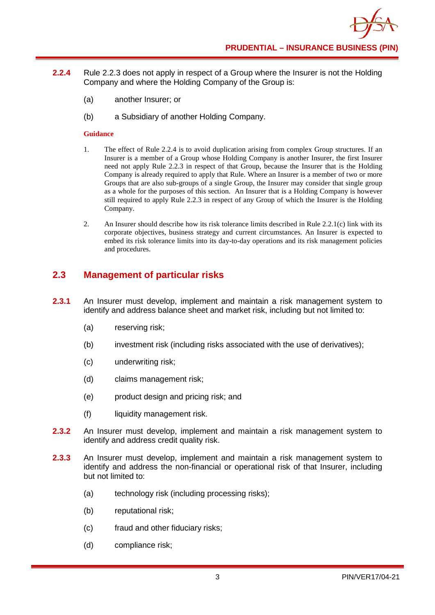- **2.2.4** Rule 2.2.3 does not apply in respect of a Group where the Insurer is not the Holding Company and where the Holding Company of the Group is:
	- (a) another Insurer; or
	- (b) a Subsidiary of another Holding Company.

- 1. The effect of Rule 2.2.4 is to avoid duplication arising from complex Group structures. If an Insurer is a member of a Group whose Holding Company is another Insurer, the first Insurer need not apply Rule 2.2.3 in respect of that Group, because the Insurer that is the Holding Company is already required to apply that Rule. Where an Insurer is a member of two or more Groups that are also sub-groups of a single Group, the Insurer may consider that single group as a whole for the purposes of this section. An Insurer that is a Holding Company is however still required to apply Rule 2.2.3 in respect of any Group of which the Insurer is the Holding Company.
- 2. An Insurer should describe how its risk tolerance limits described in Rule 2.2.1(c) link with its corporate objectives, business strategy and current circumstances. An Insurer is expected to embed its risk tolerance limits into its day-to-day operations and its risk management policies and procedures.

## <span id="page-8-0"></span>**2.3 Management of particular risks**

- **2.3.1** An Insurer must develop, implement and maintain a risk management system to identify and address balance sheet and market risk, including but not limited to:
	- (a) reserving risk;
	- (b) investment risk (including risks associated with the use of derivatives);
	- (c) underwriting risk;
	- (d) claims management risk;
	- (e) product design and pricing risk; and
	- (f) liquidity management risk.
- **2.3.2** An Insurer must develop, implement and maintain a risk management system to identify and address credit quality risk.
- **2.3.3** An Insurer must develop, implement and maintain a risk management system to identify and address the non-financial or operational risk of that Insurer, including but not limited to:
	- (a) technology risk (including processing risks);
	- (b) reputational risk;
	- (c) fraud and other fiduciary risks;
	- (d) compliance risk;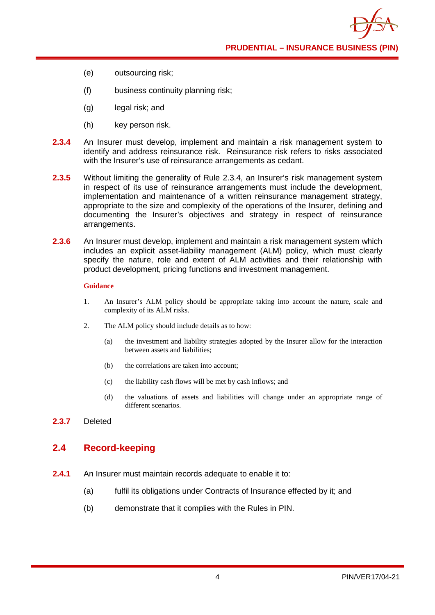**PRUDENTIAL – INSURANCE BUSINESS (PIN)**

- (e) outsourcing risk;
- (f) business continuity planning risk;
- (g) legal risk; and
- (h) key person risk.
- **2.3.4** An Insurer must develop, implement and maintain a risk management system to identify and address reinsurance risk. Reinsurance risk refers to risks associated with the Insurer's use of reinsurance arrangements as cedant.
- **2.3.5** Without limiting the generality of Rule 2.3.4, an Insurer's risk management system in respect of its use of reinsurance arrangements must include the development, implementation and maintenance of a written reinsurance management strategy, appropriate to the size and complexity of the operations of the Insurer, defining and documenting the Insurer's objectives and strategy in respect of reinsurance arrangements.
- **2.3.6** An Insurer must develop, implement and maintain a risk management system which includes an explicit asset-liability management (ALM) policy, which must clearly specify the nature, role and extent of ALM activities and their relationship with product development, pricing functions and investment management.

#### **Guidance**

- 1. An Insurer's ALM policy should be appropriate taking into account the nature, scale and complexity of its ALM risks.
- 2. The ALM policy should include details as to how:
	- (a) the investment and liability strategies adopted by the Insurer allow for the interaction between assets and liabilities;
	- (b) the correlations are taken into account;
	- (c) the liability cash flows will be met by cash inflows; and
	- (d) the valuations of assets and liabilities will change under an appropriate range of different scenarios.
- **2.3.7** Deleted

#### <span id="page-9-0"></span>**2.4 Record-keeping**

- **2.4.1** An Insurer must maintain records adequate to enable it to:
	- (a) fulfil its obligations under Contracts of Insurance effected by it; and
	- (b) demonstrate that it complies with the Rules in PIN.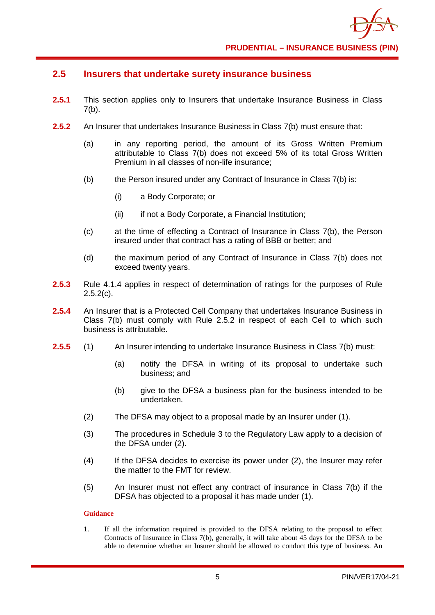## <span id="page-10-0"></span>**2.5 Insurers that undertake surety insurance business**

- **2.5.1** This section applies only to Insurers that undertake Insurance Business in Class  $7(b)$ .
- **2.5.2** An Insurer that undertakes Insurance Business in Class 7(b) must ensure that:
	- (a) in any reporting period, the amount of its Gross Written Premium attributable to Class 7(b) does not exceed 5% of its total Gross Written Premium in all classes of non-life insurance;
	- (b) the Person insured under any Contract of Insurance in Class 7(b) is:
		- (i) a Body Corporate; or
		- (ii) if not a Body Corporate, a Financial Institution;
	- (c) at the time of effecting a Contract of Insurance in Class 7(b), the Person insured under that contract has a rating of BBB or better; and
	- (d) the maximum period of any Contract of Insurance in Class 7(b) does not exceed twenty years.
- **2.5.3** Rule 4.1.4 applies in respect of determination of ratings for the purposes of Rule  $2.5.2(c)$ .
- **2.5.4** An Insurer that is a Protected Cell Company that undertakes Insurance Business in Class 7(b) must comply with Rule 2.5.2 in respect of each Cell to which such business is attributable.
- **2.5.5** (1) An Insurer intending to undertake Insurance Business in Class 7(b) must:
	- (a) notify the DFSA in writing of its proposal to undertake such business; and
	- (b) give to the DFSA a business plan for the business intended to be undertaken.
	- (2) The DFSA may object to a proposal made by an Insurer under (1).
	- (3) The procedures in Schedule 3 to the Regulatory Law apply to a decision of the DFSA under (2).
	- (4) If the DFSA decides to exercise its power under (2), the Insurer may refer the matter to the FMT for review.
	- (5) An Insurer must not effect any contract of insurance in Class 7(b) if the DFSA has objected to a proposal it has made under (1).

#### **Guidance**

1. If all the information required is provided to the DFSA relating to the proposal to effect Contracts of Insurance in Class 7(b), generally, it will take about 45 days for the DFSA to be able to determine whether an Insurer should be allowed to conduct this type of business. An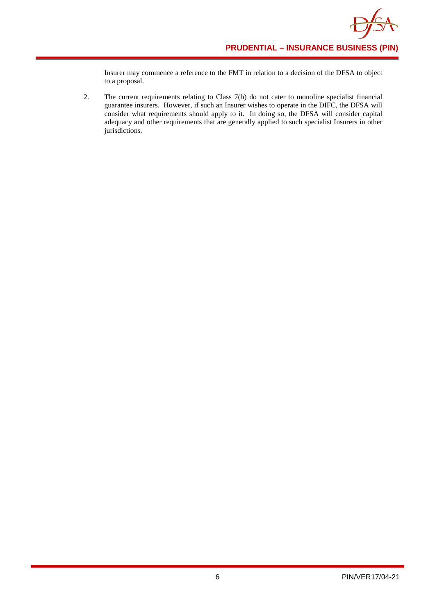Insurer may commence a reference to the FMT in relation to a decision of the DFSA to object to a proposal.

2. The current requirements relating to Class 7(b) do not cater to monoline specialist financial guarantee insurers. However, if such an Insurer wishes to operate in the DIFC, the DFSA will consider what requirements should apply to it. In doing so, the DFSA will consider capital adequacy and other requirements that are generally applied to such specialist Insurers in other jurisdictions.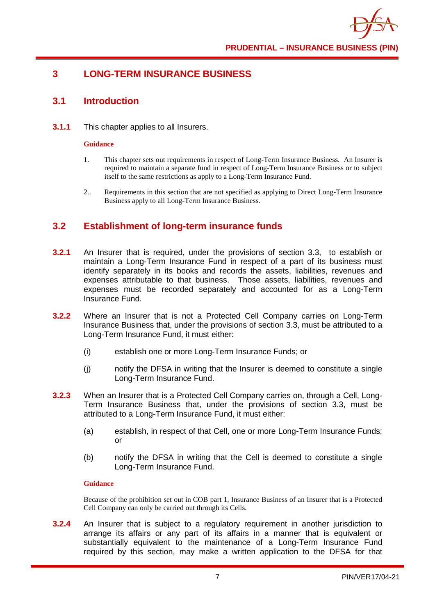## <span id="page-12-0"></span>**3 LONG-TERM INSURANCE BUSINESS**

## <span id="page-12-1"></span>**3.1 Introduction**

**3.1.1** This chapter applies to all Insurers.

#### **Guidance**

- 1. This chapter sets out requirements in respect of Long-Term Insurance Business. An Insurer is required to maintain a separate fund in respect of Long-Term Insurance Business or to subject itself to the same restrictions as apply to a Long-Term Insurance Fund.
- 2.. Requirements in this section that are not specified as applying to Direct Long-Term Insurance Business apply to all Long-Term Insurance Business.

## <span id="page-12-2"></span>**3.2 Establishment of long-term insurance funds**

- **3.2.1** An Insurer that is required, under the provisions of section 3.3, to establish or maintain a Long-Term Insurance Fund in respect of a part of its business must identify separately in its books and records the assets, liabilities, revenues and expenses attributable to that business. Those assets, liabilities, revenues and expenses must be recorded separately and accounted for as a Long-Term Insurance Fund.
- **3.2.2** Where an Insurer that is not a Protected Cell Company carries on Long-Term Insurance Business that, under the provisions of section 3.3, must be attributed to a Long-Term Insurance Fund, it must either:
	- (i) establish one or more Long-Term Insurance Funds; or
	- (j) notify the DFSA in writing that the Insurer is deemed to constitute a single Long-Term Insurance Fund.
- **3.2.3** When an Insurer that is a Protected Cell Company carries on, through a Cell, Long-Term Insurance Business that, under the provisions of section 3.3, must be attributed to a Long-Term Insurance Fund, it must either:
	- (a) establish, in respect of that Cell, one or more Long-Term Insurance Funds; or
	- (b) notify the DFSA in writing that the Cell is deemed to constitute a single Long-Term Insurance Fund.

#### **Guidance**

Because of the prohibition set out in COB part 1, Insurance Business of an Insurer that is a Protected Cell Company can only be carried out through its Cells.

**3.2.4** An Insurer that is subject to a regulatory requirement in another jurisdiction to arrange its affairs or any part of its affairs in a manner that is equivalent or substantially equivalent to the maintenance of a Long-Term Insurance Fund required by this section, may make a written application to the DFSA for that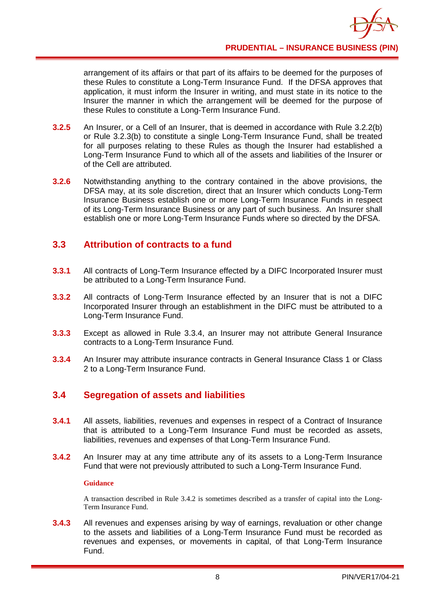arrangement of its affairs or that part of its affairs to be deemed for the purposes of these Rules to constitute a Long-Term Insurance Fund. If the DFSA approves that application, it must inform the Insurer in writing, and must state in its notice to the Insurer the manner in which the arrangement will be deemed for the purpose of these Rules to constitute a Long-Term Insurance Fund.

- **3.2.5** An Insurer, or a Cell of an Insurer, that is deemed in accordance with Rule 3.2.2(b) or Rule 3.2.3(b) to constitute a single Long-Term Insurance Fund, shall be treated for all purposes relating to these Rules as though the Insurer had established a Long-Term Insurance Fund to which all of the assets and liabilities of the Insurer or of the Cell are attributed.
- **3.2.6** Notwithstanding anything to the contrary contained in the above provisions, the DFSA may, at its sole discretion, direct that an Insurer which conducts Long-Term Insurance Business establish one or more Long-Term Insurance Funds in respect of its Long-Term Insurance Business or any part of such business. An Insurer shall establish one or more Long-Term Insurance Funds where so directed by the DFSA.

## <span id="page-13-0"></span>**3.3 Attribution of contracts to a fund**

- **3.3.1** All contracts of Long-Term Insurance effected by a DIFC Incorporated Insurer must be attributed to a Long-Term Insurance Fund.
- **3.3.2** All contracts of Long-Term Insurance effected by an Insurer that is not a DIFC Incorporated Insurer through an establishment in the DIFC must be attributed to a Long-Term Insurance Fund.
- **3.3.3** Except as allowed in Rule 3.3.4, an Insurer may not attribute General Insurance contracts to a Long-Term Insurance Fund.
- **3.3.4** An Insurer may attribute insurance contracts in General Insurance Class 1 or Class 2 to a Long-Term Insurance Fund.

## <span id="page-13-1"></span>**3.4 Segregation of assets and liabilities**

- **3.4.1** All assets, liabilities, revenues and expenses in respect of a Contract of Insurance that is attributed to a Long-Term Insurance Fund must be recorded as assets, liabilities, revenues and expenses of that Long-Term Insurance Fund.
- **3.4.2** An Insurer may at any time attribute any of its assets to a Long-Term Insurance Fund that were not previously attributed to such a Long-Term Insurance Fund.

#### **Guidance**

A transaction described in Rule 3.4.2 is sometimes described as a transfer of capital into the Long-Term Insurance Fund.

**3.4.3** All revenues and expenses arising by way of earnings, revaluation or other change to the assets and liabilities of a Long-Term Insurance Fund must be recorded as revenues and expenses, or movements in capital, of that Long-Term Insurance Fund.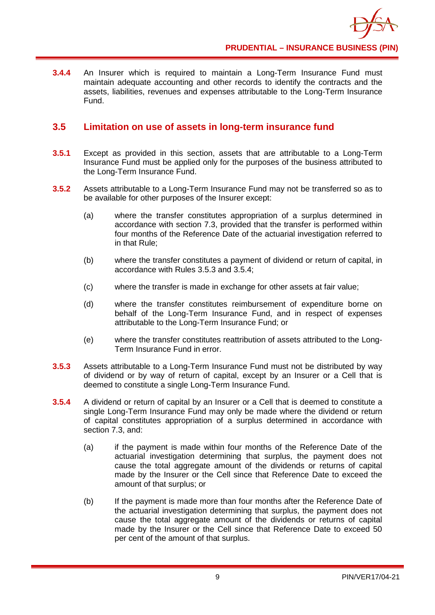**3.4.4** An Insurer which is required to maintain a Long-Term Insurance Fund must maintain adequate accounting and other records to identify the contracts and the assets, liabilities, revenues and expenses attributable to the Long-Term Insurance Fund.

## <span id="page-14-0"></span>**3.5 Limitation on use of assets in long-term insurance fund**

- **3.5.1** Except as provided in this section, assets that are attributable to a Long-Term Insurance Fund must be applied only for the purposes of the business attributed to the Long-Term Insurance Fund.
- **3.5.2** Assets attributable to a Long-Term Insurance Fund may not be transferred so as to be available for other purposes of the Insurer except:
	- (a) where the transfer constitutes appropriation of a surplus determined in accordance with section 7.3, provided that the transfer is performed within four months of the Reference Date of the actuarial investigation referred to in that Rule;
	- (b) where the transfer constitutes a payment of dividend or return of capital, in accordance with Rules 3.5.3 and 3.5.4;
	- (c) where the transfer is made in exchange for other assets at fair value;
	- (d) where the transfer constitutes reimbursement of expenditure borne on behalf of the Long-Term Insurance Fund, and in respect of expenses attributable to the Long-Term Insurance Fund; or
	- (e) where the transfer constitutes reattribution of assets attributed to the Long-Term Insurance Fund in error.
- **3.5.3** Assets attributable to a Long-Term Insurance Fund must not be distributed by way of dividend or by way of return of capital, except by an Insurer or a Cell that is deemed to constitute a single Long-Term Insurance Fund.
- **3.5.4** A dividend or return of capital by an Insurer or a Cell that is deemed to constitute a single Long-Term Insurance Fund may only be made where the dividend or return of capital constitutes appropriation of a surplus determined in accordance with section 7.3, and:
	- (a) if the payment is made within four months of the Reference Date of the actuarial investigation determining that surplus, the payment does not cause the total aggregate amount of the dividends or returns of capital made by the Insurer or the Cell since that Reference Date to exceed the amount of that surplus; or
	- (b) If the payment is made more than four months after the Reference Date of the actuarial investigation determining that surplus, the payment does not cause the total aggregate amount of the dividends or returns of capital made by the Insurer or the Cell since that Reference Date to exceed 50 per cent of the amount of that surplus.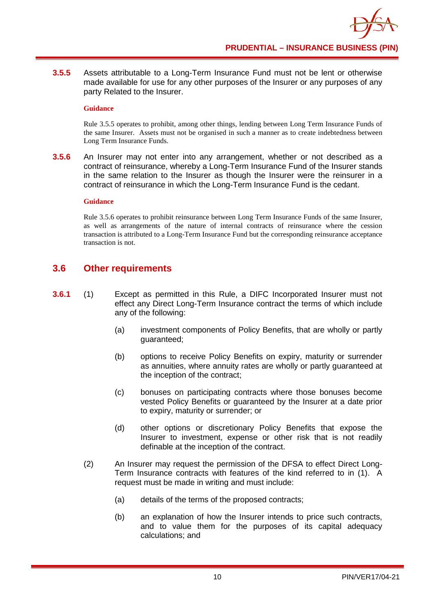**3.5.5** Assets attributable to a Long-Term Insurance Fund must not be lent or otherwise made available for use for any other purposes of the Insurer or any purposes of any party Related to the Insurer.

#### **Guidance**

Rule 3.5.5 operates to prohibit, among other things, lending between Long Term Insurance Funds of the same Insurer. Assets must not be organised in such a manner as to create indebtedness between Long Term Insurance Funds.

**3.5.6** An Insurer may not enter into any arrangement, whether or not described as a contract of reinsurance, whereby a Long-Term Insurance Fund of the Insurer stands in the same relation to the Insurer as though the Insurer were the reinsurer in a contract of reinsurance in which the Long-Term Insurance Fund is the cedant.

#### **Guidance**

Rule 3.5.6 operates to prohibit reinsurance between Long Term Insurance Funds of the same Insurer, as well as arrangements of the nature of internal contracts of reinsurance where the cession transaction is attributed to a Long-Term Insurance Fund but the corresponding reinsurance acceptance transaction is not.

## <span id="page-15-0"></span>**3.6 Other requirements**

- **3.6.1** (1) Except as permitted in this Rule, a DIFC Incorporated Insurer must not effect any Direct Long-Term Insurance contract the terms of which include any of the following:
	- (a) investment components of Policy Benefits, that are wholly or partly guaranteed;
	- (b) options to receive Policy Benefits on expiry, maturity or surrender as annuities, where annuity rates are wholly or partly guaranteed at the inception of the contract;
	- (c) bonuses on participating contracts where those bonuses become vested Policy Benefits or guaranteed by the Insurer at a date prior to expiry, maturity or surrender; or
	- (d) other options or discretionary Policy Benefits that expose the Insurer to investment, expense or other risk that is not readily definable at the inception of the contract.
	- (2) An Insurer may request the permission of the DFSA to effect Direct Long-Term Insurance contracts with features of the kind referred to in (1). A request must be made in writing and must include:
		- (a) details of the terms of the proposed contracts;
		- (b) an explanation of how the Insurer intends to price such contracts, and to value them for the purposes of its capital adequacy calculations; and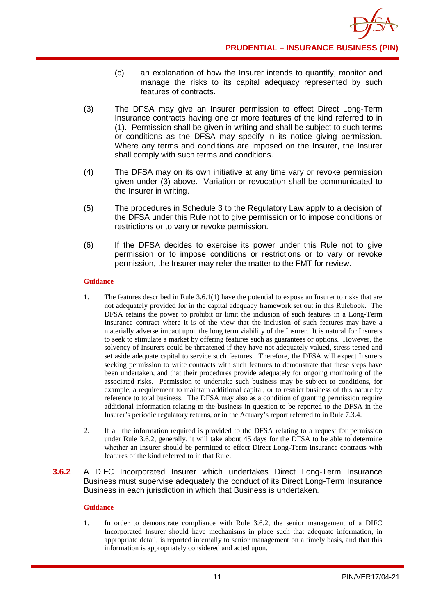- (c) an explanation of how the Insurer intends to quantify, monitor and manage the risks to its capital adequacy represented by such features of contracts.
- (3) The DFSA may give an Insurer permission to effect Direct Long-Term Insurance contracts having one or more features of the kind referred to in (1). Permission shall be given in writing and shall be subject to such terms or conditions as the DFSA may specify in its notice giving permission. Where any terms and conditions are imposed on the Insurer, the Insurer shall comply with such terms and conditions.
- (4) The DFSA may on its own initiative at any time vary or revoke permission given under (3) above. Variation or revocation shall be communicated to the Insurer in writing.
- (5) The procedures in Schedule 3 to the Regulatory Law apply to a decision of the DFSA under this Rule not to give permission or to impose conditions or restrictions or to vary or revoke permission.
- (6) If the DFSA decides to exercise its power under this Rule not to give permission or to impose conditions or restrictions or to vary or revoke permission, the Insurer may refer the matter to the FMT for review.

- 1. The features described in Rule 3.6.1(1) have the potential to expose an Insurer to risks that are not adequately provided for in the capital adequacy framework set out in this Rulebook. The DFSA retains the power to prohibit or limit the inclusion of such features in a Long-Term Insurance contract where it is of the view that the inclusion of such features may have a materially adverse impact upon the long term viability of the Insurer. It is natural for Insurers to seek to stimulate a market by offering features such as guarantees or options. However, the solvency of Insurers could be threatened if they have not adequately valued, stress-tested and set aside adequate capital to service such features. Therefore, the DFSA will expect Insurers seeking permission to write contracts with such features to demonstrate that these steps have been undertaken, and that their procedures provide adequately for ongoing monitoring of the associated risks. Permission to undertake such business may be subject to conditions, for example, a requirement to maintain additional capital, or to restrict business of this nature by reference to total business. The DFSA may also as a condition of granting permission require additional information relating to the business in question to be reported to the DFSA in the Insurer's periodic regulatory returns, or in the Actuary's report referred to in Rule 7.3.4.
- 2. If all the information required is provided to the DFSA relating to a request for permission under Rule 3.6.2, generally, it will take about 45 days for the DFSA to be able to determine whether an Insurer should be permitted to effect Direct Long-Term Insurance contracts with features of the kind referred to in that Rule.
- **3.6.2** A DIFC Incorporated Insurer which undertakes Direct Long-Term Insurance Business must supervise adequately the conduct of its Direct Long-Term Insurance Business in each jurisdiction in which that Business is undertaken.

#### **Guidance**

1. In order to demonstrate compliance with Rule 3.6.2, the senior management of a DIFC Incorporated Insurer should have mechanisms in place such that adequate information, in appropriate detail, is reported internally to senior management on a timely basis, and that this information is appropriately considered and acted upon.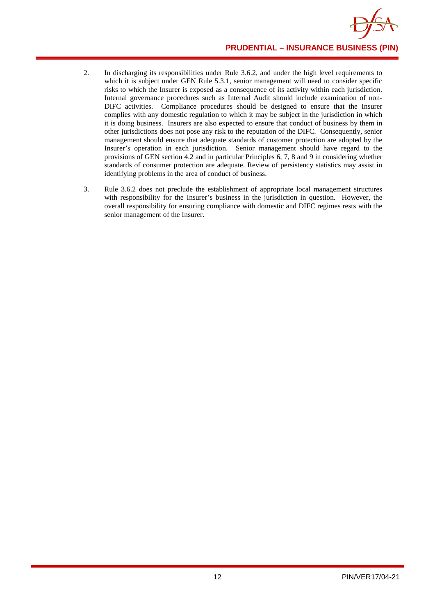

- 2. In discharging its responsibilities under Rule 3.6.2, and under the high level requirements to which it is subject under GEN Rule 5.3.1, senior management will need to consider specific risks to which the Insurer is exposed as a consequence of its activity within each jurisdiction. Internal governance procedures such as Internal Audit should include examination of non-DIFC activities. Compliance procedures should be designed to ensure that the Insurer complies with any domestic regulation to which it may be subject in the jurisdiction in which it is doing business. Insurers are also expected to ensure that conduct of business by them in other jurisdictions does not pose any risk to the reputation of the DIFC. Consequently, senior management should ensure that adequate standards of customer protection are adopted by the Insurer's operation in each jurisdiction. Senior management should have regard to the provisions of GEN section 4.2 and in particular Principles 6, 7, 8 and 9 in considering whether standards of consumer protection are adequate. Review of persistency statistics may assist in identifying problems in the area of conduct of business.
- 3. Rule 3.6.2 does not preclude the establishment of appropriate local management structures with responsibility for the Insurer's business in the jurisdiction in question. However, the overall responsibility for ensuring compliance with domestic and DIFC regimes rests with the senior management of the Insurer.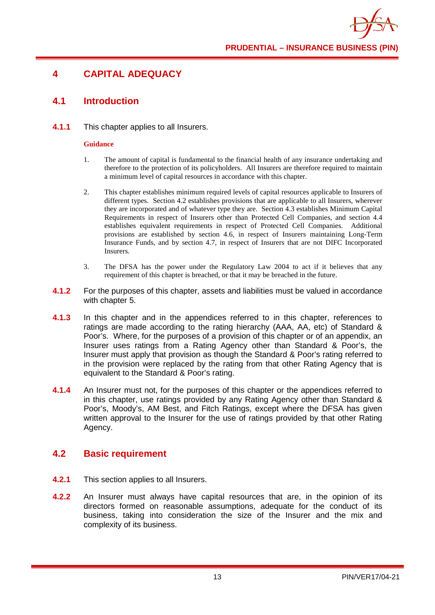## <span id="page-18-0"></span>**4 CAPITAL ADEQUACY**

## <span id="page-18-1"></span>**4.1 Introduction**

#### **4.1.1** This chapter applies to all Insurers.

#### **Guidance**

- 1. The amount of capital is fundamental to the financial health of any insurance undertaking and therefore to the protection of its policyholders. All Insurers are therefore required to maintain a minimum level of capital resources in accordance with this chapter.
- 2. This chapter establishes minimum required levels of capital resources applicable to Insurers of different types. Section 4.2 establishes provisions that are applicable to all Insurers, wherever they are incorporated and of whatever type they are. Section 4.3 establishes Minimum Capital Requirements in respect of Insurers other than Protected Cell Companies, and section 4.4 establishes equivalent requirements in respect of Protected Cell Companies. Additional provisions are established by section 4.6, in respect of Insurers maintaining Long-Term Insurance Funds, and by section 4.7, in respect of Insurers that are not DIFC Incorporated Insurers.
- 3. The DFSA has the power under the Regulatory Law 2004 to act if it believes that any requirement of this chapter is breached, or that it may be breached in the future.
- **4.1.2** For the purposes of this chapter, assets and liabilities must be valued in accordance with chapter 5.
- **4.1.3** In this chapter and in the appendices referred to in this chapter, references to ratings are made according to the rating hierarchy (AAA, AA, etc) of Standard & Poor's. Where, for the purposes of a provision of this chapter or of an appendix, an Insurer uses ratings from a Rating Agency other than Standard & Poor's, the Insurer must apply that provision as though the Standard & Poor's rating referred to in the provision were replaced by the rating from that other Rating Agency that is equivalent to the Standard & Poor's rating.
- **4.1.4** An Insurer must not, for the purposes of this chapter or the appendices referred to in this chapter, use ratings provided by any Rating Agency other than Standard & Poor's, Moody's, AM Best, and Fitch Ratings, except where the DFSA has given written approval to the Insurer for the use of ratings provided by that other Rating Agency.

## <span id="page-18-2"></span>**4.2 Basic requirement**

- **4.2.1** This section applies to all Insurers.
- **4.2.2** An Insurer must always have capital resources that are, in the opinion of its directors formed on reasonable assumptions, adequate for the conduct of its business, taking into consideration the size of the Insurer and the mix and complexity of its business.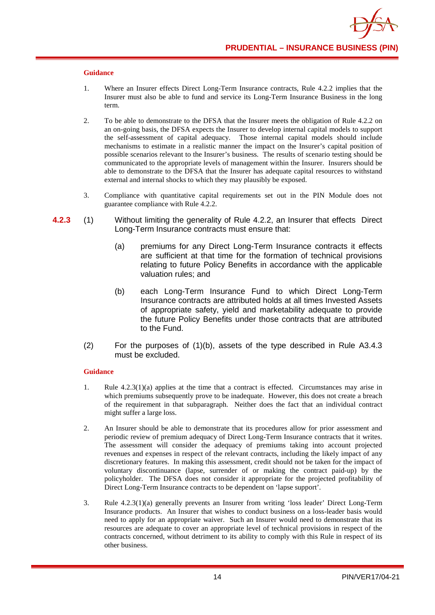- 1. Where an Insurer effects Direct Long-Term Insurance contracts, Rule 4.2.2 implies that the Insurer must also be able to fund and service its Long-Term Insurance Business in the long term.
- 2. To be able to demonstrate to the DFSA that the Insurer meets the obligation of Rule 4.2.2 on an on-going basis, the DFSA expects the Insurer to develop internal capital models to support the self-assessment of capital adequacy. Those internal capital models should include mechanisms to estimate in a realistic manner the impact on the Insurer's capital position of possible scenarios relevant to the Insurer's business. The results of scenario testing should be communicated to the appropriate levels of management within the Insurer. Insurers should be able to demonstrate to the DFSA that the Insurer has adequate capital resources to withstand external and internal shocks to which they may plausibly be exposed.
- 3. Compliance with quantitative capital requirements set out in the PIN Module does not guarantee compliance with Rule 4.2.2.
- **4.2.3** (1) Without limiting the generality of Rule 4.2.2, an Insurer that effects Direct Long-Term Insurance contracts must ensure that:
	- (a) premiums for any Direct Long-Term Insurance contracts it effects are sufficient at that time for the formation of technical provisions relating to future Policy Benefits in accordance with the applicable valuation rules; and
	- (b) each Long-Term Insurance Fund to which Direct Long-Term Insurance contracts are attributed holds at all times Invested Assets of appropriate safety, yield and marketability adequate to provide the future Policy Benefits under those contracts that are attributed to the Fund.
	- (2) For the purposes of (1)(b), assets of the type described in Rule A3.4.3 must be excluded.

#### **Guidance**

- 1. Rule 4.2.3(1)(a) applies at the time that a contract is effected. Circumstances may arise in which premiums subsequently prove to be inadequate. However, this does not create a breach of the requirement in that subparagraph. Neither does the fact that an individual contract might suffer a large loss.
- 2. An Insurer should be able to demonstrate that its procedures allow for prior assessment and periodic review of premium adequacy of Direct Long-Term Insurance contracts that it writes. The assessment will consider the adequacy of premiums taking into account projected revenues and expenses in respect of the relevant contracts, including the likely impact of any discretionary features. In making this assessment, credit should not be taken for the impact of voluntary discontinuance (lapse, surrender of or making the contract paid-up) by the policyholder. The DFSA does not consider it appropriate for the projected profitability of Direct Long-Term Insurance contracts to be dependent on 'lapse support'.
- 3. Rule 4.2.3(1)(a) generally prevents an Insurer from writing 'loss leader' Direct Long-Term Insurance products. An Insurer that wishes to conduct business on a loss-leader basis would need to apply for an appropriate waiver. Such an Insurer would need to demonstrate that its resources are adequate to cover an appropriate level of technical provisions in respect of the contracts concerned, without detriment to its ability to comply with this Rule in respect of its other business.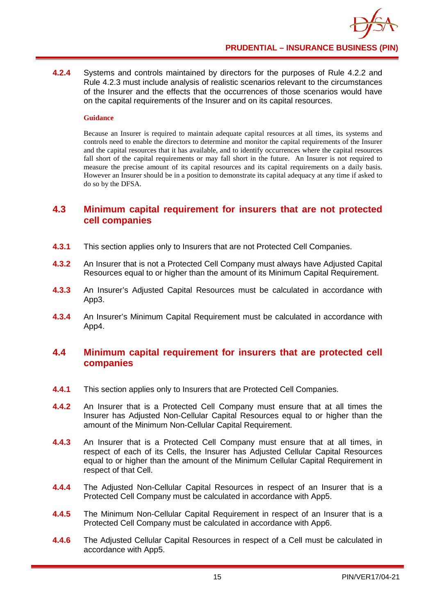**4.2.4** Systems and controls maintained by directors for the purposes of Rule 4.2.2 and Rule 4.2.3 must include analysis of realistic scenarios relevant to the circumstances of the Insurer and the effects that the occurrences of those scenarios would have on the capital requirements of the Insurer and on its capital resources.

#### **Guidance**

Because an Insurer is required to maintain adequate capital resources at all times, its systems and controls need to enable the directors to determine and monitor the capital requirements of the Insurer and the capital resources that it has available, and to identify occurrences where the capital resources fall short of the capital requirements or may fall short in the future. An Insurer is not required to measure the precise amount of its capital resources and its capital requirements on a daily basis. However an Insurer should be in a position to demonstrate its capital adequacy at any time if asked to do so by the DFSA.

### <span id="page-20-0"></span>**4.3 Minimum capital requirement for insurers that are not protected cell companies**

- **4.3.1** This section applies only to Insurers that are not Protected Cell Companies.
- **4.3.2** An Insurer that is not a Protected Cell Company must always have Adjusted Capital Resources equal to or higher than the amount of its Minimum Capital Requirement.
- **4.3.3** An Insurer's Adjusted Capital Resources must be calculated in accordance with App3.
- **4.3.4** An Insurer's Minimum Capital Requirement must be calculated in accordance with App4.

#### <span id="page-20-1"></span>**4.4 Minimum capital requirement for insurers that are protected cell companies**

- **4.4.1** This section applies only to Insurers that are Protected Cell Companies.
- **4.4.2** An Insurer that is a Protected Cell Company must ensure that at all times the Insurer has Adjusted Non-Cellular Capital Resources equal to or higher than the amount of the Minimum Non-Cellular Capital Requirement.
- **4.4.3** An Insurer that is a Protected Cell Company must ensure that at all times, in respect of each of its Cells, the Insurer has Adjusted Cellular Capital Resources equal to or higher than the amount of the Minimum Cellular Capital Requirement in respect of that Cell.
- **4.4.4** The Adjusted Non-Cellular Capital Resources in respect of an Insurer that is a Protected Cell Company must be calculated in accordance with App5.
- **4.4.5** The Minimum Non-Cellular Capital Requirement in respect of an Insurer that is a Protected Cell Company must be calculated in accordance with App6.
- **4.4.6** The Adjusted Cellular Capital Resources in respect of a Cell must be calculated in accordance with App5.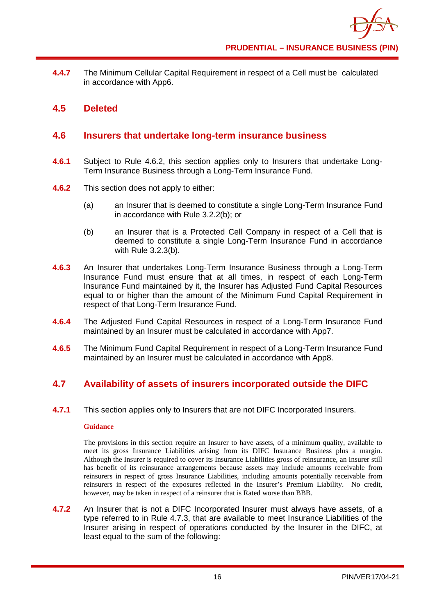**4.4.7** The Minimum Cellular Capital Requirement in respect of a Cell must be calculated in accordance with App6.

### <span id="page-21-0"></span>**4.5 Deleted**

### <span id="page-21-1"></span>**4.6 Insurers that undertake long-term insurance business**

- **4.6.1** Subject to Rule 4.6.2, this section applies only to Insurers that undertake Long-Term Insurance Business through a Long-Term Insurance Fund.
- **4.6.2** This section does not apply to either:
	- (a) an Insurer that is deemed to constitute a single Long-Term Insurance Fund in accordance with Rule 3.2.2(b); or
	- (b) an Insurer that is a Protected Cell Company in respect of a Cell that is deemed to constitute a single Long-Term Insurance Fund in accordance with Rule 3.2.3(b).
- **4.6.3** An Insurer that undertakes Long-Term Insurance Business through a Long-Term Insurance Fund must ensure that at all times, in respect of each Long-Term Insurance Fund maintained by it, the Insurer has Adjusted Fund Capital Resources equal to or higher than the amount of the Minimum Fund Capital Requirement in respect of that Long-Term Insurance Fund.
- **4.6.4** The Adjusted Fund Capital Resources in respect of a Long-Term Insurance Fund maintained by an Insurer must be calculated in accordance with App7.
- **4.6.5** The Minimum Fund Capital Requirement in respect of a Long-Term Insurance Fund maintained by an Insurer must be calculated in accordance with App8.

## <span id="page-21-2"></span>**4.7 Availability of assets of insurers incorporated outside the DIFC**

**4.7.1** This section applies only to Insurers that are not DIFC Incorporated Insurers.

#### **Guidance**

The provisions in this section require an Insurer to have assets, of a minimum quality, available to meet its gross Insurance Liabilities arising from its DIFC Insurance Business plus a margin. Although the Insurer is required to cover its Insurance Liabilities gross of reinsurance, an Insurer still has benefit of its reinsurance arrangements because assets may include amounts receivable from reinsurers in respect of gross Insurance Liabilities, including amounts potentially receivable from reinsurers in respect of the exposures reflected in the Insurer's Premium Liability. No credit, however, may be taken in respect of a reinsurer that is Rated worse than BBB.

**4.7.2** An Insurer that is not a DIFC Incorporated Insurer must always have assets, of a type referred to in Rule 4.7.3, that are available to meet Insurance Liabilities of the Insurer arising in respect of operations conducted by the Insurer in the DIFC, at least equal to the sum of the following: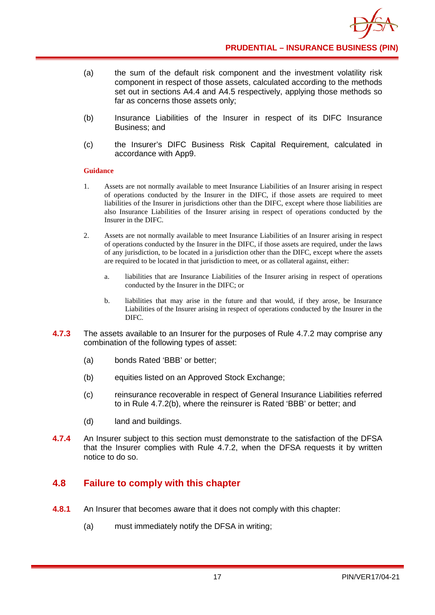- (a) the sum of the default risk component and the investment volatility risk component in respect of those assets, calculated according to the methods set out in sections A4.4 and A4.5 respectively, applying those methods so far as concerns those assets only;
- (b) Insurance Liabilities of the Insurer in respect of its DIFC Insurance Business; and
- (c) the Insurer's DIFC Business Risk Capital Requirement, calculated in accordance with App9.

- 1. Assets are not normally available to meet Insurance Liabilities of an Insurer arising in respect of operations conducted by the Insurer in the DIFC, if those assets are required to meet liabilities of the Insurer in jurisdictions other than the DIFC, except where those liabilities are also Insurance Liabilities of the Insurer arising in respect of operations conducted by the Insurer in the DIFC.
- 2. Assets are not normally available to meet Insurance Liabilities of an Insurer arising in respect of operations conducted by the Insurer in the DIFC, if those assets are required, under the laws of any jurisdiction, to be located in a jurisdiction other than the DIFC, except where the assets are required to be located in that jurisdiction to meet, or as collateral against, either:
	- a. liabilities that are Insurance Liabilities of the Insurer arising in respect of operations conducted by the Insurer in the DIFC; or
	- b. liabilities that may arise in the future and that would, if they arose, be Insurance Liabilities of the Insurer arising in respect of operations conducted by the Insurer in the DIFC.
- **4.7.3** The assets available to an Insurer for the purposes of Rule 4.7.2 may comprise any combination of the following types of asset:
	- (a) bonds Rated 'BBB' or better;
	- (b) equities listed on an Approved Stock Exchange;
	- (c) reinsurance recoverable in respect of General Insurance Liabilities referred to in Rule 4.7.2(b), where the reinsurer is Rated 'BBB' or better; and
	- (d) land and buildings.
- **4.7.4** An Insurer subject to this section must demonstrate to the satisfaction of the DFSA that the Insurer complies with Rule 4.7.2, when the DFSA requests it by written notice to do so.

## <span id="page-22-0"></span>**4.8 Failure to comply with this chapter**

- **4.8.1** An Insurer that becomes aware that it does not comply with this chapter:
	- (a) must immediately notify the DFSA in writing;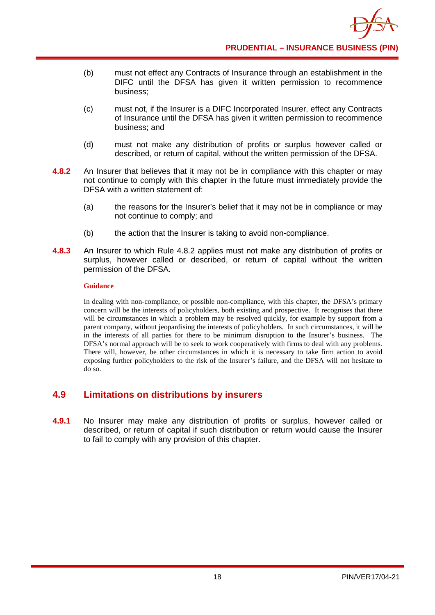

- (b) must not effect any Contracts of Insurance through an establishment in the DIFC until the DFSA has given it written permission to recommence business;
- (c) must not, if the Insurer is a DIFC Incorporated Insurer, effect any Contracts of Insurance until the DFSA has given it written permission to recommence business; and
- (d) must not make any distribution of profits or surplus however called or described, or return of capital, without the written permission of the DFSA.
- **4.8.2** An Insurer that believes that it may not be in compliance with this chapter or may not continue to comply with this chapter in the future must immediately provide the DFSA with a written statement of:
	- (a) the reasons for the Insurer's belief that it may not be in compliance or may not continue to comply; and
	- (b) the action that the Insurer is taking to avoid non-compliance.
- **4.8.3** An Insurer to which Rule 4.8.2 applies must not make any distribution of profits or surplus, however called or described, or return of capital without the written permission of the DFSA.

In dealing with non-compliance, or possible non-compliance, with this chapter, the DFSA's primary concern will be the interests of policyholders, both existing and prospective. It recognises that there will be circumstances in which a problem may be resolved quickly, for example by support from a parent company, without jeopardising the interests of policyholders. In such circumstances, it will be in the interests of all parties for there to be minimum disruption to the Insurer's business. The DFSA's normal approach will be to seek to work cooperatively with firms to deal with any problems. There will, however, be other circumstances in which it is necessary to take firm action to avoid exposing further policyholders to the risk of the Insurer's failure, and the DFSA will not hesitate to do so.

#### <span id="page-23-0"></span>**4.9 Limitations on distributions by insurers**

**4.9.1** No Insurer may make any distribution of profits or surplus, however called or described, or return of capital if such distribution or return would cause the Insurer to fail to comply with any provision of this chapter.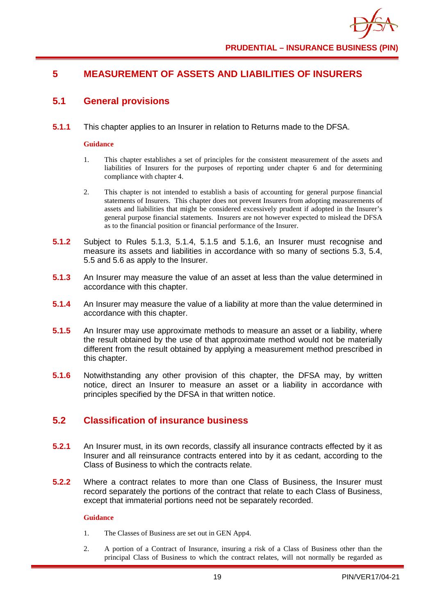## <span id="page-24-0"></span>**5 MEASUREMENT OF ASSETS AND LIABILITIES OF INSURERS**

## <span id="page-24-1"></span>**5.1 General provisions**

**5.1.1** This chapter applies to an Insurer in relation to Returns made to the DFSA.

#### **Guidance**

- 1. This chapter establishes a set of principles for the consistent measurement of the assets and liabilities of Insurers for the purposes of reporting under chapter 6 and for determining compliance with chapter 4.
- 2. This chapter is not intended to establish a basis of accounting for general purpose financial statements of Insurers. This chapter does not prevent Insurers from adopting measurements of assets and liabilities that might be considered excessively prudent if adopted in the Insurer's general purpose financial statements. Insurers are not however expected to mislead the DFSA as to the financial position or financial performance of the Insurer.
- **5.1.2** Subject to Rules 5.1.3, 5.1.4, 5.1.5 and 5.1.6, an Insurer must recognise and measure its assets and liabilities in accordance with so many of sections 5.3, 5.4, 5.5 and 5.6 as apply to the Insurer.
- **5.1.3** An Insurer may measure the value of an asset at less than the value determined in accordance with this chapter.
- **5.1.4** An Insurer may measure the value of a liability at more than the value determined in accordance with this chapter.
- **5.1.5** An Insurer may use approximate methods to measure an asset or a liability, where the result obtained by the use of that approximate method would not be materially different from the result obtained by applying a measurement method prescribed in this chapter.
- **5.1.6** Notwithstanding any other provision of this chapter, the DFSA may, by written notice, direct an Insurer to measure an asset or a liability in accordance with principles specified by the DFSA in that written notice.

## <span id="page-24-2"></span>**5.2 Classification of insurance business**

- **5.2.1** An Insurer must, in its own records, classify all insurance contracts effected by it as Insurer and all reinsurance contracts entered into by it as cedant, according to the Class of Business to which the contracts relate.
- **5.2.2** Where a contract relates to more than one Class of Business, the Insurer must record separately the portions of the contract that relate to each Class of Business, except that immaterial portions need not be separately recorded.

#### **Guidance**

- 1. The Classes of Business are set out in GEN App4.
- 2. A portion of a Contract of Insurance, insuring a risk of a Class of Business other than the principal Class of Business to which the contract relates, will not normally be regarded as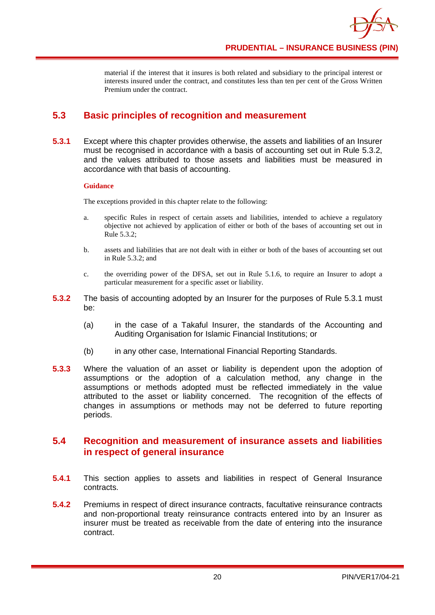material if the interest that it insures is both related and subsidiary to the principal interest or interests insured under the contract, and constitutes less than ten per cent of the Gross Written Premium under the contract.

## <span id="page-25-0"></span>**5.3 Basic principles of recognition and measurement**

**5.3.1** Except where this chapter provides otherwise, the assets and liabilities of an Insurer must be recognised in accordance with a basis of accounting set out in Rule 5.3.2, and the values attributed to those assets and liabilities must be measured in accordance with that basis of accounting.

#### **Guidance**

The exceptions provided in this chapter relate to the following:

- a. specific Rules in respect of certain assets and liabilities, intended to achieve a regulatory objective not achieved by application of either or both of the bases of accounting set out in Rule 5.3.2;
- b. assets and liabilities that are not dealt with in either or both of the bases of accounting set out in Rule 5.3.2; and
- c. the overriding power of the DFSA, set out in Rule 5.1.6, to require an Insurer to adopt a particular measurement for a specific asset or liability.
- **5.3.2** The basis of accounting adopted by an Insurer for the purposes of Rule 5.3.1 must be:
	- (a) in the case of a Takaful Insurer, the standards of the Accounting and Auditing Organisation for Islamic Financial Institutions; or
	- (b) in any other case, International Financial Reporting Standards.
- **5.3.3** Where the valuation of an asset or liability is dependent upon the adoption of assumptions or the adoption of a calculation method, any change in the assumptions or methods adopted must be reflected immediately in the value attributed to the asset or liability concerned. The recognition of the effects of changes in assumptions or methods may not be deferred to future reporting periods.

## <span id="page-25-1"></span>**5.4 Recognition and measurement of insurance assets and liabilities in respect of general insurance**

- **5.4.1** This section applies to assets and liabilities in respect of General Insurance contracts.
- **5.4.2** Premiums in respect of direct insurance contracts, facultative reinsurance contracts and non-proportional treaty reinsurance contracts entered into by an Insurer as insurer must be treated as receivable from the date of entering into the insurance contract.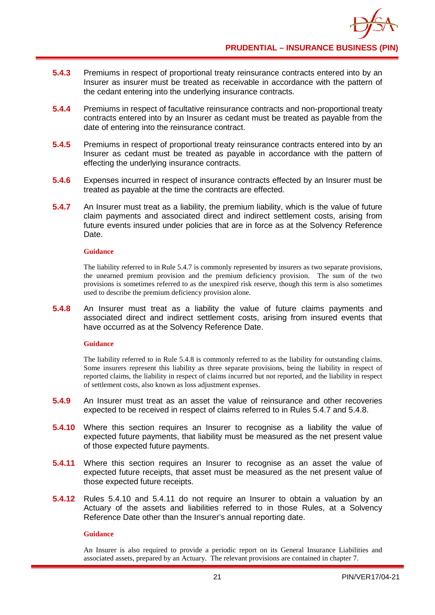- **5.4.3** Premiums in respect of proportional treaty reinsurance contracts entered into by an Insurer as insurer must be treated as receivable in accordance with the pattern of the cedant entering into the underlying insurance contracts.
- **5.4.4** Premiums in respect of facultative reinsurance contracts and non-proportional treaty contracts entered into by an Insurer as cedant must be treated as payable from the date of entering into the reinsurance contract.
- **5.4.5** Premiums in respect of proportional treaty reinsurance contracts entered into by an Insurer as cedant must be treated as payable in accordance with the pattern of effecting the underlying insurance contracts.
- **5.4.6** Expenses incurred in respect of insurance contracts effected by an Insurer must be treated as payable at the time the contracts are effected.
- **5.4.7** An Insurer must treat as a liability, the premium liability, which is the value of future claim payments and associated direct and indirect settlement costs, arising from future events insured under policies that are in force as at the Solvency Reference Date.

The liability referred to in Rule 5.4.7 is commonly represented by insurers as two separate provisions, the unearned premium provision and the premium deficiency provision. The sum of the two provisions is sometimes referred to as the unexpired risk reserve, though this term is also sometimes used to describe the premium deficiency provision alone.

**5.4.8** An Insurer must treat as a liability the value of future claims payments and associated direct and indirect settlement costs, arising from insured events that have occurred as at the Solvency Reference Date.

#### **Guidance**

The liability referred to in Rule 5.4.8 is commonly referred to as the liability for outstanding claims. Some insurers represent this liability as three separate provisions, being the liability in respect of reported claims, the liability in respect of claims incurred but not reported, and the liability in respect of settlement costs, also known as loss adjustment expenses.

- **5.4.9** An Insurer must treat as an asset the value of reinsurance and other recoveries expected to be received in respect of claims referred to in Rules 5.4.7 and 5.4.8.
- **5.4.10** Where this section requires an Insurer to recognise as a liability the value of expected future payments, that liability must be measured as the net present value of those expected future payments.
- **5.4.11** Where this section requires an Insurer to recognise as an asset the value of expected future receipts, that asset must be measured as the net present value of those expected future receipts.
- **5.4.12** Rules 5.4.10 and 5.4.11 do not require an Insurer to obtain a valuation by an Actuary of the assets and liabilities referred to in those Rules, at a Solvency Reference Date other than the Insurer's annual reporting date.

#### **Guidance**

An Insurer is also required to provide a periodic report on its General Insurance Liabilities and associated assets, prepared by an Actuary. The relevant provisions are contained in chapter 7.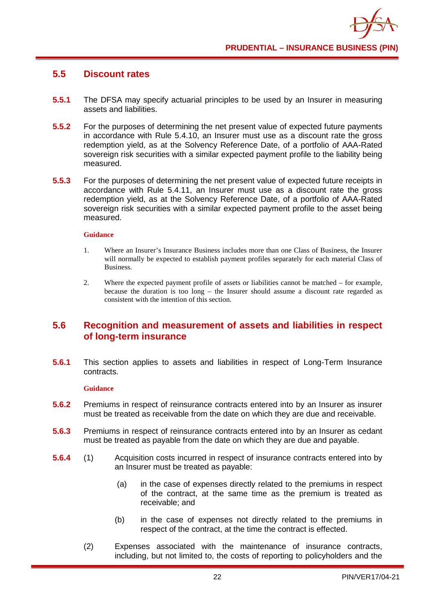## <span id="page-27-0"></span>**5.5 Discount rates**

- **5.5.1** The DFSA may specify actuarial principles to be used by an Insurer in measuring assets and liabilities.
- **5.5.2** For the purposes of determining the net present value of expected future payments in accordance with Rule 5.4.10, an Insurer must use as a discount rate the gross redemption yield, as at the Solvency Reference Date, of a portfolio of AAA-Rated sovereign risk securities with a similar expected payment profile to the liability being measured.
- **5.5.3** For the purposes of determining the net present value of expected future receipts in accordance with Rule 5.4.11, an Insurer must use as a discount rate the gross redemption yield, as at the Solvency Reference Date, of a portfolio of AAA-Rated sovereign risk securities with a similar expected payment profile to the asset being measured.

#### **Guidance**

- 1. Where an Insurer's Insurance Business includes more than one Class of Business, the Insurer will normally be expected to establish payment profiles separately for each material Class of Business.
- 2. Where the expected payment profile of assets or liabilities cannot be matched for example, because the duration is too long – the Insurer should assume a discount rate regarded as consistent with the intention of this section.

#### <span id="page-27-1"></span>**5.6 Recognition and measurement of assets and liabilities in respect of long-term insurance**

**5.6.1** This section applies to assets and liabilities in respect of Long-Term Insurance contracts.

#### **Guidance**

- **5.6.2** Premiums in respect of reinsurance contracts entered into by an Insurer as insurer must be treated as receivable from the date on which they are due and receivable.
- **5.6.3** Premiums in respect of reinsurance contracts entered into by an Insurer as cedant must be treated as payable from the date on which they are due and payable.
- **5.6.4** (1) Acquisition costs incurred in respect of insurance contracts entered into by an Insurer must be treated as payable:
	- (a) in the case of expenses directly related to the premiums in respect of the contract, at the same time as the premium is treated as receivable; and
	- (b) in the case of expenses not directly related to the premiums in respect of the contract, at the time the contract is effected.
	- (2) Expenses associated with the maintenance of insurance contracts, including, but not limited to, the costs of reporting to policyholders and the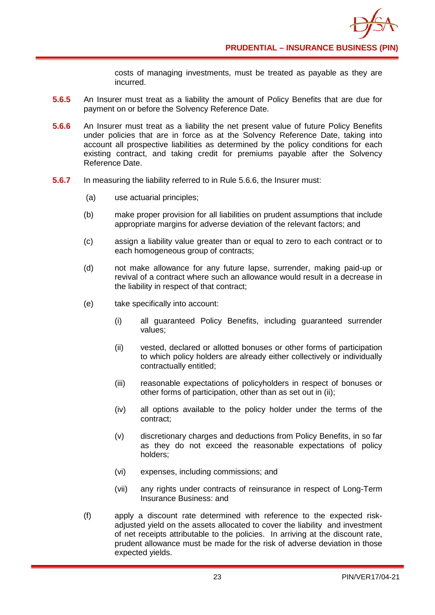costs of managing investments, must be treated as payable as they are incurred.

- **5.6.5** An Insurer must treat as a liability the amount of Policy Benefits that are due for payment on or before the Solvency Reference Date.
- **5.6.6** An Insurer must treat as a liability the net present value of future Policy Benefits under policies that are in force as at the Solvency Reference Date, taking into account all prospective liabilities as determined by the policy conditions for each existing contract, and taking credit for premiums payable after the Solvency Reference Date.
- **5.6.7** In measuring the liability referred to in Rule 5.6.6, the Insurer must:
	- (a) use actuarial principles;
	- (b) make proper provision for all liabilities on prudent assumptions that include appropriate margins for adverse deviation of the relevant factors; and
	- (c) assign a liability value greater than or equal to zero to each contract or to each homogeneous group of contracts;
	- (d) not make allowance for any future lapse, surrender, making paid-up or revival of a contract where such an allowance would result in a decrease in the liability in respect of that contract;
	- (e) take specifically into account:
		- (i) all guaranteed Policy Benefits, including guaranteed surrender values;
		- (ii) vested, declared or allotted bonuses or other forms of participation to which policy holders are already either collectively or individually contractually entitled;
		- (iii) reasonable expectations of policyholders in respect of bonuses or other forms of participation, other than as set out in (ii);
		- (iv) all options available to the policy holder under the terms of the contract;
		- (v) discretionary charges and deductions from Policy Benefits, in so far as they do not exceed the reasonable expectations of policy holders;
		- (vi) expenses, including commissions; and
		- (vii) any rights under contracts of reinsurance in respect of Long-Term Insurance Business: and
	- (f) apply a discount rate determined with reference to the expected riskadjusted yield on the assets allocated to cover the liability and investment of net receipts attributable to the policies. In arriving at the discount rate, prudent allowance must be made for the risk of adverse deviation in those expected yields.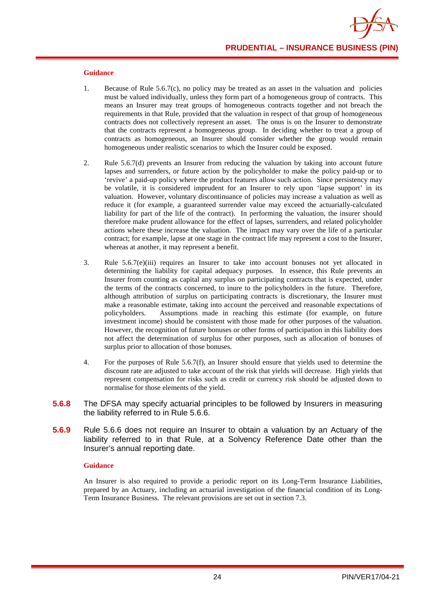- 1. Because of Rule 5.6.7(c), no policy may be treated as an asset in the valuation and policies must be valued individually, unless they form part of a homogeneous group of contracts. This means an Insurer may treat groups of homogeneous contracts together and not breach the requirements in that Rule, provided that the valuation in respect of that group of homogeneous contracts does not collectively represent an asset. The onus is on the Insurer to demonstrate that the contracts represent a homogeneous group. In deciding whether to treat a group of contracts as homogeneous, an Insurer should consider whether the group would remain homogeneous under realistic scenarios to which the Insurer could be exposed.
- 2. Rule 5.6.7(d) prevents an Insurer from reducing the valuation by taking into account future lapses and surrenders, or future action by the policyholder to make the policy paid-up or to 'revive' a paid-up policy where the product features allow such action. Since persistency may be volatile, it is considered imprudent for an Insurer to rely upon 'lapse support' in its valuation. However, voluntary discontinuance of policies may increase a valuation as well as reduce it (for example, a guaranteed surrender value may exceed the actuarially-calculated liability for part of the life of the contract). In performing the valuation, the insurer should therefore make prudent allowance for the effect of lapses, surrenders, and related policyholder actions where these increase the valuation. The impact may vary over the life of a particular contract; for example, lapse at one stage in the contract life may represent a cost to the Insurer, whereas at another, it may represent a benefit.
- 3. Rule 5.6.7(e)(iii) requires an Insurer to take into account bonuses not yet allocated in determining the liability for capital adequacy purposes. In essence, this Rule prevents an Insurer from counting as capital any surplus on participating contracts that is expected, under the terms of the contracts concerned, to inure to the policyholders in the future. Therefore, although attribution of surplus on participating contracts is discretionary, the Insurer must make a reasonable estimate, taking into account the perceived and reasonable expectations of policyholders. Assumptions made in reaching this estimate (for example, on future investment income) should be consistent with those made for other purposes of the valuation. However, the recognition of future bonuses or other forms of participation in this liability does not affect the determination of surplus for other purposes, such as allocation of bonuses of surplus prior to allocation of those bonuses.
- 4. For the purposes of Rule 5.6.7(f), an Insurer should ensure that yields used to determine the discount rate are adjusted to take account of the risk that yields will decrease. High yields that represent compensation for risks such as credit or currency risk should be adjusted down to normalise for those elements of the yield.
- **5.6.8** The DFSA may specify actuarial principles to be followed by Insurers in measuring the liability referred to in Rule 5.6.6.
- **5.6.9** Rule 5.6.6 does not require an Insurer to obtain a valuation by an Actuary of the liability referred to in that Rule, at a Solvency Reference Date other than the Insurer's annual reporting date.

#### **Guidance**

An Insurer is also required to provide a periodic report on its Long-Term Insurance Liabilities, prepared by an Actuary, including an actuarial investigation of the financial condition of its Long-Term Insurance Business. The relevant provisions are set out in section 7.3.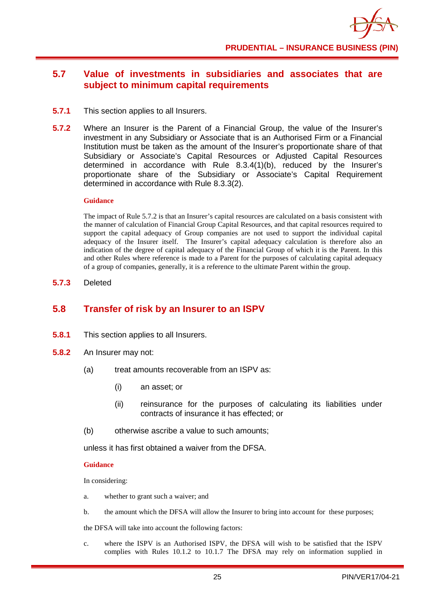## <span id="page-30-0"></span>**5.7 Value of investments in subsidiaries and associates that are subject to minimum capital requirements**

- **5.7.1** This section applies to all Insurers.
- **5.7.2** Where an Insurer is the Parent of a Financial Group, the value of the Insurer's investment in any Subsidiary or Associate that is an Authorised Firm or a Financial Institution must be taken as the amount of the Insurer's proportionate share of that Subsidiary or Associate's Capital Resources or Adjusted Capital Resources determined in accordance with Rule 8.3.4(1)(b), reduced by the Insurer's proportionate share of the Subsidiary or Associate's Capital Requirement determined in accordance with Rule 8.3.3(2).

#### **Guidance**

The impact of Rule 5.7.2 is that an Insurer's capital resources are calculated on a basis consistent with the manner of calculation of Financial Group Capital Resources, and that capital resources required to support the capital adequacy of Group companies are not used to support the individual capital adequacy of the Insurer itself. The Insurer's capital adequacy calculation is therefore also an indication of the degree of capital adequacy of the Financial Group of which it is the Parent. In this and other Rules where reference is made to a Parent for the purposes of calculating capital adequacy of a group of companies, generally, it is a reference to the ultimate Parent within the group.

**5.7.3** Deleted

## <span id="page-30-1"></span>**5.8 Transfer of risk by an Insurer to an ISPV**

- **5.8.1** This section applies to all Insurers.
- **5.8.2** An Insurer may not:
	- (a) treat amounts recoverable from an ISPV as:
		- (i) an asset; or
		- (ii) reinsurance for the purposes of calculating its liabilities under contracts of insurance it has effected; or
	- (b) otherwise ascribe a value to such amounts;

unless it has first obtained a waiver from the DFSA.

#### **Guidance**

In considering:

- a. whether to grant such a waiver; and
- b. the amount which the DFSA will allow the Insurer to bring into account for these purposes;

the DFSA will take into account the following factors:

c. where the ISPV is an Authorised ISPV, the DFSA will wish to be satisfied that the ISPV complies with Rules 10.1.2 to 10.1.7 The DFSA may rely on information supplied in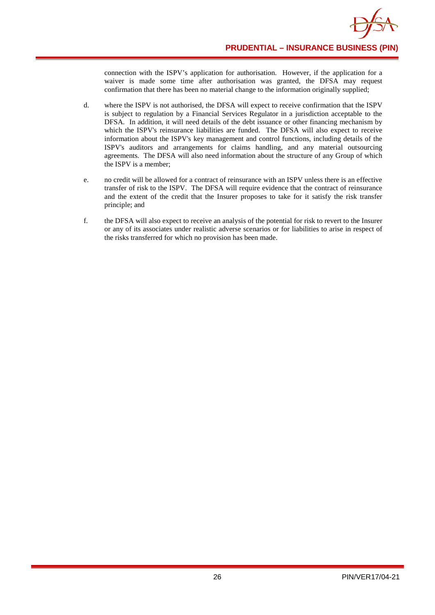

connection with the ISPV's application for authorisation. However, if the application for a waiver is made some time after authorisation was granted, the DFSA may request confirmation that there has been no material change to the information originally supplied;

- d. where the ISPV is not authorised, the DFSA will expect to receive confirmation that the ISPV is subject to regulation by a Financial Services Regulator in a jurisdiction acceptable to the DFSA. In addition, it will need details of the debt issuance or other financing mechanism by which the ISPV's reinsurance liabilities are funded. The DFSA will also expect to receive information about the ISPV's key management and control functions, including details of the ISPV's auditors and arrangements for claims handling, and any material outsourcing agreements. The DFSA will also need information about the structure of any Group of which the ISPV is a member;
- e. no credit will be allowed for a contract of reinsurance with an ISPV unless there is an effective transfer of risk to the ISPV. The DFSA will require evidence that the contract of reinsurance and the extent of the credit that the Insurer proposes to take for it satisfy the risk transfer principle; and
- f. the DFSA will also expect to receive an analysis of the potential for risk to revert to the Insurer or any of its associates under realistic adverse scenarios or for liabilities to arise in respect of the risks transferred for which no provision has been made.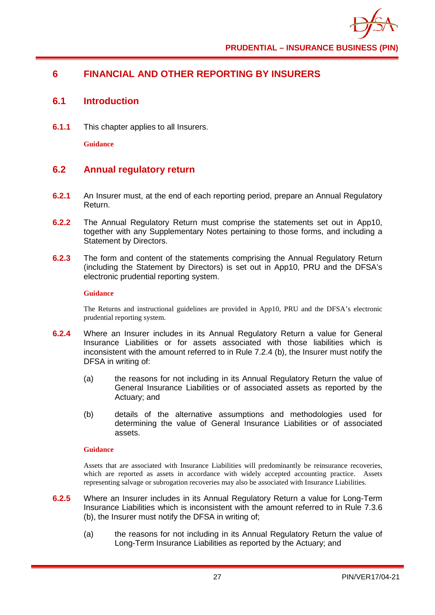## <span id="page-32-0"></span>**6 FINANCIAL AND OTHER REPORTING BY INSURERS**

#### <span id="page-32-1"></span>**6.1 Introduction**

**6.1.1** This chapter applies to all Insurers.

**Guidance**

## <span id="page-32-2"></span>**6.2 Annual regulatory return**

- **6.2.1** An Insurer must, at the end of each reporting period, prepare an Annual Regulatory Return.
- **6.2.2** The Annual Regulatory Return must comprise the statements set out in App10, together with any Supplementary Notes pertaining to those forms, and including a Statement by Directors.
- **6.2.3** The form and content of the statements comprising the Annual Regulatory Return (including the Statement by Directors) is set out in App10, PRU and the DFSA's electronic prudential reporting system.

#### **Guidance**

The Returns and instructional guidelines are provided in App10, PRU and the DFSA's electronic prudential reporting system.

- **6.2.4** Where an Insurer includes in its Annual Regulatory Return a value for General Insurance Liabilities or for assets associated with those liabilities which is inconsistent with the amount referred to in Rule 7.2.4 (b), the Insurer must notify the DFSA in writing of:
	- (a) the reasons for not including in its Annual Regulatory Return the value of General Insurance Liabilities or of associated assets as reported by the Actuary; and
	- (b) details of the alternative assumptions and methodologies used for determining the value of General Insurance Liabilities or of associated assets.

#### **Guidance**

Assets that are associated with Insurance Liabilities will predominantly be reinsurance recoveries, which are reported as assets in accordance with widely accepted accounting practice. Assets representing salvage or subrogation recoveries may also be associated with Insurance Liabilities.

- **6.2.5** Where an Insurer includes in its Annual Regulatory Return a value for Long-Term Insurance Liabilities which is inconsistent with the amount referred to in Rule 7.3.6 (b), the Insurer must notify the DFSA in writing of;
	- (a) the reasons for not including in its Annual Regulatory Return the value of Long-Term Insurance Liabilities as reported by the Actuary; and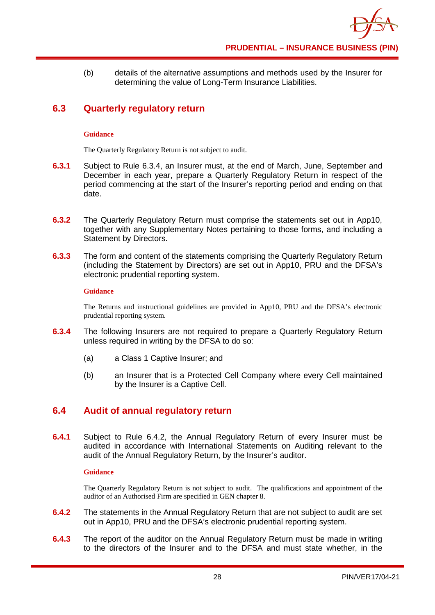(b) details of the alternative assumptions and methods used by the Insurer for determining the value of Long-Term Insurance Liabilities.

## <span id="page-33-0"></span>**6.3 Quarterly regulatory return**

#### **Guidance**

The Quarterly Regulatory Return is not subject to audit.

- **6.3.1** Subject to Rule 6.3.4, an Insurer must, at the end of March, June, September and December in each year, prepare a Quarterly Regulatory Return in respect of the period commencing at the start of the Insurer's reporting period and ending on that date.
- **6.3.2** The Quarterly Regulatory Return must comprise the statements set out in App10, together with any Supplementary Notes pertaining to those forms, and including a Statement by Directors.
- **6.3.3** The form and content of the statements comprising the Quarterly Regulatory Return (including the Statement by Directors) are set out in App10, PRU and the DFSA's electronic prudential reporting system.

#### **Guidance**

The Returns and instructional guidelines are provided in App10, PRU and the DFSA's electronic prudential reporting system.

- **6.3.4** The following Insurers are not required to prepare a Quarterly Regulatory Return unless required in writing by the DFSA to do so:
	- (a) a Class 1 Captive Insurer; and
	- (b) an Insurer that is a Protected Cell Company where every Cell maintained by the Insurer is a Captive Cell.

## <span id="page-33-1"></span>**6.4 Audit of annual regulatory return**

**6.4.1** Subject to Rule 6.4.2, the Annual Regulatory Return of every Insurer must be audited in accordance with International Statements on Auditing relevant to the audit of the Annual Regulatory Return, by the Insurer's auditor.

#### **Guidance**

The Quarterly Regulatory Return is not subject to audit. The qualifications and appointment of the auditor of an Authorised Firm are specified in GEN chapter 8.

- **6.4.2** The statements in the Annual Regulatory Return that are not subject to audit are set out in App10, PRU and the DFSA's electronic prudential reporting system.
- **6.4.3** The report of the auditor on the Annual Regulatory Return must be made in writing to the directors of the Insurer and to the DFSA and must state whether, in the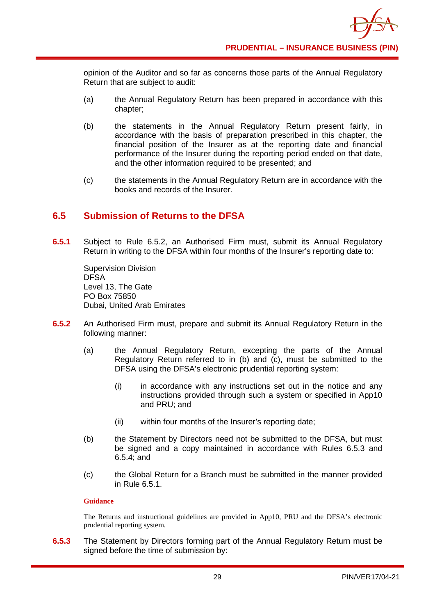opinion of the Auditor and so far as concerns those parts of the Annual Regulatory Return that are subject to audit:

- (a) the Annual Regulatory Return has been prepared in accordance with this chapter;
- (b) the statements in the Annual Regulatory Return present fairly, in accordance with the basis of preparation prescribed in this chapter, the financial position of the Insurer as at the reporting date and financial performance of the Insurer during the reporting period ended on that date, and the other information required to be presented; and
- (c) the statements in the Annual Regulatory Return are in accordance with the books and records of the Insurer.

## <span id="page-34-0"></span>**6.5 Submission of Returns to the DFSA**

**6.5.1** Subject to Rule 6.5.2, an Authorised Firm must, submit its Annual Regulatory Return in writing to the DFSA within four months of the Insurer's reporting date to:

Supervision Division DFSA Level 13, The Gate PO Box 75850 Dubai, United Arab Emirates

- **6.5.2** An Authorised Firm must, prepare and submit its Annual Regulatory Return in the following manner:
	- (a) the Annual Regulatory Return, excepting the parts of the Annual Regulatory Return referred to in (b) and (c), must be submitted to the DFSA using the DFSA's electronic prudential reporting system:
		- (i) in accordance with any instructions set out in the notice and any instructions provided through such a system or specified in App10 and PRU; and
		- (ii) within four months of the Insurer's reporting date;
	- (b) the Statement by Directors need not be submitted to the DFSA, but must be signed and a copy maintained in accordance with Rules 6.5.3 and 6.5.4; and
	- (c) the Global Return for a Branch must be submitted in the manner provided in Rule 6.5.1.

#### **Guidance**

The Returns and instructional guidelines are provided in App10, PRU and the DFSA's electronic prudential reporting system.

**6.5.3** The Statement by Directors forming part of the Annual Regulatory Return must be signed before the time of submission by: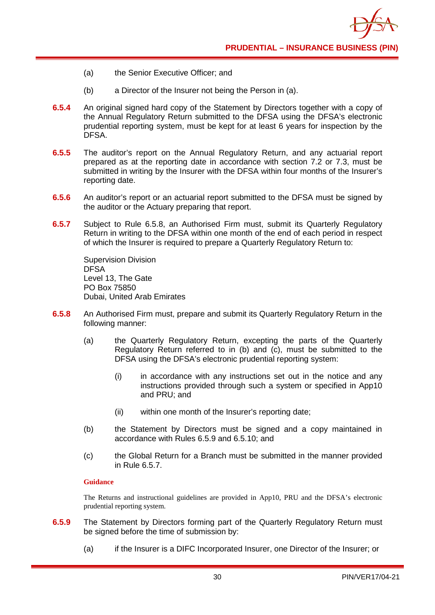

- (a) the Senior Executive Officer; and
- (b) a Director of the Insurer not being the Person in (a).
- **6.5.4** An original signed hard copy of the Statement by Directors together with a copy of the Annual Regulatory Return submitted to the DFSA using the DFSA's electronic prudential reporting system, must be kept for at least 6 years for inspection by the DFSA.
- **6.5.5** The auditor's report on the Annual Regulatory Return, and any actuarial report prepared as at the reporting date in accordance with section 7.2 or 7.3, must be submitted in writing by the Insurer with the DFSA within four months of the Insurer's reporting date.
- **6.5.6** An auditor's report or an actuarial report submitted to the DFSA must be signed by the auditor or the Actuary preparing that report.
- **6.5.7** Subject to Rule 6.5.8, an Authorised Firm must, submit its Quarterly Regulatory Return in writing to the DFSA within one month of the end of each period in respect of which the Insurer is required to prepare a Quarterly Regulatory Return to:

Supervision Division DFSA Level 13, The Gate PO Box 75850 Dubai, United Arab Emirates

- **6.5.8** An Authorised Firm must, prepare and submit its Quarterly Regulatory Return in the following manner:
	- (a) the Quarterly Regulatory Return, excepting the parts of the Quarterly Regulatory Return referred to in (b) and (c), must be submitted to the DFSA using the DFSA's electronic prudential reporting system:
		- (i) in accordance with any instructions set out in the notice and any instructions provided through such a system or specified in App10 and PRU; and
		- (ii) within one month of the Insurer's reporting date;
	- (b) the Statement by Directors must be signed and a copy maintained in accordance with Rules 6.5.9 and 6.5.10; and
	- (c) the Global Return for a Branch must be submitted in the manner provided in Rule 6.5.7.

#### **Guidance**

The Returns and instructional guidelines are provided in App10, PRU and the DFSA's electronic prudential reporting system.

- **6.5.9** The Statement by Directors forming part of the Quarterly Regulatory Return must be signed before the time of submission by:
	- (a) if the Insurer is a DIFC Incorporated Insurer, one Director of the Insurer; or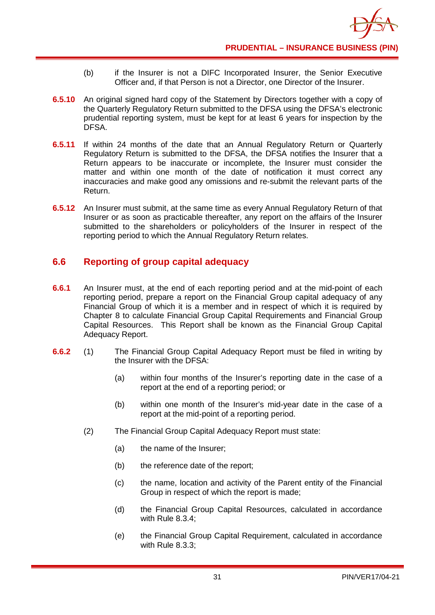- (b) if the Insurer is not a DIFC Incorporated Insurer, the Senior Executive Officer and, if that Person is not a Director, one Director of the Insurer.
- **6.5.10** An original signed hard copy of the Statement by Directors together with a copy of the Quarterly Regulatory Return submitted to the DFSA using the DFSA's electronic prudential reporting system, must be kept for at least 6 years for inspection by the DFSA.
- **6.5.11** If within 24 months of the date that an Annual Regulatory Return or Quarterly Regulatory Return is submitted to the DFSA, the DFSA notifies the Insurer that a Return appears to be inaccurate or incomplete, the Insurer must consider the matter and within one month of the date of notification it must correct any inaccuracies and make good any omissions and re-submit the relevant parts of the Return.
- **6.5.12** An Insurer must submit, at the same time as every Annual Regulatory Return of that Insurer or as soon as practicable thereafter, any report on the affairs of the Insurer submitted to the shareholders or policyholders of the Insurer in respect of the reporting period to which the Annual Regulatory Return relates.

## **6.6 Reporting of group capital adequacy**

- **6.6.1** An Insurer must, at the end of each reporting period and at the mid-point of each reporting period, prepare a report on the Financial Group capital adequacy of any Financial Group of which it is a member and in respect of which it is required by Chapter 8 to calculate Financial Group Capital Requirements and Financial Group Capital Resources. This Report shall be known as the Financial Group Capital Adequacy Report.
- **6.6.2** (1) The Financial Group Capital Adequacy Report must be filed in writing by the Insurer with the DFSA:
	- (a) within four months of the Insurer's reporting date in the case of a report at the end of a reporting period; or
	- (b) within one month of the Insurer's mid-year date in the case of a report at the mid-point of a reporting period.
	- (2) The Financial Group Capital Adequacy Report must state:
		- (a) the name of the Insurer;
		- (b) the reference date of the report;
		- (c) the name, location and activity of the Parent entity of the Financial Group in respect of which the report is made;
		- (d) the Financial Group Capital Resources, calculated in accordance with Rule 8.3.4;
		- (e) the Financial Group Capital Requirement, calculated in accordance with Rule 8.3.3;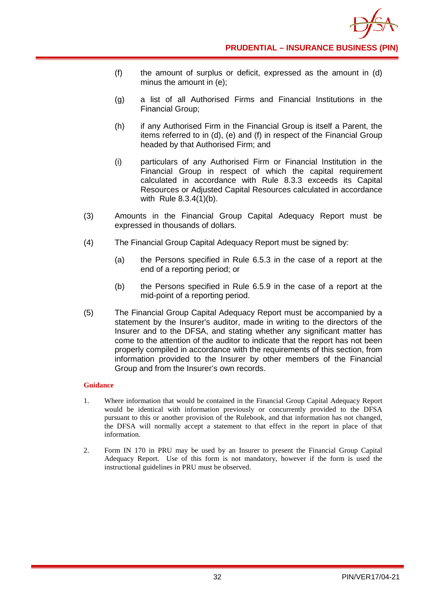

- (f) the amount of surplus or deficit, expressed as the amount in (d) minus the amount in (e);
- (g) a list of all Authorised Firms and Financial Institutions in the Financial Group;
- (h) if any Authorised Firm in the Financial Group is itself a Parent, the items referred to in (d), (e) and (f) in respect of the Financial Group headed by that Authorised Firm; and
- (i) particulars of any Authorised Firm or Financial Institution in the Financial Group in respect of which the capital requirement calculated in accordance with Rule 8.3.3 exceeds its Capital Resources or Adjusted Capital Resources calculated in accordance with Rule 8.3.4(1)(b).
- (3) Amounts in the Financial Group Capital Adequacy Report must be expressed in thousands of dollars.
- (4) The Financial Group Capital Adequacy Report must be signed by:
	- (a) the Persons specified in Rule 6.5.3 in the case of a report at the end of a reporting period; or
	- (b) the Persons specified in Rule 6.5.9 in the case of a report at the mid-point of a reporting period.
- (5) The Financial Group Capital Adequacy Report must be accompanied by a statement by the Insurer's auditor, made in writing to the directors of the Insurer and to the DFSA, and stating whether any significant matter has come to the attention of the auditor to indicate that the report has not been properly compiled in accordance with the requirements of this section, from information provided to the Insurer by other members of the Financial Group and from the Insurer's own records.

- 1. Where information that would be contained in the Financial Group Capital Adequacy Report would be identical with information previously or concurrently provided to the DFSA pursuant to this or another provision of the Rulebook, and that information has not changed, the DFSA will normally accept a statement to that effect in the report in place of that information.
- 2. Form IN 170 in PRU may be used by an Insurer to present the Financial Group Capital Adequacy Report. Use of this form is not mandatory, however if the form is used the instructional guidelines in PRU must be observed.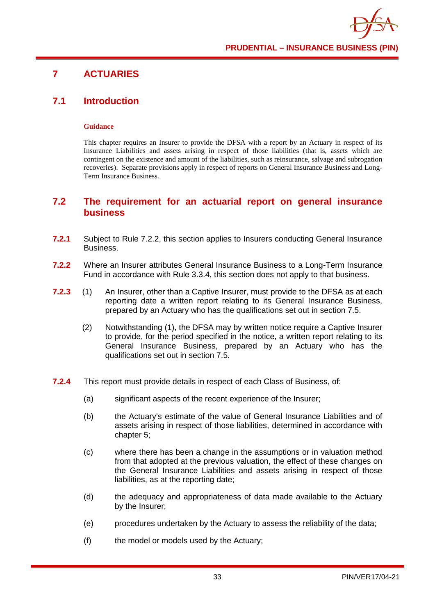## **7 ACTUARIES**

### **7.1 Introduction**

### **Guidance**

This chapter requires an Insurer to provide the DFSA with a report by an Actuary in respect of its Insurance Liabilities and assets arising in respect of those liabilities (that is, assets which are contingent on the existence and amount of the liabilities, such as reinsurance, salvage and subrogation recoveries). Separate provisions apply in respect of reports on General Insurance Business and Long-Term Insurance Business.

### **7.2 The requirement for an actuarial report on general insurance business**

- **7.2.1** Subject to Rule 7.2.2, this section applies to Insurers conducting General Insurance Business.
- **7.2.2** Where an Insurer attributes General Insurance Business to a Long-Term Insurance Fund in accordance with Rule 3.3.4, this section does not apply to that business.
- **7.2.3** (1) An Insurer, other than a Captive Insurer, must provide to the DFSA as at each reporting date a written report relating to its General Insurance Business, prepared by an Actuary who has the qualifications set out in section 7.5.
	- (2) Notwithstanding (1), the DFSA may by written notice require a Captive Insurer to provide, for the period specified in the notice, a written report relating to its General Insurance Business, prepared by an Actuary who has the qualifications set out in section 7.5.
- **7.2.4** This report must provide details in respect of each Class of Business, of:
	- (a) significant aspects of the recent experience of the Insurer;
	- (b) the Actuary's estimate of the value of General Insurance Liabilities and of assets arising in respect of those liabilities, determined in accordance with chapter 5;
	- (c) where there has been a change in the assumptions or in valuation method from that adopted at the previous valuation, the effect of these changes on the General Insurance Liabilities and assets arising in respect of those liabilities, as at the reporting date;
	- (d) the adequacy and appropriateness of data made available to the Actuary by the Insurer;
	- (e) procedures undertaken by the Actuary to assess the reliability of the data;
	- (f) the model or models used by the Actuary;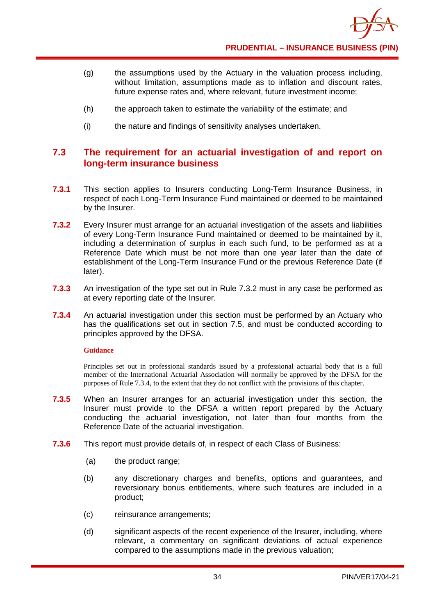- (g) the assumptions used by the Actuary in the valuation process including, without limitation, assumptions made as to inflation and discount rates, future expense rates and, where relevant, future investment income;
- (h) the approach taken to estimate the variability of the estimate; and
- (i) the nature and findings of sensitivity analyses undertaken.

## **7.3 The requirement for an actuarial investigation of and report on long-term insurance business**

- **7.3.1** This section applies to Insurers conducting Long-Term Insurance Business, in respect of each Long-Term Insurance Fund maintained or deemed to be maintained by the Insurer.
- **7.3.2** Every Insurer must arrange for an actuarial investigation of the assets and liabilities of every Long-Term Insurance Fund maintained or deemed to be maintained by it, including a determination of surplus in each such fund, to be performed as at a Reference Date which must be not more than one year later than the date of establishment of the Long-Term Insurance Fund or the previous Reference Date (if later).
- **7.3.3** An investigation of the type set out in Rule 7.3.2 must in any case be performed as at every reporting date of the Insurer.
- **7.3.4** An actuarial investigation under this section must be performed by an Actuary who has the qualifications set out in section 7.5, and must be conducted according to principles approved by the DFSA.

### **Guidance**

Principles set out in professional standards issued by a professional actuarial body that is a full member of the International Actuarial Association will normally be approved by the DFSA for the purposes of Rule 7.3.4, to the extent that they do not conflict with the provisions of this chapter.

- **7.3.5** When an Insurer arranges for an actuarial investigation under this section, the Insurer must provide to the DFSA a written report prepared by the Actuary conducting the actuarial investigation, not later than four months from the Reference Date of the actuarial investigation.
- **7.3.6** This report must provide details of, in respect of each Class of Business:
	- (a) the product range;
	- (b) any discretionary charges and benefits, options and guarantees, and reversionary bonus entitlements, where such features are included in a product;
	- (c) reinsurance arrangements;
	- (d) significant aspects of the recent experience of the Insurer, including, where relevant, a commentary on significant deviations of actual experience compared to the assumptions made in the previous valuation;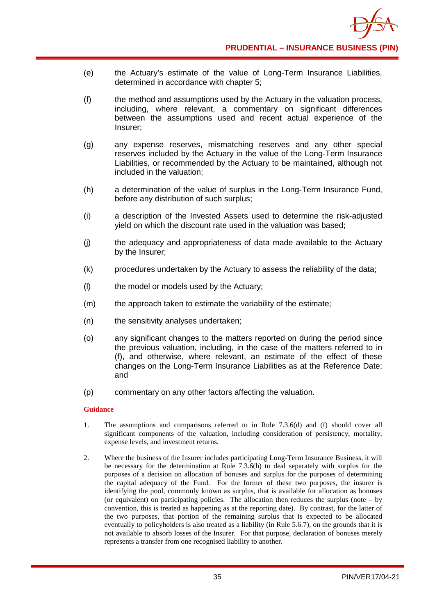- (e) the Actuary's estimate of the value of Long-Term Insurance Liabilities, determined in accordance with chapter 5;
- (f) the method and assumptions used by the Actuary in the valuation process, including, where relevant, a commentary on significant differences between the assumptions used and recent actual experience of the Insurer;
- (g) any expense reserves, mismatching reserves and any other special reserves included by the Actuary in the value of the Long-Term Insurance Liabilities, or recommended by the Actuary to be maintained, although not included in the valuation;
- (h) a determination of the value of surplus in the Long-Term Insurance Fund, before any distribution of such surplus;
- (i) a description of the Invested Assets used to determine the risk-adjusted yield on which the discount rate used in the valuation was based;
- (j) the adequacy and appropriateness of data made available to the Actuary by the Insurer;
- (k) procedures undertaken by the Actuary to assess the reliability of the data;
- (l) the model or models used by the Actuary;
- (m) the approach taken to estimate the variability of the estimate;
- (n) the sensitivity analyses undertaken;
- (o) any significant changes to the matters reported on during the period since the previous valuation, including, in the case of the matters referred to in (f), and otherwise, where relevant, an estimate of the effect of these changes on the Long-Term Insurance Liabilities as at the Reference Date; and
- (p) commentary on any other factors affecting the valuation.

- 1. The assumptions and comparisons referred to in Rule 7.3.6(d) and (f) should cover all significant components of the valuation, including consideration of persistency, mortality, expense levels, and investment returns.
- 2. Where the business of the Insurer includes participating Long-Term Insurance Business, it will be necessary for the determination at Rule 7.3.6(h) to deal separately with surplus for the purposes of a decision on allocation of bonuses and surplus for the purposes of determining the capital adequacy of the Fund. For the former of these two purposes, the insurer is identifying the pool, commonly known as surplus, that is available for allocation as bonuses (or equivalent) on participating policies. The allocation then reduces the surplus (note – by convention, this is treated as happening as at the reporting date). By contrast, for the latter of the two purposes, that portion of the remaining surplus that is expected to be allocated eventually to policyholders is also treated as a liability (in Rule 5.6.7), on the grounds that it is not available to absorb losses of the Insurer. For that purpose, declaration of bonuses merely represents a transfer from one recognised liability to another.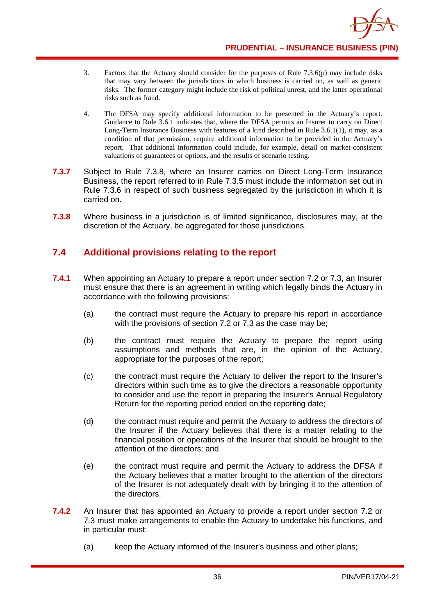

- 3. Factors that the Actuary should consider for the purposes of Rule 7.3.6(p) may include risks that may vary between the jurisdictions in which business is carried on, as well as generic risks. The former category might include the risk of political unrest, and the latter operational risks such as fraud.
- 4. The DFSA may specify additional information to be presented in the Actuary's report. Guidance to Rule 3.6.1 indicates that, where the DFSA permits an Insurer to carry on Direct Long-Term Insurance Business with features of a kind described in Rule 3.6.1(1), it may, as a condition of that permission, require additional information to be provided in the Actuary's report. That additional information could include, for example, detail on market-consistent valuations of guarantees or options, and the results of scenario testing.
- **7.3.7** Subject to Rule 7.3.8, where an Insurer carries on Direct Long-Term Insurance Business, the report referred to in Rule 7.3.5 must include the information set out in Rule 7.3.6 in respect of such business segregated by the jurisdiction in which it is carried on.
- **7.3.8** Where business in a jurisdiction is of limited significance, disclosures may, at the discretion of the Actuary, be aggregated for those jurisdictions.

## **7.4 Additional provisions relating to the report**

- **7.4.1** When appointing an Actuary to prepare a report under section 7.2 or 7.3, an Insurer must ensure that there is an agreement in writing which legally binds the Actuary in accordance with the following provisions:
	- (a) the contract must require the Actuary to prepare his report in accordance with the provisions of section 7.2 or 7.3 as the case may be;
	- (b) the contract must require the Actuary to prepare the report using assumptions and methods that are, in the opinion of the Actuary, appropriate for the purposes of the report;
	- (c) the contract must require the Actuary to deliver the report to the Insurer's directors within such time as to give the directors a reasonable opportunity to consider and use the report in preparing the Insurer's Annual Regulatory Return for the reporting period ended on the reporting date;
	- (d) the contract must require and permit the Actuary to address the directors of the Insurer if the Actuary believes that there is a matter relating to the financial position or operations of the Insurer that should be brought to the attention of the directors; and
	- (e) the contract must require and permit the Actuary to address the DFSA if the Actuary believes that a matter brought to the attention of the directors of the Insurer is not adequately dealt with by bringing it to the attention of the directors.
- **7.4.2** An Insurer that has appointed an Actuary to provide a report under section 7.2 or 7.3 must make arrangements to enable the Actuary to undertake his functions, and in particular must:
	- (a) keep the Actuary informed of the Insurer's business and other plans;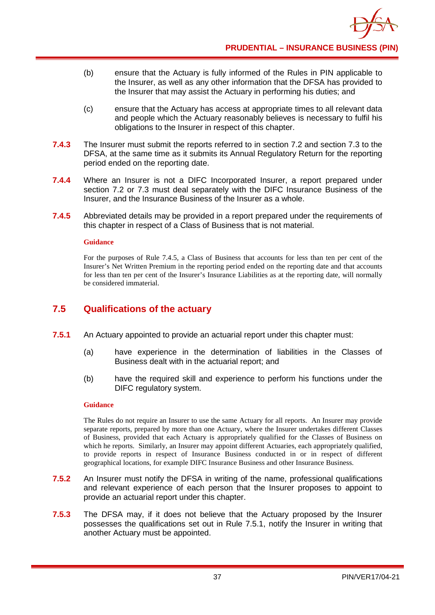- (b) ensure that the Actuary is fully informed of the Rules in PIN applicable to the Insurer, as well as any other information that the DFSA has provided to the Insurer that may assist the Actuary in performing his duties; and
- (c) ensure that the Actuary has access at appropriate times to all relevant data and people which the Actuary reasonably believes is necessary to fulfil his obligations to the Insurer in respect of this chapter.
- **7.4.3** The Insurer must submit the reports referred to in section 7.2 and section 7.3 to the DFSA, at the same time as it submits its Annual Regulatory Return for the reporting period ended on the reporting date.
- **7.4.4** Where an Insurer is not a DIFC Incorporated Insurer, a report prepared under section 7.2 or 7.3 must deal separately with the DIFC Insurance Business of the Insurer, and the Insurance Business of the Insurer as a whole.
- **7.4.5** Abbreviated details may be provided in a report prepared under the requirements of this chapter in respect of a Class of Business that is not material.

For the purposes of Rule 7.4.5, a Class of Business that accounts for less than ten per cent of the Insurer's Net Written Premium in the reporting period ended on the reporting date and that accounts for less than ten per cent of the Insurer's Insurance Liabilities as at the reporting date, will normally be considered immaterial.

## **7.5 Qualifications of the actuary**

- **7.5.1** An Actuary appointed to provide an actuarial report under this chapter must:
	- (a) have experience in the determination of liabilities in the Classes of Business dealt with in the actuarial report; and
	- (b) have the required skill and experience to perform his functions under the DIFC regulatory system.

### **Guidance**

The Rules do not require an Insurer to use the same Actuary for all reports. An Insurer may provide separate reports, prepared by more than one Actuary, where the Insurer undertakes different Classes of Business, provided that each Actuary is appropriately qualified for the Classes of Business on which he reports. Similarly, an Insurer may appoint different Actuaries, each appropriately qualified, to provide reports in respect of Insurance Business conducted in or in respect of different geographical locations, for example DIFC Insurance Business and other Insurance Business.

- **7.5.2** An Insurer must notify the DFSA in writing of the name, professional qualifications and relevant experience of each person that the Insurer proposes to appoint to provide an actuarial report under this chapter.
- **7.5.3** The DFSA may, if it does not believe that the Actuary proposed by the Insurer possesses the qualifications set out in Rule 7.5.1, notify the Insurer in writing that another Actuary must be appointed.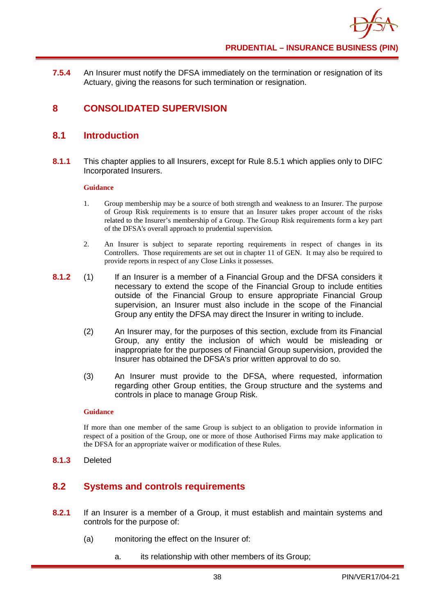

**7.5.4** An Insurer must notify the DFSA immediately on the termination or resignation of its Actuary, giving the reasons for such termination or resignation.

## **8 CONSOLIDATED SUPERVISION**

### **8.1 Introduction**

**8.1.1** This chapter applies to all Insurers, except for Rule 8.5.1 which applies only to DIFC Incorporated Insurers.

### **Guidance**

- 1. Group membership may be a source of both strength and weakness to an Insurer. The purpose of Group Risk requirements is to ensure that an Insurer takes proper account of the risks related to the Insurer's membership of a Group. The Group Risk requirements form a key part of the DFSA's overall approach to prudential supervision.
- 2. An Insurer is subject to separate reporting requirements in respect of changes in its Controllers. Those requirements are set out in chapter 11 of GEN. It may also be required to provide reports in respect of any Close Links it possesses.
- **8.1.2** (1) If an Insurer is a member of a Financial Group and the DFSA considers it necessary to extend the scope of the Financial Group to include entities outside of the Financial Group to ensure appropriate Financial Group supervision, an Insurer must also include in the scope of the Financial Group any entity the DFSA may direct the Insurer in writing to include.
	- (2) An Insurer may, for the purposes of this section, exclude from its Financial Group, any entity the inclusion of which would be misleading or inappropriate for the purposes of Financial Group supervision, provided the Insurer has obtained the DFSA's prior written approval to do so.
	- (3) An Insurer must provide to the DFSA, where requested, information regarding other Group entities, the Group structure and the systems and controls in place to manage Group Risk.

### **Guidance**

If more than one member of the same Group is subject to an obligation to provide information in respect of a position of the Group, one or more of those Authorised Firms may make application to the DFSA for an appropriate waiver or modification of these Rules.

**8.1.3** Deleted

## **8.2 Systems and controls requirements**

- **8.2.1** If an Insurer is a member of a Group, it must establish and maintain systems and controls for the purpose of:
	- (a) monitoring the effect on the Insurer of:
		- a. its relationship with other members of its Group;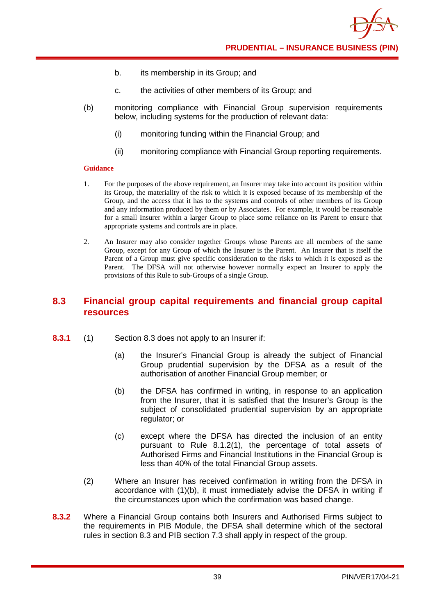- b. its membership in its Group; and
- c. the activities of other members of its Group; and
- (b) monitoring compliance with Financial Group supervision requirements below, including systems for the production of relevant data:
	- (i) monitoring funding within the Financial Group; and
	- (ii) monitoring compliance with Financial Group reporting requirements.

- 1. For the purposes of the above requirement, an Insurer may take into account its position within its Group, the materiality of the risk to which it is exposed because of its membership of the Group, and the access that it has to the systems and controls of other members of its Group and any information produced by them or by Associates. For example, it would be reasonable for a small Insurer within a larger Group to place some reliance on its Parent to ensure that appropriate systems and controls are in place.
- 2. An Insurer may also consider together Groups whose Parents are all members of the same Group, except for any Group of which the Insurer is the Parent. An Insurer that is itself the Parent of a Group must give specific consideration to the risks to which it is exposed as the Parent. The DFSA will not otherwise however normally expect an Insurer to apply the provisions of this Rule to sub-Groups of a single Group.

## **8.3 Financial group capital requirements and financial group capital resources**

- **8.3.1** (1) Section 8.3 does not apply to an Insurer if:
	- (a) the Insurer's Financial Group is already the subject of Financial Group prudential supervision by the DFSA as a result of the authorisation of another Financial Group member; or
	- (b) the DFSA has confirmed in writing, in response to an application from the Insurer, that it is satisfied that the Insurer's Group is the subject of consolidated prudential supervision by an appropriate regulator; or
	- (c) except where the DFSA has directed the inclusion of an entity pursuant to Rule 8.1.2(1), the percentage of total assets of Authorised Firms and Financial Institutions in the Financial Group is less than 40% of the total Financial Group assets.
	- (2) Where an Insurer has received confirmation in writing from the DFSA in accordance with (1)(b), it must immediately advise the DFSA in writing if the circumstances upon which the confirmation was based change.
- **8.3.2** Where a Financial Group contains both Insurers and Authorised Firms subject to the requirements in PIB Module, the DFSA shall determine which of the sectoral rules in section 8.3 and PIB section 7.3 shall apply in respect of the group.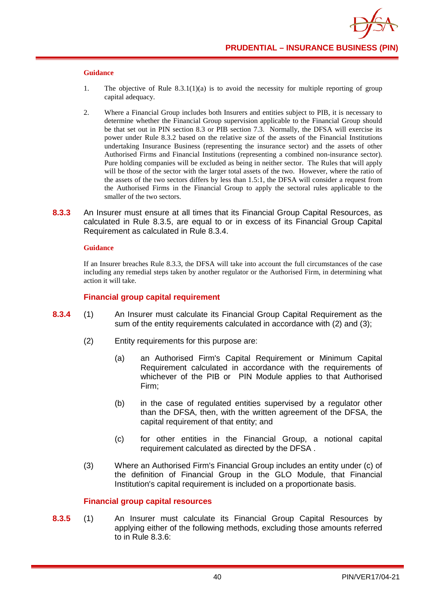- 1. The objective of Rule  $8.3.1(1)(a)$  is to avoid the necessity for multiple reporting of group capital adequacy.
- 2. Where a Financial Group includes both Insurers and entities subject to PIB, it is necessary to determine whether the Financial Group supervision applicable to the Financial Group should be that set out in PIN section 8.3 or PIB section 7.3. Normally, the DFSA will exercise its power under Rule 8.3.2 based on the relative size of the assets of the Financial Institutions undertaking Insurance Business (representing the insurance sector) and the assets of other Authorised Firms and Financial Institutions (representing a combined non-insurance sector). Pure holding companies will be excluded as being in neither sector. The Rules that will apply will be those of the sector with the larger total assets of the two. However, where the ratio of the assets of the two sectors differs by less than 1.5:1, the DFSA will consider a request from the Authorised Firms in the Financial Group to apply the sectoral rules applicable to the smaller of the two sectors.
- **8.3.3** An Insurer must ensure at all times that its Financial Group Capital Resources, as calculated in Rule 8.3.5, are equal to or in excess of its Financial Group Capital Requirement as calculated in Rule 8.3.4.

### **Guidance**

If an Insurer breaches Rule 8.3.3, the DFSA will take into account the full circumstances of the case including any remedial steps taken by another regulator or the Authorised Firm, in determining what action it will take.

### **Financial group capital requirement**

- **8.3.4** (1) An Insurer must calculate its Financial Group Capital Requirement as the sum of the entity requirements calculated in accordance with (2) and (3);
	- (2) Entity requirements for this purpose are:
		- (a) an Authorised Firm's Capital Requirement or Minimum Capital Requirement calculated in accordance with the requirements of whichever of the PIB or PIN Module applies to that Authorised Firm;
		- (b) in the case of regulated entities supervised by a regulator other than the DFSA, then, with the written agreement of the DFSA, the capital requirement of that entity; and
		- (c) for other entities in the Financial Group, a notional capital requirement calculated as directed by the DFSA .
	- (3) Where an Authorised Firm's Financial Group includes an entity under (c) of the definition of Financial Group in the GLO Module, that Financial Institution's capital requirement is included on a proportionate basis.

### **Financial group capital resources**

**8.3.5** (1) An Insurer must calculate its Financial Group Capital Resources by applying either of the following methods, excluding those amounts referred to in Rule 8.3.6: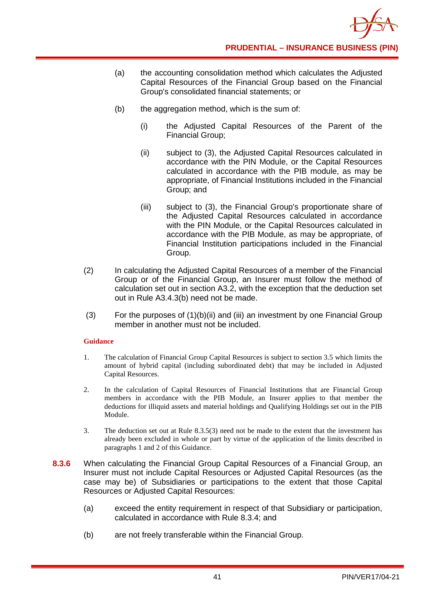

- (a) the accounting consolidation method which calculates the Adjusted Capital Resources of the Financial Group based on the Financial Group's consolidated financial statements; or
- (b) the aggregation method, which is the sum of:
	- (i) the Adjusted Capital Resources of the Parent of the Financial Group;
	- (ii) subject to (3), the Adjusted Capital Resources calculated in accordance with the PIN Module, or the Capital Resources calculated in accordance with the PIB module, as may be appropriate, of Financial Institutions included in the Financial Group; and
	- (iii) subject to (3), the Financial Group's proportionate share of the Adjusted Capital Resources calculated in accordance with the PIN Module, or the Capital Resources calculated in accordance with the PIB Module, as may be appropriate, of Financial Institution participations included in the Financial Group.
- (2) In calculating the Adjusted Capital Resources of a member of the Financial Group or of the Financial Group, an Insurer must follow the method of calculation set out in section A3.2, with the exception that the deduction set out in Rule A3.4.3(b) need not be made.
- (3) For the purposes of  $(1)(b)(ii)$  and (iii) an investment by one Financial Group member in another must not be included.

- 1. The calculation of Financial Group Capital Resources is subject to section 3.5 which limits the amount of hybrid capital (including subordinated debt) that may be included in Adjusted Capital Resources.
- 2. In the calculation of Capital Resources of Financial Institutions that are Financial Group members in accordance with the PIB Module, an Insurer applies to that member the deductions for illiquid assets and material holdings and Qualifying Holdings set out in the PIB Module.
- 3. The deduction set out at Rule 8.3.5(3) need not be made to the extent that the investment has already been excluded in whole or part by virtue of the application of the limits described in paragraphs 1 and 2 of this Guidance.
- **8.3.6** When calculating the Financial Group Capital Resources of a Financial Group, an Insurer must not include Capital Resources or Adjusted Capital Resources (as the case may be) of Subsidiaries or participations to the extent that those Capital Resources or Adjusted Capital Resources:
	- (a) exceed the entity requirement in respect of that Subsidiary or participation, calculated in accordance with Rule 8.3.4; and
	- (b) are not freely transferable within the Financial Group.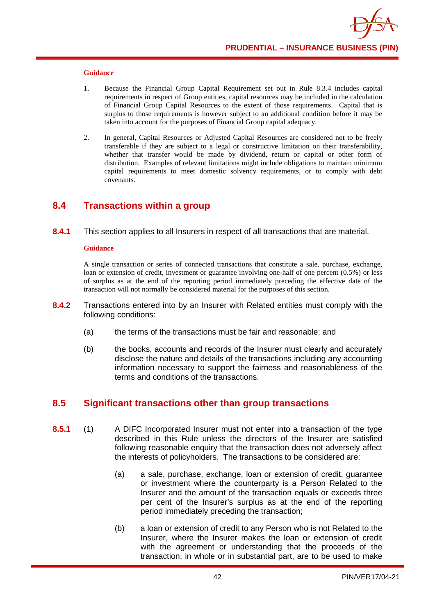- 1. Because the Financial Group Capital Requirement set out in Rule 8.3.4 includes capital requirements in respect of Group entities, capital resources may be included in the calculation of Financial Group Capital Resources to the extent of those requirements. Capital that is surplus to those requirements is however subject to an additional condition before it may be taken into account for the purposes of Financial Group capital adequacy.
- 2. In general, Capital Resources or Adjusted Capital Resources are considered not to be freely transferable if they are subject to a legal or constructive limitation on their transferability, whether that transfer would be made by dividend, return or capital or other form of distribution. Examples of relevant limitations might include obligations to maintain minimum capital requirements to meet domestic solvency requirements, or to comply with debt covenants.

### **8.4 Transactions within a group**

**8.4.1** This section applies to all Insurers in respect of all transactions that are material.

#### **Guidance**

A single transaction or series of connected transactions that constitute a sale, purchase, exchange, loan or extension of credit, investment or guarantee involving one-half of one percent (0.5%) or less of surplus as at the end of the reporting period immediately preceding the effective date of the transaction will not normally be considered material for the purposes of this section.

- **8.4.2** Transactions entered into by an Insurer with Related entities must comply with the following conditions:
	- (a) the terms of the transactions must be fair and reasonable; and
	- (b) the books, accounts and records of the Insurer must clearly and accurately disclose the nature and details of the transactions including any accounting information necessary to support the fairness and reasonableness of the terms and conditions of the transactions.

### **8.5 Significant transactions other than group transactions**

- **8.5.1** (1) A DIFC Incorporated Insurer must not enter into a transaction of the type described in this Rule unless the directors of the Insurer are satisfied following reasonable enquiry that the transaction does not adversely affect the interests of policyholders. The transactions to be considered are:
	- (a) a sale, purchase, exchange, loan or extension of credit, guarantee or investment where the counterparty is a Person Related to the Insurer and the amount of the transaction equals or exceeds three per cent of the Insurer's surplus as at the end of the reporting period immediately preceding the transaction;
	- (b) a loan or extension of credit to any Person who is not Related to the Insurer, where the Insurer makes the loan or extension of credit with the agreement or understanding that the proceeds of the transaction, in whole or in substantial part, are to be used to make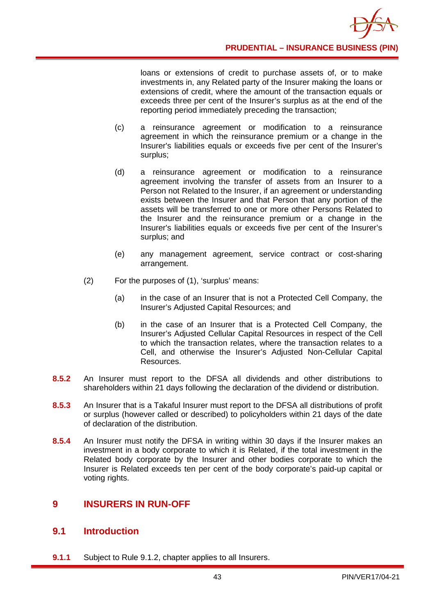loans or extensions of credit to purchase assets of, or to make investments in, any Related party of the Insurer making the loans or extensions of credit, where the amount of the transaction equals or exceeds three per cent of the Insurer's surplus as at the end of the reporting period immediately preceding the transaction;

- (c) a reinsurance agreement or modification to a reinsurance agreement in which the reinsurance premium or a change in the Insurer's liabilities equals or exceeds five per cent of the Insurer's surplus;
- (d) a reinsurance agreement or modification to a reinsurance agreement involving the transfer of assets from an Insurer to a Person not Related to the Insurer, if an agreement or understanding exists between the Insurer and that Person that any portion of the assets will be transferred to one or more other Persons Related to the Insurer and the reinsurance premium or a change in the Insurer's liabilities equals or exceeds five per cent of the Insurer's surplus; and
- (e) any management agreement, service contract or cost-sharing arrangement.
- (2) For the purposes of (1), 'surplus' means:
	- (a) in the case of an Insurer that is not a Protected Cell Company, the Insurer's Adjusted Capital Resources; and
	- (b) in the case of an Insurer that is a Protected Cell Company, the Insurer's Adjusted Cellular Capital Resources in respect of the Cell to which the transaction relates, where the transaction relates to a Cell, and otherwise the Insurer's Adjusted Non-Cellular Capital Resources.
- **8.5.2** An Insurer must report to the DFSA all dividends and other distributions to shareholders within 21 days following the declaration of the dividend or distribution.
- **8.5.3** An Insurer that is a Takaful Insurer must report to the DFSA all distributions of profit or surplus (however called or described) to policyholders within 21 days of the date of declaration of the distribution.
- **8.5.4** An Insurer must notify the DFSA in writing within 30 days if the Insurer makes an investment in a body corporate to which it is Related, if the total investment in the Related body corporate by the Insurer and other bodies corporate to which the Insurer is Related exceeds ten per cent of the body corporate's paid-up capital or voting rights.

## **9 INSURERS IN RUN-OFF**

## **9.1 Introduction**

**9.1.1** Subject to Rule 9.1.2, chapter applies to all Insurers.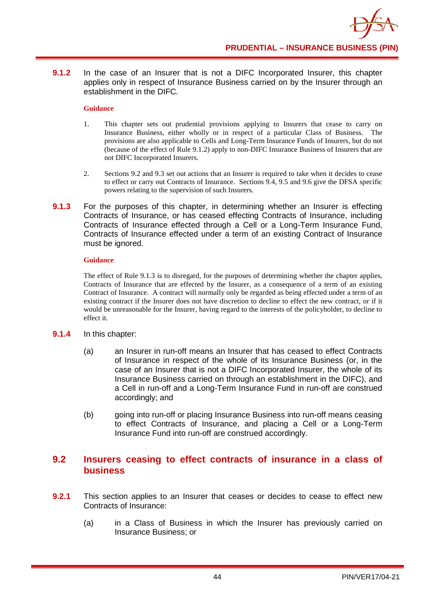**9.1.2** In the case of an Insurer that is not a DIFC Incorporated Insurer, this chapter applies only in respect of Insurance Business carried on by the Insurer through an establishment in the DIFC.

### **Guidance**

- 1. This chapter sets out prudential provisions applying to Insurers that cease to carry on Insurance Business, either wholly or in respect of a particular Class of Business. The provisions are also applicable to Cells and Long-Term Insurance Funds of Insurers, but do not (because of the effect of Rule 9.1.2) apply to non-DIFC Insurance Business of Insurers that are not DIFC Incorporated Insurers.
- 2. Sections 9.2 and 9.3 set out actions that an Insurer is required to take when it decides to cease to effect or carry out Contracts of Insurance. Sections 9.4, 9.5 and 9.6 give the DFSA specific powers relating to the supervision of such Insurers.
- **9.1.3** For the purposes of this chapter, in determining whether an Insurer is effecting Contracts of Insurance, or has ceased effecting Contracts of Insurance, including Contracts of Insurance effected through a Cell or a Long-Term Insurance Fund, Contracts of Insurance effected under a term of an existing Contract of Insurance must be ignored.

### **Guidance**

The effect of Rule 9.1.3 is to disregard, for the purposes of determining whether the chapter applies, Contracts of Insurance that are effected by the Insurer, as a consequence of a term of an existing Contract of Insurance. A contract will normally only be regarded as being effected under a term of an existing contract if the Insurer does not have discretion to decline to effect the new contract, or if it would be unreasonable for the Insurer, having regard to the interests of the policyholder, to decline to effect it.

### **9.1.4** In this chapter:

- (a) an Insurer in run-off means an Insurer that has ceased to effect Contracts of Insurance in respect of the whole of its Insurance Business (or, in the case of an Insurer that is not a DIFC Incorporated Insurer, the whole of its Insurance Business carried on through an establishment in the DIFC), and a Cell in run-off and a Long-Term Insurance Fund in run-off are construed accordingly; and
- (b) going into run-off or placing Insurance Business into run-off means ceasing to effect Contracts of Insurance, and placing a Cell or a Long-Term Insurance Fund into run-off are construed accordingly.

### **9.2 Insurers ceasing to effect contracts of insurance in a class of business**

- **9.2.1** This section applies to an Insurer that ceases or decides to cease to effect new Contracts of Insurance:
	- (a) in a Class of Business in which the Insurer has previously carried on Insurance Business; or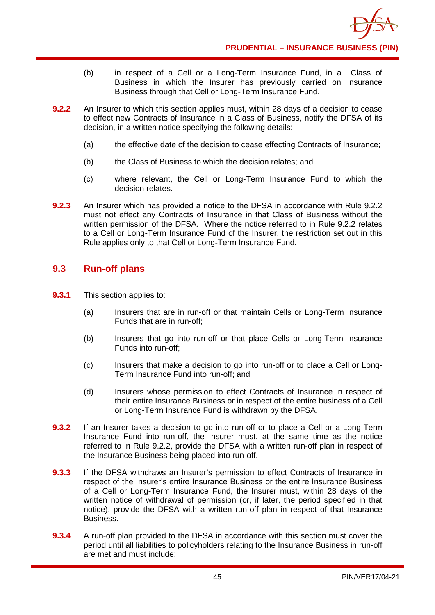

- (b) in respect of a Cell or a Long-Term Insurance Fund, in a Class of Business in which the Insurer has previously carried on Insurance Business through that Cell or Long-Term Insurance Fund.
- **9.2.2** An Insurer to which this section applies must, within 28 days of a decision to cease to effect new Contracts of Insurance in a Class of Business, notify the DFSA of its decision, in a written notice specifying the following details:
	- (a) the effective date of the decision to cease effecting Contracts of Insurance;
	- (b) the Class of Business to which the decision relates; and
	- (c) where relevant, the Cell or Long-Term Insurance Fund to which the decision relates.
- **9.2.3** An Insurer which has provided a notice to the DFSA in accordance with Rule 9.2.2 must not effect any Contracts of Insurance in that Class of Business without the written permission of the DFSA. Where the notice referred to in Rule 9.2.2 relates to a Cell or Long-Term Insurance Fund of the Insurer, the restriction set out in this Rule applies only to that Cell or Long-Term Insurance Fund.

## **9.3 Run-off plans**

- **9.3.1** This section applies to:
	- (a) Insurers that are in run-off or that maintain Cells or Long-Term Insurance Funds that are in run-off;
	- (b) Insurers that go into run-off or that place Cells or Long-Term Insurance Funds into run-off;
	- (c) Insurers that make a decision to go into run-off or to place a Cell or Long-Term Insurance Fund into run-off; and
	- (d) Insurers whose permission to effect Contracts of Insurance in respect of their entire Insurance Business or in respect of the entire business of a Cell or Long-Term Insurance Fund is withdrawn by the DFSA.
- **9.3.2** If an Insurer takes a decision to go into run-off or to place a Cell or a Long-Term Insurance Fund into run-off, the Insurer must, at the same time as the notice referred to in Rule 9.2.2, provide the DFSA with a written run-off plan in respect of the Insurance Business being placed into run-off.
- **9.3.3** If the DFSA withdraws an Insurer's permission to effect Contracts of Insurance in respect of the Insurer's entire Insurance Business or the entire Insurance Business of a Cell or Long-Term Insurance Fund, the Insurer must, within 28 days of the written notice of withdrawal of permission (or, if later, the period specified in that notice), provide the DFSA with a written run-off plan in respect of that Insurance Business.
- **9.3.4** A run-off plan provided to the DFSA in accordance with this section must cover the period until all liabilities to policyholders relating to the Insurance Business in run-off are met and must include: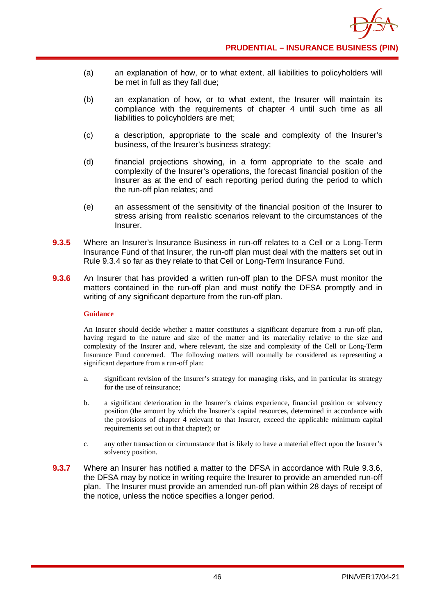

- (a) an explanation of how, or to what extent, all liabilities to policyholders will be met in full as they fall due;
- (b) an explanation of how, or to what extent, the Insurer will maintain its compliance with the requirements of chapter 4 until such time as all liabilities to policyholders are met;
- (c) a description, appropriate to the scale and complexity of the Insurer's business, of the Insurer's business strategy;
- (d) financial projections showing, in a form appropriate to the scale and complexity of the Insurer's operations, the forecast financial position of the Insurer as at the end of each reporting period during the period to which the run-off plan relates; and
- (e) an assessment of the sensitivity of the financial position of the Insurer to stress arising from realistic scenarios relevant to the circumstances of the Insurer.
- **9.3.5** Where an Insurer's Insurance Business in run-off relates to a Cell or a Long-Term Insurance Fund of that Insurer, the run-off plan must deal with the matters set out in Rule 9.3.4 so far as they relate to that Cell or Long-Term Insurance Fund.
- **9.3.6** An Insurer that has provided a written run-off plan to the DFSA must monitor the matters contained in the run-off plan and must notify the DFSA promptly and in writing of any significant departure from the run-off plan.

An Insurer should decide whether a matter constitutes a significant departure from a run-off plan, having regard to the nature and size of the matter and its materiality relative to the size and complexity of the Insurer and, where relevant, the size and complexity of the Cell or Long-Term Insurance Fund concerned. The following matters will normally be considered as representing a significant departure from a run-off plan:

- a. significant revision of the Insurer's strategy for managing risks, and in particular its strategy for the use of reinsurance;
- b. a significant deterioration in the Insurer's claims experience, financial position or solvency position (the amount by which the Insurer's capital resources, determined in accordance with the provisions of chapter 4 relevant to that Insurer, exceed the applicable minimum capital requirements set out in that chapter); or
- c. any other transaction or circumstance that is likely to have a material effect upon the Insurer's solvency position.
- **9.3.7** Where an Insurer has notified a matter to the DFSA in accordance with Rule 9.3.6, the DFSA may by notice in writing require the Insurer to provide an amended run-off plan. The Insurer must provide an amended run-off plan within 28 days of receipt of the notice, unless the notice specifies a longer period.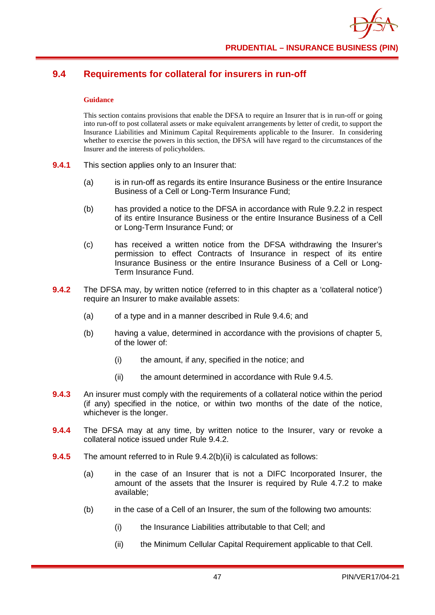# **9.4 Requirements for collateral for insurers in run-off**

### **Guidance**

This section contains provisions that enable the DFSA to require an Insurer that is in run-off or going into run-off to post collateral assets or make equivalent arrangements by letter of credit, to support the Insurance Liabilities and Minimum Capital Requirements applicable to the Insurer. In considering whether to exercise the powers in this section, the DFSA will have regard to the circumstances of the Insurer and the interests of policyholders.

- **9.4.1** This section applies only to an Insurer that:
	- (a) is in run-off as regards its entire Insurance Business or the entire Insurance Business of a Cell or Long-Term Insurance Fund;
	- (b) has provided a notice to the DFSA in accordance with Rule 9.2.2 in respect of its entire Insurance Business or the entire Insurance Business of a Cell or Long-Term Insurance Fund; or
	- (c) has received a written notice from the DFSA withdrawing the Insurer's permission to effect Contracts of Insurance in respect of its entire Insurance Business or the entire Insurance Business of a Cell or Long-Term Insurance Fund.
- **9.4.2** The DFSA may, by written notice (referred to in this chapter as a 'collateral notice') require an Insurer to make available assets:
	- (a) of a type and in a manner described in Rule 9.4.6; and
	- (b) having a value, determined in accordance with the provisions of chapter 5, of the lower of:
		- (i) the amount, if any, specified in the notice; and
		- (ii) the amount determined in accordance with Rule 9.4.5.
- **9.4.3** An insurer must comply with the requirements of a collateral notice within the period (if any) specified in the notice, or within two months of the date of the notice, whichever is the longer.
- **9.4.4** The DFSA may at any time, by written notice to the Insurer, vary or revoke a collateral notice issued under Rule 9.4.2.
- **9.4.5** The amount referred to in Rule 9.4.2(b)(ii) is calculated as follows:
	- (a) in the case of an Insurer that is not a DIFC Incorporated Insurer, the amount of the assets that the Insurer is required by Rule 4.7.2 to make available;
	- (b) in the case of a Cell of an Insurer, the sum of the following two amounts:
		- (i) the Insurance Liabilities attributable to that Cell; and
		- (ii) the Minimum Cellular Capital Requirement applicable to that Cell.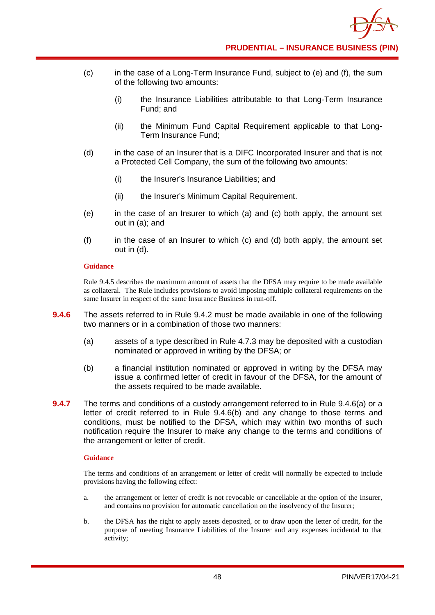

- (c) in the case of a Long-Term Insurance Fund, subject to (e) and (f), the sum of the following two amounts:
	- (i) the Insurance Liabilities attributable to that Long-Term Insurance Fund; and
	- (ii) the Minimum Fund Capital Requirement applicable to that Long-Term Insurance Fund;
- (d) in the case of an Insurer that is a DIFC Incorporated Insurer and that is not a Protected Cell Company, the sum of the following two amounts:
	- (i) the Insurer's Insurance Liabilities; and
	- (ii) the Insurer's Minimum Capital Requirement.
- (e) in the case of an Insurer to which (a) and (c) both apply, the amount set out in (a); and
- (f) in the case of an Insurer to which (c) and (d) both apply, the amount set out in (d).

Rule 9.4.5 describes the maximum amount of assets that the DFSA may require to be made available as collateral. The Rule includes provisions to avoid imposing multiple collateral requirements on the same Insurer in respect of the same Insurance Business in run-off.

- **9.4.6** The assets referred to in Rule 9.4.2 must be made available in one of the following two manners or in a combination of those two manners:
	- (a) assets of a type described in Rule 4.7.3 may be deposited with a custodian nominated or approved in writing by the DFSA; or
	- (b) a financial institution nominated or approved in writing by the DFSA may issue a confirmed letter of credit in favour of the DFSA, for the amount of the assets required to be made available.
- **9.4.7** The terms and conditions of a custody arrangement referred to in Rule 9.4.6(a) or a letter of credit referred to in Rule 9.4.6(b) and any change to those terms and conditions, must be notified to the DFSA, which may within two months of such notification require the Insurer to make any change to the terms and conditions of the arrangement or letter of credit.

### **Guidance**

The terms and conditions of an arrangement or letter of credit will normally be expected to include provisions having the following effect:

- a. the arrangement or letter of credit is not revocable or cancellable at the option of the Insurer, and contains no provision for automatic cancellation on the insolvency of the Insurer;
- b. the DFSA has the right to apply assets deposited, or to draw upon the letter of credit, for the purpose of meeting Insurance Liabilities of the Insurer and any expenses incidental to that activity;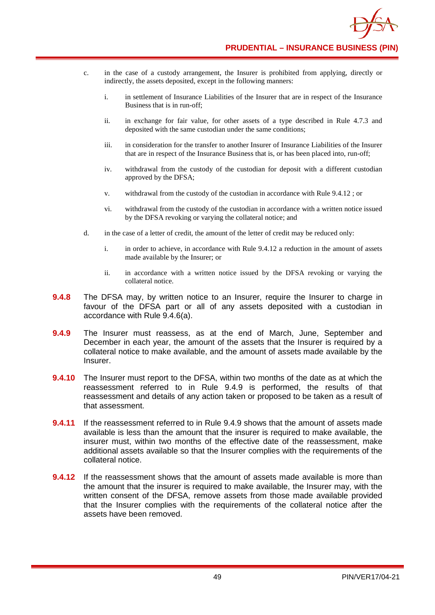

- c. in the case of a custody arrangement, the Insurer is prohibited from applying, directly or indirectly, the assets deposited, except in the following manners:
	- i. in settlement of Insurance Liabilities of the Insurer that are in respect of the Insurance Business that is in run-off;
	- ii. in exchange for fair value, for other assets of a type described in Rule 4.7.3 and deposited with the same custodian under the same conditions;
	- iii. in consideration for the transfer to another Insurer of Insurance Liabilities of the Insurer that are in respect of the Insurance Business that is, or has been placed into, run-off;
	- iv. withdrawal from the custody of the custodian for deposit with a different custodian approved by the DFSA;
	- v. withdrawal from the custody of the custodian in accordance with Rule 9.4.12 ; or
	- vi. withdrawal from the custody of the custodian in accordance with a written notice issued by the DFSA revoking or varying the collateral notice; and
- d. in the case of a letter of credit, the amount of the letter of credit may be reduced only:
	- i. in order to achieve, in accordance with Rule 9.4.12 a reduction in the amount of assets made available by the Insurer; or
	- ii. in accordance with a written notice issued by the DFSA revoking or varying the collateral notice.
- **9.4.8** The DFSA may, by written notice to an Insurer, require the Insurer to charge in favour of the DFSA part or all of any assets deposited with a custodian in accordance with Rule 9.4.6(a).
- **9.4.9** The Insurer must reassess, as at the end of March, June, September and December in each year, the amount of the assets that the Insurer is required by a collateral notice to make available, and the amount of assets made available by the Insurer.
- **9.4.10** The Insurer must report to the DFSA, within two months of the date as at which the reassessment referred to in Rule 9.4.9 is performed, the results of that reassessment and details of any action taken or proposed to be taken as a result of that assessment.
- **9.4.11** If the reassessment referred to in Rule 9.4.9 shows that the amount of assets made available is less than the amount that the insurer is required to make available, the insurer must, within two months of the effective date of the reassessment, make additional assets available so that the Insurer complies with the requirements of the collateral notice.
- **9.4.12** If the reassessment shows that the amount of assets made available is more than the amount that the insurer is required to make available, the Insurer may, with the written consent of the DFSA, remove assets from those made available provided that the Insurer complies with the requirements of the collateral notice after the assets have been removed.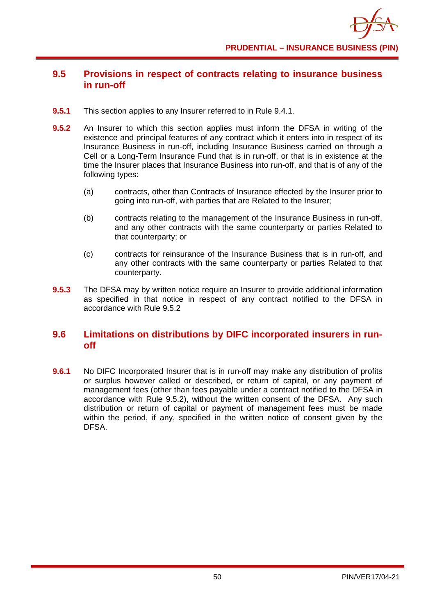## **9.5 Provisions in respect of contracts relating to insurance business in run-off**

- **9.5.1** This section applies to any Insurer referred to in Rule 9.4.1.
- **9.5.2** An Insurer to which this section applies must inform the DFSA in writing of the existence and principal features of any contract which it enters into in respect of its Insurance Business in run-off, including Insurance Business carried on through a Cell or a Long-Term Insurance Fund that is in run-off, or that is in existence at the time the Insurer places that Insurance Business into run-off, and that is of any of the following types:
	- (a) contracts, other than Contracts of Insurance effected by the Insurer prior to going into run-off, with parties that are Related to the Insurer;
	- (b) contracts relating to the management of the Insurance Business in run-off, and any other contracts with the same counterparty or parties Related to that counterparty; or
	- (c) contracts for reinsurance of the Insurance Business that is in run-off, and any other contracts with the same counterparty or parties Related to that counterparty.
- **9.5.3** The DFSA may by written notice require an Insurer to provide additional information as specified in that notice in respect of any contract notified to the DFSA in accordance with Rule 9.5.2

## **9.6 Limitations on distributions by DIFC incorporated insurers in runoff**

**9.6.1** No DIFC Incorporated Insurer that is in run-off may make any distribution of profits or surplus however called or described, or return of capital, or any payment of management fees (other than fees payable under a contract notified to the DFSA in accordance with Rule 9.5.2), without the written consent of the DFSA. Any such distribution or return of capital or payment of management fees must be made within the period, if any, specified in the written notice of consent given by the DFSA.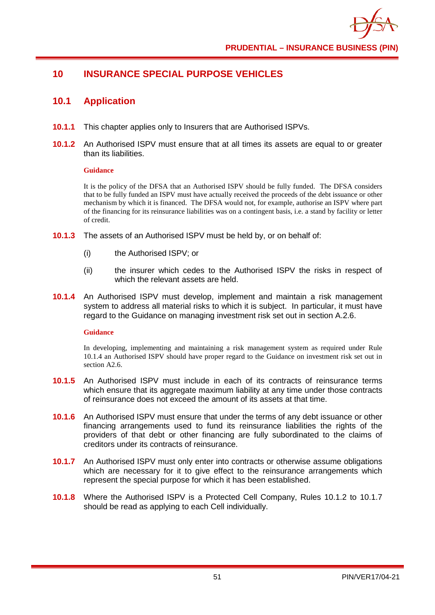## **10 INSURANCE SPECIAL PURPOSE VEHICLES**

## **10.1 Application**

- **10.1.1** This chapter applies only to Insurers that are Authorised ISPVs.
- **10.1.2** An Authorised ISPV must ensure that at all times its assets are equal to or greater than its liabilities.

### **Guidance**

It is the policy of the DFSA that an Authorised ISPV should be fully funded. The DFSA considers that to be fully funded an ISPV must have actually received the proceeds of the debt issuance or other mechanism by which it is financed. The DFSA would not, for example, authorise an ISPV where part of the financing for its reinsurance liabilities was on a contingent basis, i.e. a stand by facility or letter of credit.

- **10.1.3** The assets of an Authorised ISPV must be held by, or on behalf of:
	- (i) the Authorised ISPV; or
	- (ii) the insurer which cedes to the Authorised ISPV the risks in respect of which the relevant assets are held.
- **10.1.4** An Authorised ISPV must develop, implement and maintain a risk management system to address all material risks to which it is subject. In particular, it must have regard to the Guidance on managing investment risk set out in section A.2.6.

### **Guidance**

In developing, implementing and maintaining a risk management system as required under Rule 10.1.4 an Authorised ISPV should have proper regard to the Guidance on investment risk set out in section A2.6.

- **10.1.5** An Authorised ISPV must include in each of its contracts of reinsurance terms which ensure that its aggregate maximum liability at any time under those contracts of reinsurance does not exceed the amount of its assets at that time.
- **10.1.6** An Authorised ISPV must ensure that under the terms of any debt issuance or other financing arrangements used to fund its reinsurance liabilities the rights of the providers of that debt or other financing are fully subordinated to the claims of creditors under its contracts of reinsurance.
- **10.1.7** An Authorised ISPV must only enter into contracts or otherwise assume obligations which are necessary for it to give effect to the reinsurance arrangements which represent the special purpose for which it has been established.
- **10.1.8** Where the Authorised ISPV is a Protected Cell Company, Rules 10.1.2 to 10.1.7 should be read as applying to each Cell individually.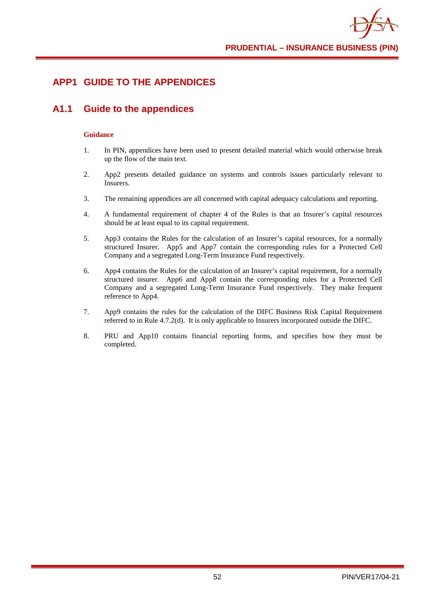## **APP1 GUIDE TO THE APPENDICES**

## **A1.1 Guide to the appendices**

- 1. In PIN, appendices have been used to present detailed material which would otherwise break up the flow of the main text.
- 2. App2 presents detailed guidance on systems and controls issues particularly relevant to Insurers.
- 3. The remaining appendices are all concerned with capital adequacy calculations and reporting.
- 4. A fundamental requirement of chapter 4 of the Rules is that an Insurer's capital resources should be at least equal to its capital requirement.
- 5. App3 contains the Rules for the calculation of an Insurer's capital resources, for a normally structured Insurer. App5 and App7 contain the corresponding rules for a Protected Cell Company and a segregated Long-Term Insurance Fund respectively.
- 6. App4 contains the Rules for the calculation of an Insurer's capital requirement, for a normally structured insurer. App6 and App8 contain the corresponding rules for a Protected Cell Company and a segregated Long-Term Insurance Fund respectively. They make frequent reference to App4.
- 7. App9 contains the rules for the calculation of the DIFC Business Risk Capital Requirement referred to in Rule 4.7.2(d). It is only applicable to Insurers incorporated outside the DIFC.
- 8. PRU and App10 contains financial reporting forms, and specifies how they must be completed.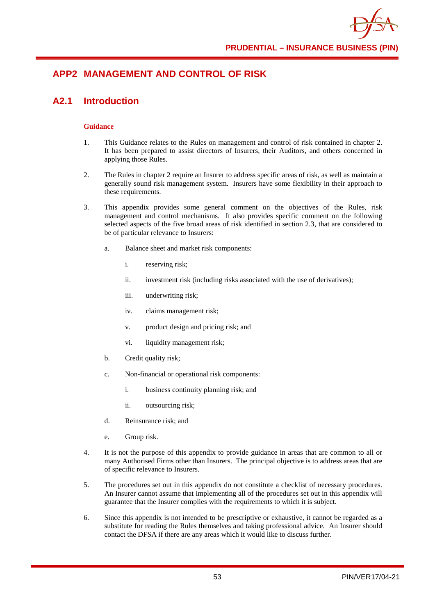# **APP2 MANAGEMENT AND CONTROL OF RISK**

## **A2.1 Introduction**

- 1. This Guidance relates to the Rules on management and control of risk contained in chapter 2. It has been prepared to assist directors of Insurers, their Auditors, and others concerned in applying those Rules.
- 2. The Rules in chapter 2 require an Insurer to address specific areas of risk, as well as maintain a generally sound risk management system. Insurers have some flexibility in their approach to these requirements.
- 3. This appendix provides some general comment on the objectives of the Rules, risk management and control mechanisms. It also provides specific comment on the following selected aspects of the five broad areas of risk identified in section 2.3, that are considered to be of particular relevance to Insurers:
	- a. Balance sheet and market risk components:
		- i. reserving risk;
		- ii. investment risk (including risks associated with the use of derivatives);
		- iii. underwriting risk;
		- iv. claims management risk;
		- v. product design and pricing risk; and
		- vi. liquidity management risk;
	- b. Credit quality risk;
	- c. Non-financial or operational risk components:
		- i. business continuity planning risk; and
		- ii. outsourcing risk;
	- d. Reinsurance risk; and
	- e. Group risk.
- 4. It is not the purpose of this appendix to provide guidance in areas that are common to all or many Authorised Firms other than Insurers. The principal objective is to address areas that are of specific relevance to Insurers.
- 5. The procedures set out in this appendix do not constitute a checklist of necessary procedures. An Insurer cannot assume that implementing all of the procedures set out in this appendix will guarantee that the Insurer complies with the requirements to which it is subject.
- 6. Since this appendix is not intended to be prescriptive or exhaustive, it cannot be regarded as a substitute for reading the Rules themselves and taking professional advice. An Insurer should contact the DFSA if there are any areas which it would like to discuss further.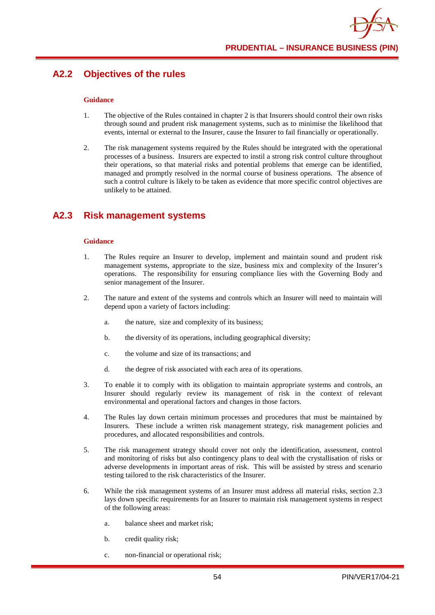## **A2.2 Objectives of the rules**

### **Guidance**

- 1. The objective of the Rules contained in chapter 2 is that Insurers should control their own risks through sound and prudent risk management systems, such as to minimise the likelihood that events, internal or external to the Insurer, cause the Insurer to fail financially or operationally.
- 2. The risk management systems required by the Rules should be integrated with the operational processes of a business. Insurers are expected to instil a strong risk control culture throughout their operations, so that material risks and potential problems that emerge can be identified, managed and promptly resolved in the normal course of business operations. The absence of such a control culture is likely to be taken as evidence that more specific control objectives are unlikely to be attained.

## **A2.3 Risk management systems**

- 1. The Rules require an Insurer to develop, implement and maintain sound and prudent risk management systems, appropriate to the size, business mix and complexity of the Insurer's operations. The responsibility for ensuring compliance lies with the Governing Body and senior management of the Insurer.
- 2. The nature and extent of the systems and controls which an Insurer will need to maintain will depend upon a variety of factors including:
	- a. the nature, size and complexity of its business;
	- b. the diversity of its operations, including geographical diversity;
	- c. the volume and size of its transactions; and
	- d. the degree of risk associated with each area of its operations.
- 3. To enable it to comply with its obligation to maintain appropriate systems and controls, an Insurer should regularly review its management of risk in the context of relevant environmental and operational factors and changes in those factors.
- 4. The Rules lay down certain minimum processes and procedures that must be maintained by Insurers. These include a written risk management strategy, risk management policies and procedures, and allocated responsibilities and controls.
- 5. The risk management strategy should cover not only the identification, assessment, control and monitoring of risks but also contingency plans to deal with the crystallisation of risks or adverse developments in important areas of risk. This will be assisted by stress and scenario testing tailored to the risk characteristics of the Insurer.
- 6. While the risk management systems of an Insurer must address all material risks, section 2.3 lays down specific requirements for an Insurer to maintain risk management systems in respect of the following areas:
	- a. balance sheet and market risk;
	- b. credit quality risk;
	- c. non-financial or operational risk;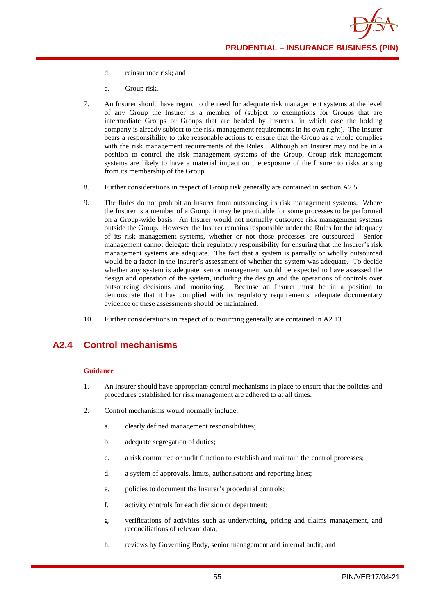- d. reinsurance risk; and
- e. Group risk.
- 7. An Insurer should have regard to the need for adequate risk management systems at the level of any Group the Insurer is a member of (subject to exemptions for Groups that are intermediate Groups or Groups that are headed by Insurers, in which case the holding company is already subject to the risk management requirements in its own right). The Insurer bears a responsibility to take reasonable actions to ensure that the Group as a whole complies with the risk management requirements of the Rules. Although an Insurer may not be in a position to control the risk management systems of the Group, Group risk management systems are likely to have a material impact on the exposure of the Insurer to risks arising from its membership of the Group.
- 8. Further considerations in respect of Group risk generally are contained in section A2.5.
- 9. The Rules do not prohibit an Insurer from outsourcing its risk management systems. Where the Insurer is a member of a Group, it may be practicable for some processes to be performed on a Group-wide basis. An Insurer would not normally outsource risk management systems outside the Group. However the Insurer remains responsible under the Rules for the adequacy of its risk management systems, whether or not those processes are outsourced. Senior management cannot delegate their regulatory responsibility for ensuring that the Insurer's risk management systems are adequate. The fact that a system is partially or wholly outsourced would be a factor in the Insurer's assessment of whether the system was adequate. To decide whether any system is adequate, senior management would be expected to have assessed the design and operation of the system, including the design and the operations of controls over outsourcing decisions and monitoring. Because an Insurer must be in a position to demonstrate that it has complied with its regulatory requirements, adequate documentary evidence of these assessments should be maintained.
- 10. Further considerations in respect of outsourcing generally are contained in A2.13.

# **A2.4 Control mechanisms**

- 1. An Insurer should have appropriate control mechanisms in place to ensure that the policies and procedures established for risk management are adhered to at all times.
- 2. Control mechanisms would normally include:
	- a. clearly defined management responsibilities;
	- b. adequate segregation of duties;
	- c. a risk committee or audit function to establish and maintain the control processes;
	- d. a system of approvals, limits, authorisations and reporting lines;
	- e. policies to document the Insurer's procedural controls;
	- f. activity controls for each division or department;
	- g. verifications of activities such as underwriting, pricing and claims management, and reconciliations of relevant data;
	- h. reviews by Governing Body, senior management and internal audit; and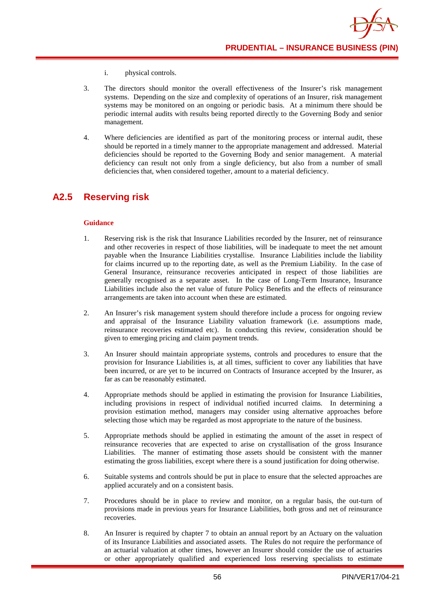- i. physical controls.
- 3. The directors should monitor the overall effectiveness of the Insurer's risk management systems. Depending on the size and complexity of operations of an Insurer, risk management systems may be monitored on an ongoing or periodic basis. At a minimum there should be periodic internal audits with results being reported directly to the Governing Body and senior management.
- 4. Where deficiencies are identified as part of the monitoring process or internal audit, these should be reported in a timely manner to the appropriate management and addressed. Material deficiencies should be reported to the Governing Body and senior management. A material deficiency can result not only from a single deficiency, but also from a number of small deficiencies that, when considered together, amount to a material deficiency.

## **A2.5 Reserving risk**

- 1. Reserving risk is the risk that Insurance Liabilities recorded by the Insurer, net of reinsurance and other recoveries in respect of those liabilities, will be inadequate to meet the net amount payable when the Insurance Liabilities crystallise. Insurance Liabilities include the liability for claims incurred up to the reporting date, as well as the Premium Liability. In the case of General Insurance, reinsurance recoveries anticipated in respect of those liabilities are generally recognised as a separate asset. In the case of Long-Term Insurance, Insurance Liabilities include also the net value of future Policy Benefits and the effects of reinsurance arrangements are taken into account when these are estimated.
- 2. An Insurer's risk management system should therefore include a process for ongoing review and appraisal of the Insurance Liability valuation framework (i.e. assumptions made, reinsurance recoveries estimated etc). In conducting this review, consideration should be given to emerging pricing and claim payment trends.
- 3. An Insurer should maintain appropriate systems, controls and procedures to ensure that the provision for Insurance Liabilities is, at all times, sufficient to cover any liabilities that have been incurred, or are yet to be incurred on Contracts of Insurance accepted by the Insurer, as far as can be reasonably estimated.
- 4. Appropriate methods should be applied in estimating the provision for Insurance Liabilities, including provisions in respect of individual notified incurred claims. In determining a provision estimation method, managers may consider using alternative approaches before selecting those which may be regarded as most appropriate to the nature of the business.
- 5. Appropriate methods should be applied in estimating the amount of the asset in respect of reinsurance recoveries that are expected to arise on crystallisation of the gross Insurance Liabilities. The manner of estimating those assets should be consistent with the manner estimating the gross liabilities, except where there is a sound justification for doing otherwise.
- 6. Suitable systems and controls should be put in place to ensure that the selected approaches are applied accurately and on a consistent basis.
- 7. Procedures should be in place to review and monitor, on a regular basis, the out-turn of provisions made in previous years for Insurance Liabilities, both gross and net of reinsurance recoveries.
- 8. An Insurer is required by chapter 7 to obtain an annual report by an Actuary on the valuation of its Insurance Liabilities and associated assets. The Rules do not require the performance of an actuarial valuation at other times, however an Insurer should consider the use of actuaries or other appropriately qualified and experienced loss reserving specialists to estimate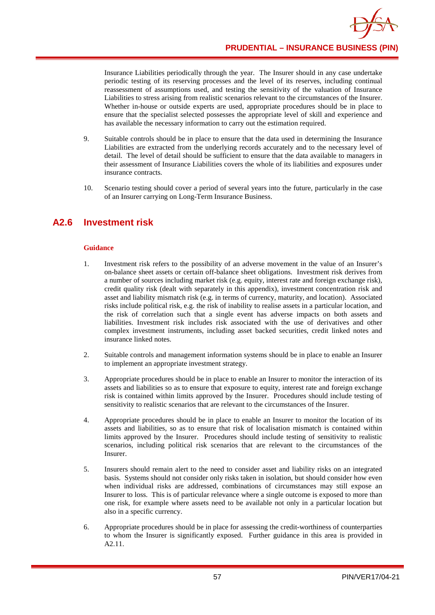

Insurance Liabilities periodically through the year. The Insurer should in any case undertake periodic testing of its reserving processes and the level of its reserves, including continual reassessment of assumptions used, and testing the sensitivity of the valuation of Insurance Liabilities to stress arising from realistic scenarios relevant to the circumstances of the Insurer. Whether in-house or outside experts are used, appropriate procedures should be in place to ensure that the specialist selected possesses the appropriate level of skill and experience and has available the necessary information to carry out the estimation required.

- 9. Suitable controls should be in place to ensure that the data used in determining the Insurance Liabilities are extracted from the underlying records accurately and to the necessary level of detail. The level of detail should be sufficient to ensure that the data available to managers in their assessment of Insurance Liabilities covers the whole of its liabilities and exposures under insurance contracts.
- 10. Scenario testing should cover a period of several years into the future, particularly in the case of an Insurer carrying on Long-Term Insurance Business.

## **A2.6 Investment risk**

- 1. Investment risk refers to the possibility of an adverse movement in the value of an Insurer's on-balance sheet assets or certain off-balance sheet obligations. Investment risk derives from a number of sources including market risk (e.g. equity, interest rate and foreign exchange risk), credit quality risk (dealt with separately in this appendix), investment concentration risk and asset and liability mismatch risk (e.g. in terms of currency, maturity, and location). Associated risks include political risk, e.g. the risk of inability to realise assets in a particular location, and the risk of correlation such that a single event has adverse impacts on both assets and liabilities. Investment risk includes risk associated with the use of derivatives and other complex investment instruments, including asset backed securities, credit linked notes and insurance linked notes.
- 2. Suitable controls and management information systems should be in place to enable an Insurer to implement an appropriate investment strategy.
- 3. Appropriate procedures should be in place to enable an Insurer to monitor the interaction of its assets and liabilities so as to ensure that exposure to equity, interest rate and foreign exchange risk is contained within limits approved by the Insurer. Procedures should include testing of sensitivity to realistic scenarios that are relevant to the circumstances of the Insurer.
- 4. Appropriate procedures should be in place to enable an Insurer to monitor the location of its assets and liabilities, so as to ensure that risk of localisation mismatch is contained within limits approved by the Insurer. Procedures should include testing of sensitivity to realistic scenarios, including political risk scenarios that are relevant to the circumstances of the Insurer.
- 5. Insurers should remain alert to the need to consider asset and liability risks on an integrated basis. Systems should not consider only risks taken in isolation, but should consider how even when individual risks are addressed, combinations of circumstances may still expose an Insurer to loss. This is of particular relevance where a single outcome is exposed to more than one risk, for example where assets need to be available not only in a particular location but also in a specific currency.
- 6. Appropriate procedures should be in place for assessing the credit-worthiness of counterparties to whom the Insurer is significantly exposed. Further guidance in this area is provided in A2.11.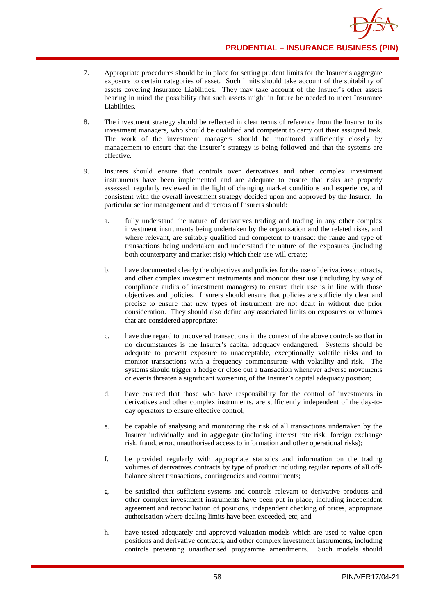

- 7. Appropriate procedures should be in place for setting prudent limits for the Insurer's aggregate exposure to certain categories of asset. Such limits should take account of the suitability of assets covering Insurance Liabilities. They may take account of the Insurer's other assets bearing in mind the possibility that such assets might in future be needed to meet Insurance Liabilities.
- 8. The investment strategy should be reflected in clear terms of reference from the Insurer to its investment managers, who should be qualified and competent to carry out their assigned task. The work of the investment managers should be monitored sufficiently closely by management to ensure that the Insurer's strategy is being followed and that the systems are effective.
- 9. Insurers should ensure that controls over derivatives and other complex investment instruments have been implemented and are adequate to ensure that risks are properly assessed, regularly reviewed in the light of changing market conditions and experience, and consistent with the overall investment strategy decided upon and approved by the Insurer. In particular senior management and directors of Insurers should:
	- a. fully understand the nature of derivatives trading and trading in any other complex investment instruments being undertaken by the organisation and the related risks, and where relevant, are suitably qualified and competent to transact the range and type of transactions being undertaken and understand the nature of the exposures (including both counterparty and market risk) which their use will create;
	- b. have documented clearly the objectives and policies for the use of derivatives contracts, and other complex investment instruments and monitor their use (including by way of compliance audits of investment managers) to ensure their use is in line with those objectives and policies. Insurers should ensure that policies are sufficiently clear and precise to ensure that new types of instrument are not dealt in without due prior consideration. They should also define any associated limits on exposures or volumes that are considered appropriate;
	- c. have due regard to uncovered transactions in the context of the above controls so that in no circumstances is the Insurer's capital adequacy endangered. Systems should be adequate to prevent exposure to unacceptable, exceptionally volatile risks and to monitor transactions with a frequency commensurate with volatility and risk. The systems should trigger a hedge or close out a transaction whenever adverse movements or events threaten a significant worsening of the Insurer's capital adequacy position;
	- d. have ensured that those who have responsibility for the control of investments in derivatives and other complex instruments, are sufficiently independent of the day-today operators to ensure effective control;
	- e. be capable of analysing and monitoring the risk of all transactions undertaken by the Insurer individually and in aggregate (including interest rate risk, foreign exchange risk, fraud, error, unauthorised access to information and other operational risks);
	- f. be provided regularly with appropriate statistics and information on the trading volumes of derivatives contracts by type of product including regular reports of all offbalance sheet transactions, contingencies and commitments;
	- g. be satisfied that sufficient systems and controls relevant to derivative products and other complex investment instruments have been put in place, including independent agreement and reconciliation of positions, independent checking of prices, appropriate authorisation where dealing limits have been exceeded, etc; and
	- h. have tested adequately and approved valuation models which are used to value open positions and derivative contracts, and other complex investment instruments, including controls preventing unauthorised programme amendments. Such models should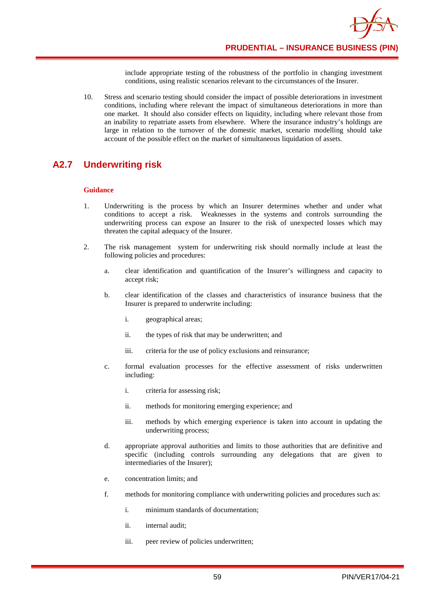**PRUDENTIAL – INSURANCE BUSINESS (PIN)**

include appropriate testing of the robustness of the portfolio in changing investment conditions, using realistic scenarios relevant to the circumstances of the Insurer.

10. Stress and scenario testing should consider the impact of possible deteriorations in investment conditions, including where relevant the impact of simultaneous deteriorations in more than one market. It should also consider effects on liquidity, including where relevant those from an inability to repatriate assets from elsewhere. Where the insurance industry's holdings are large in relation to the turnover of the domestic market, scenario modelling should take account of the possible effect on the market of simultaneous liquidation of assets.

# **A2.7 Underwriting risk**

- 1. Underwriting is the process by which an Insurer determines whether and under what conditions to accept a risk. Weaknesses in the systems and controls surrounding the underwriting process can expose an Insurer to the risk of unexpected losses which may threaten the capital adequacy of the Insurer.
- 2. The risk management system for underwriting risk should normally include at least the following policies and procedures:
	- a. clear identification and quantification of the Insurer's willingness and capacity to accept risk;
	- b. clear identification of the classes and characteristics of insurance business that the Insurer is prepared to underwrite including:
		- i. geographical areas;
		- ii. the types of risk that may be underwritten; and
		- iii. criteria for the use of policy exclusions and reinsurance;
	- c. formal evaluation processes for the effective assessment of risks underwritten including:
		- i. criteria for assessing risk;
		- ii. methods for monitoring emerging experience; and
		- iii. methods by which emerging experience is taken into account in updating the underwriting process;
	- d. appropriate approval authorities and limits to those authorities that are definitive and specific (including controls surrounding any delegations that are given to intermediaries of the Insurer);
	- e. concentration limits; and
	- f. methods for monitoring compliance with underwriting policies and procedures such as:
		- i. minimum standards of documentation;
		- ii. internal audit;
		- iii. peer review of policies underwritten;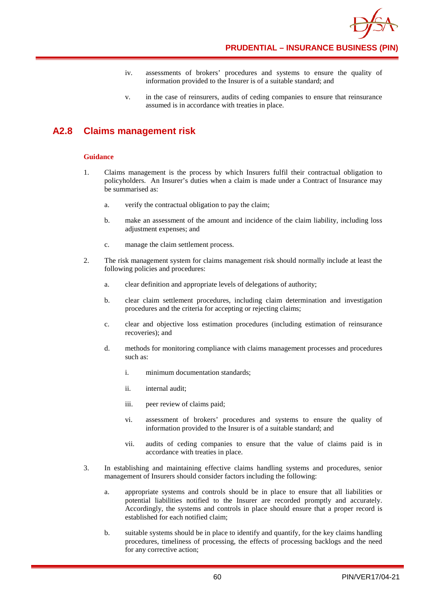

**PRUDENTIAL – INSURANCE BUSINESS (PIN)**

- iv. assessments of brokers' procedures and systems to ensure the quality of information provided to the Insurer is of a suitable standard; and
- v. in the case of reinsurers, audits of ceding companies to ensure that reinsurance assumed is in accordance with treaties in place.

## **A2.8 Claims management risk**

- 1. Claims management is the process by which Insurers fulfil their contractual obligation to policyholders. An Insurer's duties when a claim is made under a Contract of Insurance may be summarised as:
	- a. verify the contractual obligation to pay the claim;
	- b. make an assessment of the amount and incidence of the claim liability, including loss adjustment expenses; and
	- c. manage the claim settlement process.
- 2. The risk management system for claims management risk should normally include at least the following policies and procedures:
	- a. clear definition and appropriate levels of delegations of authority;
	- b. clear claim settlement procedures, including claim determination and investigation procedures and the criteria for accepting or rejecting claims;
	- c. clear and objective loss estimation procedures (including estimation of reinsurance recoveries); and
	- d. methods for monitoring compliance with claims management processes and procedures such as:
		- i. minimum documentation standards;
		- ii. internal audit;
		- iii. peer review of claims paid;
		- vi. assessment of brokers' procedures and systems to ensure the quality of information provided to the Insurer is of a suitable standard; and
		- vii. audits of ceding companies to ensure that the value of claims paid is in accordance with treaties in place.
- 3. In establishing and maintaining effective claims handling systems and procedures, senior management of Insurers should consider factors including the following:
	- a. appropriate systems and controls should be in place to ensure that all liabilities or potential liabilities notified to the Insurer are recorded promptly and accurately. Accordingly, the systems and controls in place should ensure that a proper record is established for each notified claim;
	- b. suitable systems should be in place to identify and quantify, for the key claims handling procedures, timeliness of processing, the effects of processing backlogs and the need for any corrective action;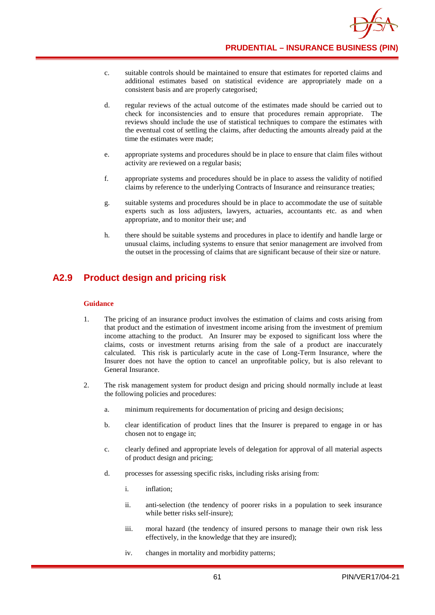

- c. suitable controls should be maintained to ensure that estimates for reported claims and additional estimates based on statistical evidence are appropriately made on a consistent basis and are properly categorised;
- d. regular reviews of the actual outcome of the estimates made should be carried out to check for inconsistencies and to ensure that procedures remain appropriate. The reviews should include the use of statistical techniques to compare the estimates with the eventual cost of settling the claims, after deducting the amounts already paid at the time the estimates were made;
- e. appropriate systems and procedures should be in place to ensure that claim files without activity are reviewed on a regular basis;
- f. appropriate systems and procedures should be in place to assess the validity of notified claims by reference to the underlying Contracts of Insurance and reinsurance treaties;
- g. suitable systems and procedures should be in place to accommodate the use of suitable experts such as loss adjusters, lawyers, actuaries, accountants etc. as and when appropriate, and to monitor their use; and
- h. there should be suitable systems and procedures in place to identify and handle large or unusual claims, including systems to ensure that senior management are involved from the outset in the processing of claims that are significant because of their size or nature.

## **A2.9 Product design and pricing risk**

- 1. The pricing of an insurance product involves the estimation of claims and costs arising from that product and the estimation of investment income arising from the investment of premium income attaching to the product. An Insurer may be exposed to significant loss where the claims, costs or investment returns arising from the sale of a product are inaccurately calculated. This risk is particularly acute in the case of Long-Term Insurance, where the Insurer does not have the option to cancel an unprofitable policy, but is also relevant to General Insurance.
- 2. The risk management system for product design and pricing should normally include at least the following policies and procedures:
	- a. minimum requirements for documentation of pricing and design decisions;
	- b. clear identification of product lines that the Insurer is prepared to engage in or has chosen not to engage in;
	- c. clearly defined and appropriate levels of delegation for approval of all material aspects of product design and pricing;
	- d. processes for assessing specific risks, including risks arising from:
		- i. inflation;
		- ii. anti-selection (the tendency of poorer risks in a population to seek insurance while better risks self-insure);
		- iii. moral hazard (the tendency of insured persons to manage their own risk less effectively, in the knowledge that they are insured);
		- iv. changes in mortality and morbidity patterns;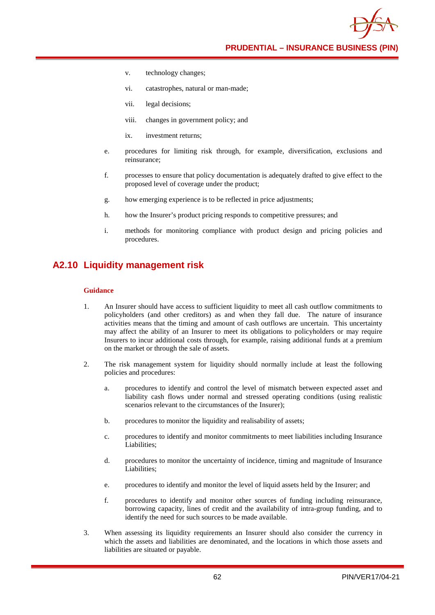**PRUDENTIAL – INSURANCE BUSINESS (PIN)**

- v. technology changes;
- vi. catastrophes, natural or man-made;
- vii. legal decisions;
- viii. changes in government policy; and
- ix. investment returns;
- e. procedures for limiting risk through, for example, diversification, exclusions and reinsurance;
- f. processes to ensure that policy documentation is adequately drafted to give effect to the proposed level of coverage under the product;
- g. how emerging experience is to be reflected in price adjustments;
- h. how the Insurer's product pricing responds to competitive pressures; and
- i. methods for monitoring compliance with product design and pricing policies and procedures.

### **A2.10 Liquidity management risk**

- 1. An Insurer should have access to sufficient liquidity to meet all cash outflow commitments to policyholders (and other creditors) as and when they fall due. The nature of insurance activities means that the timing and amount of cash outflows are uncertain. This uncertainty may affect the ability of an Insurer to meet its obligations to policyholders or may require Insurers to incur additional costs through, for example, raising additional funds at a premium on the market or through the sale of assets.
- 2. The risk management system for liquidity should normally include at least the following policies and procedures:
	- a. procedures to identify and control the level of mismatch between expected asset and liability cash flows under normal and stressed operating conditions (using realistic scenarios relevant to the circumstances of the Insurer);
	- b. procedures to monitor the liquidity and realisability of assets;
	- c. procedures to identify and monitor commitments to meet liabilities including Insurance Liabilities;
	- d. procedures to monitor the uncertainty of incidence, timing and magnitude of Insurance Liabilities;
	- e. procedures to identify and monitor the level of liquid assets held by the Insurer; and
	- f. procedures to identify and monitor other sources of funding including reinsurance, borrowing capacity, lines of credit and the availability of intra-group funding, and to identify the need for such sources to be made available.
- 3. When assessing its liquidity requirements an Insurer should also consider the currency in which the assets and liabilities are denominated, and the locations in which those assets and liabilities are situated or payable.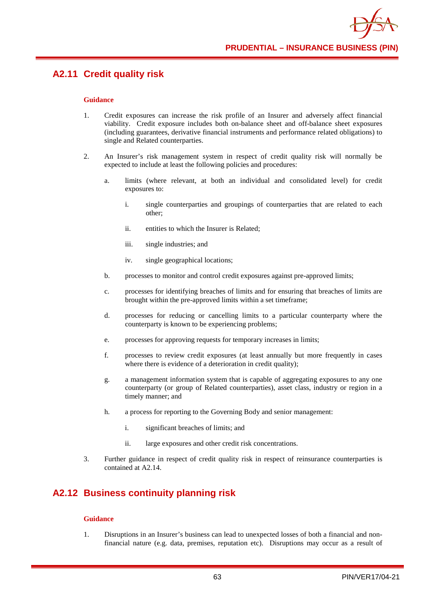## **A2.11 Credit quality risk**

#### **Guidance**

- 1. Credit exposures can increase the risk profile of an Insurer and adversely affect financial viability. Credit exposure includes both on-balance sheet and off-balance sheet exposures (including guarantees, derivative financial instruments and performance related obligations) to single and Related counterparties.
- 2. An Insurer's risk management system in respect of credit quality risk will normally be expected to include at least the following policies and procedures:
	- a. limits (where relevant, at both an individual and consolidated level) for credit exposures to:
		- i. single counterparties and groupings of counterparties that are related to each other;
		- ii. entities to which the Insurer is Related;
		- iii. single industries; and
		- iv. single geographical locations;
	- b. processes to monitor and control credit exposures against pre-approved limits;
	- c. processes for identifying breaches of limits and for ensuring that breaches of limits are brought within the pre-approved limits within a set timeframe;
	- d. processes for reducing or cancelling limits to a particular counterparty where the counterparty is known to be experiencing problems;
	- e. processes for approving requests for temporary increases in limits;
	- f. processes to review credit exposures (at least annually but more frequently in cases where there is evidence of a deterioration in credit quality);
	- g. a management information system that is capable of aggregating exposures to any one counterparty (or group of Related counterparties), asset class, industry or region in a timely manner; and
	- h. a process for reporting to the Governing Body and senior management:
		- i. significant breaches of limits; and
		- ii. large exposures and other credit risk concentrations.
- 3. Further guidance in respect of credit quality risk in respect of reinsurance counterparties is contained at A2.14.

## **A2.12 Business continuity planning risk**

#### **Guidance**

1. Disruptions in an Insurer's business can lead to unexpected losses of both a financial and nonfinancial nature (e.g. data, premises, reputation etc). Disruptions may occur as a result of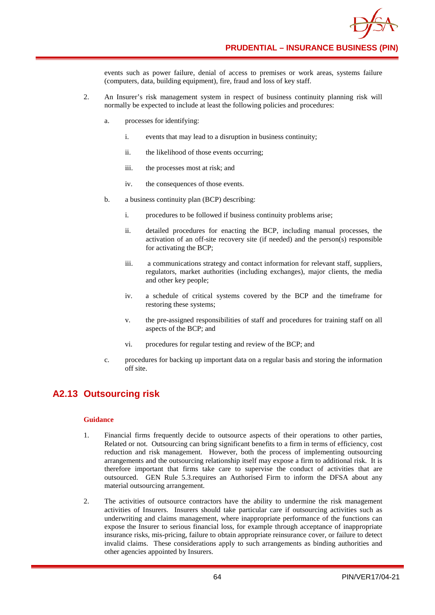

events such as power failure, denial of access to premises or work areas, systems failure (computers, data, building equipment), fire, fraud and loss of key staff.

- 2. An Insurer's risk management system in respect of business continuity planning risk will normally be expected to include at least the following policies and procedures:
	- a. processes for identifying:
		- i. events that may lead to a disruption in business continuity;
		- ii. the likelihood of those events occurring;
		- iii. the processes most at risk; and
		- iv. the consequences of those events.
	- b. a business continuity plan (BCP) describing:
		- i. procedures to be followed if business continuity problems arise;
		- ii. detailed procedures for enacting the BCP, including manual processes, the activation of an off-site recovery site (if needed) and the person(s) responsible for activating the BCP;
		- iii. a communications strategy and contact information for relevant staff, suppliers, regulators, market authorities (including exchanges), major clients, the media and other key people;
		- iv. a schedule of critical systems covered by the BCP and the timeframe for restoring these systems;
		- v. the pre-assigned responsibilities of staff and procedures for training staff on all aspects of the BCP; and
		- vi. procedures for regular testing and review of the BCP; and
	- c. procedures for backing up important data on a regular basis and storing the information off site.

## **A2.13 Outsourcing risk**

- 1. Financial firms frequently decide to outsource aspects of their operations to other parties, Related or not. Outsourcing can bring significant benefits to a firm in terms of efficiency, cost reduction and risk management. However, both the process of implementing outsourcing arrangements and the outsourcing relationship itself may expose a firm to additional risk. It is therefore important that firms take care to supervise the conduct of activities that are outsourced. GEN Rule 5.3.requires an Authorised Firm to inform the DFSA about any material outsourcing arrangement.
- 2. The activities of outsource contractors have the ability to undermine the risk management activities of Insurers. Insurers should take particular care if outsourcing activities such as underwriting and claims management, where inappropriate performance of the functions can expose the Insurer to serious financial loss, for example through acceptance of inappropriate insurance risks, mis-pricing, failure to obtain appropriate reinsurance cover, or failure to detect invalid claims. These considerations apply to such arrangements as binding authorities and other agencies appointed by Insurers.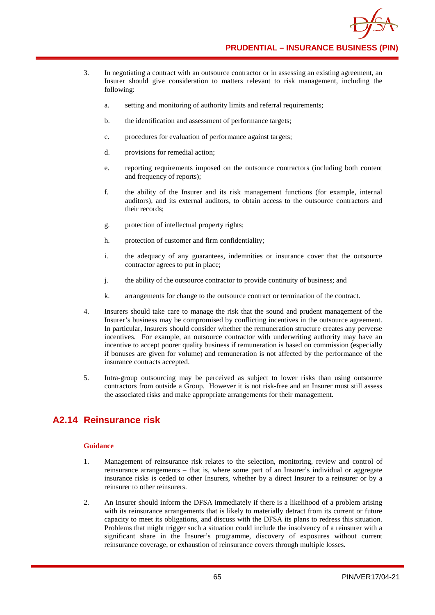

**PRUDENTIAL – INSURANCE BUSINESS (PIN)**

- 3. In negotiating a contract with an outsource contractor or in assessing an existing agreement, an Insurer should give consideration to matters relevant to risk management, including the following:
	- a. setting and monitoring of authority limits and referral requirements;
	- b. the identification and assessment of performance targets;
	- c. procedures for evaluation of performance against targets;
	- d. provisions for remedial action;
	- e. reporting requirements imposed on the outsource contractors (including both content and frequency of reports);
	- f. the ability of the Insurer and its risk management functions (for example, internal auditors), and its external auditors, to obtain access to the outsource contractors and their records;
	- g. protection of intellectual property rights;
	- h. protection of customer and firm confidentiality;
	- i. the adequacy of any guarantees, indemnities or insurance cover that the outsource contractor agrees to put in place;
	- j. the ability of the outsource contractor to provide continuity of business; and
	- k. arrangements for change to the outsource contract or termination of the contract.
- 4. Insurers should take care to manage the risk that the sound and prudent management of the Insurer's business may be compromised by conflicting incentives in the outsource agreement. In particular, Insurers should consider whether the remuneration structure creates any perverse incentives. For example, an outsource contractor with underwriting authority may have an incentive to accept poorer quality business if remuneration is based on commission (especially if bonuses are given for volume) and remuneration is not affected by the performance of the insurance contracts accepted.
- 5. Intra-group outsourcing may be perceived as subject to lower risks than using outsource contractors from outside a Group. However it is not risk-free and an Insurer must still assess the associated risks and make appropriate arrangements for their management.

## **A2.14 Reinsurance risk**

- 1. Management of reinsurance risk relates to the selection, monitoring, review and control of reinsurance arrangements – that is, where some part of an Insurer's individual or aggregate insurance risks is ceded to other Insurers, whether by a direct Insurer to a reinsurer or by a reinsurer to other reinsurers.
- 2. An Insurer should inform the DFSA immediately if there is a likelihood of a problem arising with its reinsurance arrangements that is likely to materially detract from its current or future capacity to meet its obligations, and discuss with the DFSA its plans to redress this situation. Problems that might trigger such a situation could include the insolvency of a reinsurer with a significant share in the Insurer's programme, discovery of exposures without current reinsurance coverage, or exhaustion of reinsurance covers through multiple losses.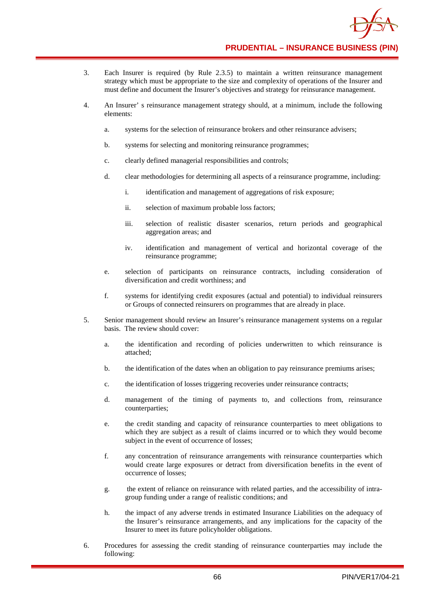

**PRUDENTIAL – INSURANCE BUSINESS (PIN)**

- 3. Each Insurer is required (by Rule 2.3.5) to maintain a written reinsurance management strategy which must be appropriate to the size and complexity of operations of the Insurer and must define and document the Insurer's objectives and strategy for reinsurance management.
- 4. An Insurer' s reinsurance management strategy should, at a minimum, include the following elements:
	- a. systems for the selection of reinsurance brokers and other reinsurance advisers;
	- b. systems for selecting and monitoring reinsurance programmes;
	- c. clearly defined managerial responsibilities and controls;
	- d. clear methodologies for determining all aspects of a reinsurance programme, including:
		- i. identification and management of aggregations of risk exposure;
		- ii. selection of maximum probable loss factors;
		- iii. selection of realistic disaster scenarios, return periods and geographical aggregation areas; and
		- iv. identification and management of vertical and horizontal coverage of the reinsurance programme;
	- e. selection of participants on reinsurance contracts, including consideration of diversification and credit worthiness; and
	- f. systems for identifying credit exposures (actual and potential) to individual reinsurers or Groups of connected reinsurers on programmes that are already in place.
- 5. Senior management should review an Insurer's reinsurance management systems on a regular basis. The review should cover:
	- a. the identification and recording of policies underwritten to which reinsurance is attached;
	- b. the identification of the dates when an obligation to pay reinsurance premiums arises;
	- c. the identification of losses triggering recoveries under reinsurance contracts;
	- d. management of the timing of payments to, and collections from, reinsurance counterparties;
	- e. the credit standing and capacity of reinsurance counterparties to meet obligations to which they are subject as a result of claims incurred or to which they would become subject in the event of occurrence of losses;
	- f. any concentration of reinsurance arrangements with reinsurance counterparties which would create large exposures or detract from diversification benefits in the event of occurrence of losses;
	- g. the extent of reliance on reinsurance with related parties, and the accessibility of intragroup funding under a range of realistic conditions; and
	- h. the impact of any adverse trends in estimated Insurance Liabilities on the adequacy of the Insurer's reinsurance arrangements, and any implications for the capacity of the Insurer to meet its future policyholder obligations.
- 6. Procedures for assessing the credit standing of reinsurance counterparties may include the following: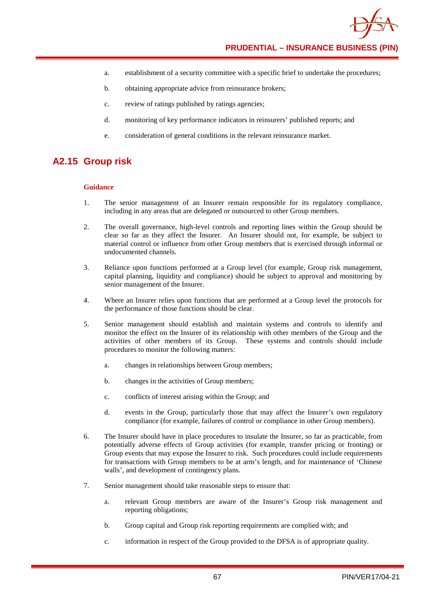

- a. establishment of a security committee with a specific brief to undertake the procedures;
- b. obtaining appropriate advice from reinsurance brokers;
- c. review of ratings published by ratings agencies;
- d. monitoring of key performance indicators in reinsurers' published reports; and
- e. consideration of general conditions in the relevant reinsurance market.

### **A2.15 Group risk**

#### **Guidance**

- 1. The senior management of an Insurer remain responsible for its regulatory compliance, including in any areas that are delegated or outsourced to other Group members.
- 2. The overall governance, high-level controls and reporting lines within the Group should be clear so far as they affect the Insurer. An Insurer should not, for example, be subject to material control or influence from other Group members that is exercised through informal or undocumented channels.
- 3. Reliance upon functions performed at a Group level (for example, Group risk management, capital planning, liquidity and compliance) should be subject to approval and monitoring by senior management of the Insurer.
- 4. Where an Insurer relies upon functions that are performed at a Group level the protocols for the performance of those functions should be clear.
- 5. Senior management should establish and maintain systems and controls to identify and monitor the effect on the Insurer of its relationship with other members of the Group and the activities of other members of its Group. These systems and controls should include procedures to monitor the following matters:
	- a. changes in relationships between Group members;
	- b. changes in the activities of Group members;
	- c. conflicts of interest arising within the Group; and
	- d. events in the Group, particularly those that may affect the Insurer's own regulatory compliance (for example, failures of control or compliance in other Group members).
- 6. The Insurer should have in place procedures to insulate the Insurer, so far as practicable, from potentially adverse effects of Group activities (for example, transfer pricing or fronting) or Group events that may expose the Insurer to risk. Such procedures could include requirements for transactions with Group members to be at arm's length, and for maintenance of 'Chinese walls', and development of contingency plans.
- 7. Senior management should take reasonable steps to ensure that:
	- a. relevant Group members are aware of the Insurer's Group risk management and reporting obligations;
	- b. Group capital and Group risk reporting requirements are complied with; and
	- c. information in respect of the Group provided to the DFSA is of appropriate quality.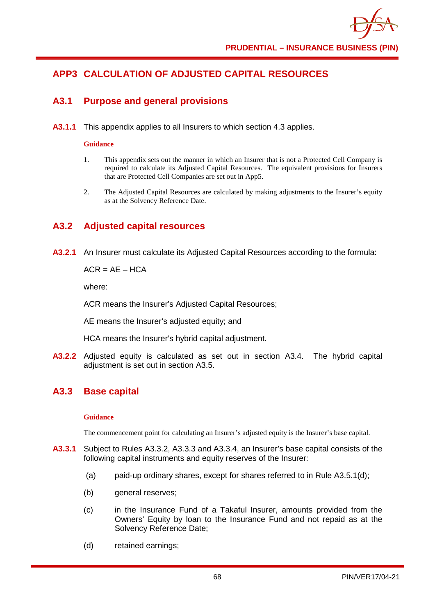

# **APP3 CALCULATION OF ADJUSTED CAPITAL RESOURCES**

### **A3.1 Purpose and general provisions**

**A3.1.1** This appendix applies to all Insurers to which section 4.3 applies.

#### **Guidance**

- 1. This appendix sets out the manner in which an Insurer that is not a Protected Cell Company is required to calculate its Adjusted Capital Resources. The equivalent provisions for Insurers that are Protected Cell Companies are set out in App5.
- 2. The Adjusted Capital Resources are calculated by making adjustments to the Insurer's equity as at the Solvency Reference Date.

## **A3.2 Adjusted capital resources**

**A3.2.1** An Insurer must calculate its Adjusted Capital Resources according to the formula:

 $ACR = AF - HCA$ 

where:

ACR means the Insurer's Adjusted Capital Resources;

AE means the Insurer's adjusted equity; and

HCA means the Insurer's hybrid capital adjustment.

**A3.2.2** Adjusted equity is calculated as set out in section A3.4. The hybrid capital adiustment is set out in section A3.5.

## **A3.3 Base capital**

### **Guidance**

The commencement point for calculating an Insurer's adjusted equity is the Insurer's base capital.

- **A3.3.1** Subject to Rules A3.3.2, A3.3.3 and A3.3.4, an Insurer's base capital consists of the following capital instruments and equity reserves of the Insurer:
	- (a) paid-up ordinary shares, except for shares referred to in Rule A3.5.1(d);
	- (b) general reserves;
	- (c) in the Insurance Fund of a Takaful Insurer, amounts provided from the Owners' Equity by loan to the Insurance Fund and not repaid as at the Solvency Reference Date;
	- (d) retained earnings;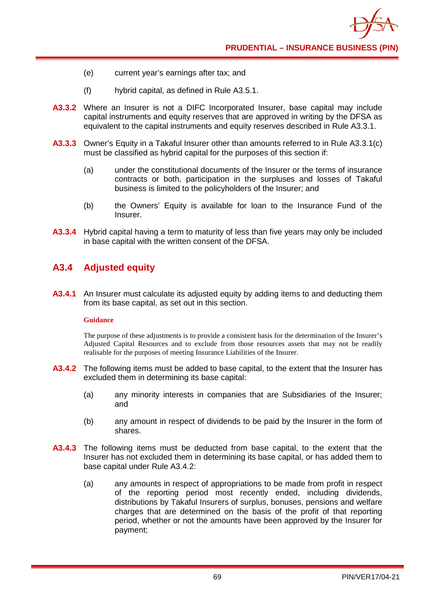- (e) current year's earnings after tax; and
- (f) hybrid capital, as defined in Rule A3.5.1.
- **A3.3.2** Where an Insurer is not a DIFC Incorporated Insurer, base capital may include capital instruments and equity reserves that are approved in writing by the DFSA as equivalent to the capital instruments and equity reserves described in Rule A3.3.1.
- **A3.3.3** Owner's Equity in a Takaful Insurer other than amounts referred to in Rule A3.3.1(c) must be classified as hybrid capital for the purposes of this section if:
	- (a) under the constitutional documents of the Insurer or the terms of insurance contracts or both, participation in the surpluses and losses of Takaful business is limited to the policyholders of the Insurer; and
	- (b) the Owners' Equity is available for loan to the Insurance Fund of the Insurer.
- **A3.3.4** Hybrid capital having a term to maturity of less than five years may only be included in base capital with the written consent of the DFSA.

## **A3.4 Adjusted equity**

**A3.4.1** An Insurer must calculate its adjusted equity by adding items to and deducting them from its base capital, as set out in this section.

### **Guidance**

The purpose of these adjustments is to provide a consistent basis for the determination of the Insurer's Adjusted Capital Resources and to exclude from those resources assets that may not be readily realisable for the purposes of meeting Insurance Liabilities of the Insurer.

- **A3.4.2** The following items must be added to base capital, to the extent that the Insurer has excluded them in determining its base capital:
	- (a) any minority interests in companies that are Subsidiaries of the Insurer; and
	- (b) any amount in respect of dividends to be paid by the Insurer in the form of shares.
- **A3.4.3** The following items must be deducted from base capital, to the extent that the Insurer has not excluded them in determining its base capital, or has added them to base capital under Rule A3.4.2:
	- (a) any amounts in respect of appropriations to be made from profit in respect of the reporting period most recently ended, including dividends, distributions by Takaful Insurers of surplus, bonuses, pensions and welfare charges that are determined on the basis of the profit of that reporting period, whether or not the amounts have been approved by the Insurer for payment;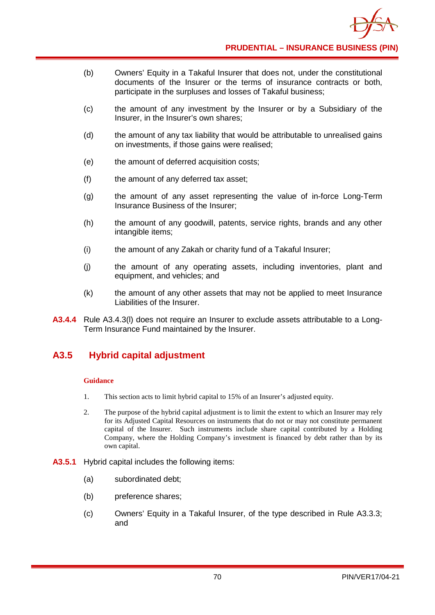- (b) Owners' Equity in a Takaful Insurer that does not, under the constitutional documents of the Insurer or the terms of insurance contracts or both, participate in the surpluses and losses of Takaful business;
- (c) the amount of any investment by the Insurer or by a Subsidiary of the Insurer, in the Insurer's own shares;
- (d) the amount of any tax liability that would be attributable to unrealised gains on investments, if those gains were realised;
- (e) the amount of deferred acquisition costs;
- (f) the amount of any deferred tax asset;
- (g) the amount of any asset representing the value of in-force Long-Term Insurance Business of the Insurer;
- (h) the amount of any goodwill, patents, service rights, brands and any other intangible items;
- (i) the amount of any Zakah or charity fund of a Takaful Insurer;
- (j) the amount of any operating assets, including inventories, plant and equipment, and vehicles; and
- (k) the amount of any other assets that may not be applied to meet Insurance Liabilities of the Insurer.
- **A3.4.4** Rule A3.4.3(l) does not require an Insurer to exclude assets attributable to a Long-Term Insurance Fund maintained by the Insurer.

## **A3.5 Hybrid capital adjustment**

### **Guidance**

- 1. This section acts to limit hybrid capital to 15% of an Insurer's adjusted equity.
- 2. The purpose of the hybrid capital adjustment is to limit the extent to which an Insurer may rely for its Adjusted Capital Resources on instruments that do not or may not constitute permanent capital of the Insurer. Such instruments include share capital contributed by a Holding Company, where the Holding Company's investment is financed by debt rather than by its own capital.
- **A3.5.1** Hybrid capital includes the following items:
	- (a) subordinated debt;
	- (b) preference shares;
	- (c) Owners' Equity in a Takaful Insurer, of the type described in Rule A3.3.3; and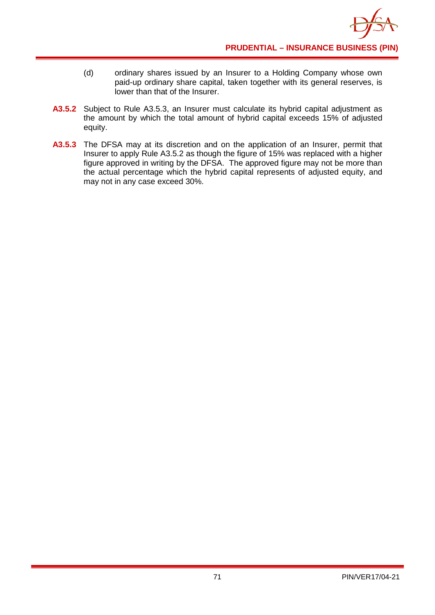- (d) ordinary shares issued by an Insurer to a Holding Company whose own paid-up ordinary share capital, taken together with its general reserves, is lower than that of the Insurer.
- **A3.5.2** Subject to Rule A3.5.3, an Insurer must calculate its hybrid capital adjustment as the amount by which the total amount of hybrid capital exceeds 15% of adjusted equity.
- **A3.5.3** The DFSA may at its discretion and on the application of an Insurer, permit that Insurer to apply Rule A3.5.2 as though the figure of 15% was replaced with a higher figure approved in writing by the DFSA. The approved figure may not be more than the actual percentage which the hybrid capital represents of adjusted equity, and may not in any case exceed 30%.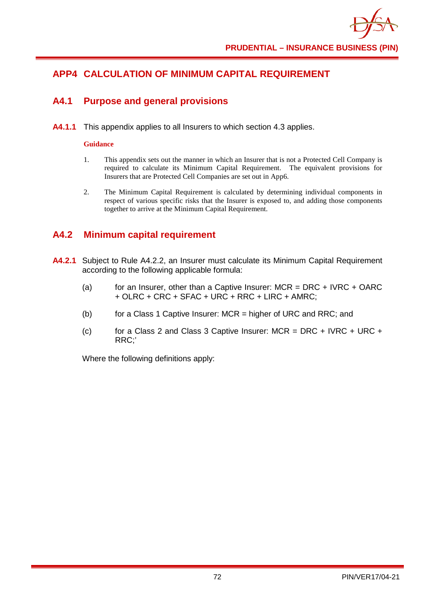

# **APP4 CALCULATION OF MINIMUM CAPITAL REQUIREMENT**

### **A4.1 Purpose and general provisions**

**A4.1.1** This appendix applies to all Insurers to which section 4.3 applies.

#### **Guidance**

- 1. This appendix sets out the manner in which an Insurer that is not a Protected Cell Company is required to calculate its Minimum Capital Requirement. The equivalent provisions for Insurers that are Protected Cell Companies are set out in App6.
- 2. The Minimum Capital Requirement is calculated by determining individual components in respect of various specific risks that the Insurer is exposed to, and adding those components together to arrive at the Minimum Capital Requirement.

### **A4.2 Minimum capital requirement**

- **A4.2.1** Subject to Rule A4.2.2, an Insurer must calculate its Minimum Capital Requirement according to the following applicable formula:
	- (a) for an Insurer, other than a Captive Insurer:  $MCR = DRC + IVRC + OARC$ + OLRC + CRC + SFAC + URC + RRC + LIRC + AMRC;
	- (b) for a Class 1 Captive Insurer: MCR = higher of URC and RRC; and
	- (c) for a Class 2 and Class 3 Captive Insurer:  $MCR = DRC + IVRC + URC +$ RRC;'

Where the following definitions apply: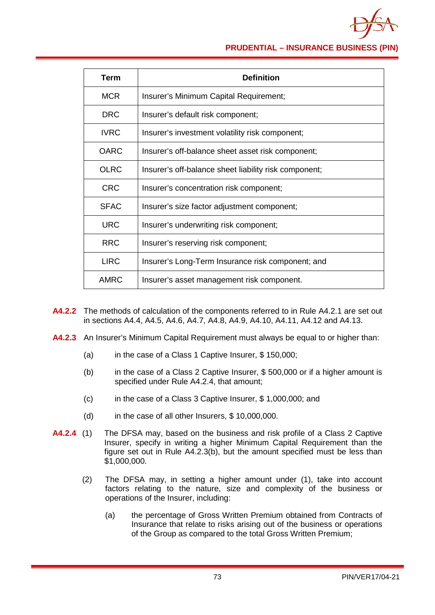

**PRUDENTIAL – INSURANCE BUSINESS (PIN)**

| Term        | <b>Definition</b>                                     |
|-------------|-------------------------------------------------------|
| <b>MCR</b>  | Insurer's Minimum Capital Requirement;                |
| <b>DRC</b>  | Insurer's default risk component;                     |
| <b>IVRC</b> | Insurer's investment volatility risk component;       |
| <b>OARC</b> | Insurer's off-balance sheet asset risk component;     |
| <b>OLRC</b> | Insurer's off-balance sheet liability risk component; |
| <b>CRC</b>  | Insurer's concentration risk component;               |
| <b>SFAC</b> | Insurer's size factor adjustment component;           |
| <b>URC</b>  | Insurer's underwriting risk component;                |
| <b>RRC</b>  | Insurer's reserving risk component;                   |
| <b>LIRC</b> | Insurer's Long-Term Insurance risk component; and     |
| <b>AMRC</b> | Insurer's asset management risk component.            |

- **A4.2.2** The methods of calculation of the components referred to in Rule A4.2.1 are set out in sections A4.4, A4.5, A4.6, A4.7, A4.8, A4.9, A4.10, A4.11, A4.12 and A4.13.
- **A4.2.3** An Insurer's Minimum Capital Requirement must always be equal to or higher than:
	- (a) in the case of a Class 1 Captive Insurer, \$ 150,000;
	- (b) in the case of a Class 2 Captive Insurer, \$ 500,000 or if a higher amount is specified under Rule A4.2.4, that amount;
	- (c) in the case of a Class 3 Captive Insurer, \$ 1,000,000; and
	- (d) in the case of all other Insurers, \$ 10,000,000.
- **A4.2.4** (1) The DFSA may, based on the business and risk profile of a Class 2 Captive Insurer, specify in writing a higher Minimum Capital Requirement than the figure set out in Rule A4.2.3(b), but the amount specified must be less than \$1,000,000.
	- (2) The DFSA may, in setting a higher amount under (1), take into account factors relating to the nature, size and complexity of the business or operations of the Insurer, including:
		- (a) the percentage of Gross Written Premium obtained from Contracts of Insurance that relate to risks arising out of the business or operations of the Group as compared to the total Gross Written Premium;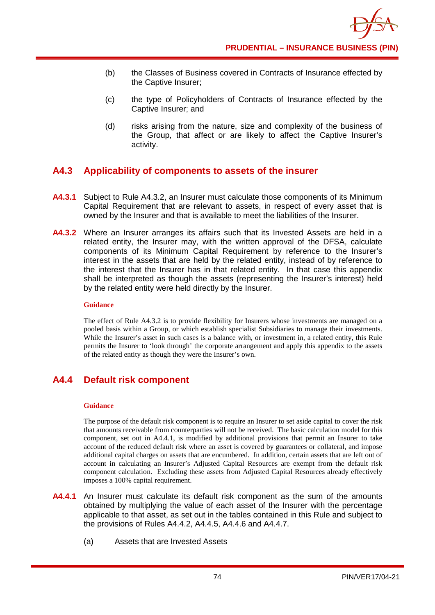

- (b) the Classes of Business covered in Contracts of Insurance effected by the Captive Insurer;
- (c) the type of Policyholders of Contracts of Insurance effected by the Captive Insurer; and
- (d) risks arising from the nature, size and complexity of the business of the Group, that affect or are likely to affect the Captive Insurer's activity.

## **A4.3 Applicability of components to assets of the insurer**

- **A4.3.1** Subject to Rule A4.3.2, an Insurer must calculate those components of its Minimum Capital Requirement that are relevant to assets, in respect of every asset that is owned by the Insurer and that is available to meet the liabilities of the Insurer.
- **A4.3.2** Where an Insurer arranges its affairs such that its Invested Assets are held in a related entity, the Insurer may, with the written approval of the DFSA, calculate components of its Minimum Capital Requirement by reference to the Insurer's interest in the assets that are held by the related entity, instead of by reference to the interest that the Insurer has in that related entity. In that case this appendix shall be interpreted as though the assets (representing the Insurer's interest) held by the related entity were held directly by the Insurer.

### **Guidance**

The effect of Rule A4.3.2 is to provide flexibility for Insurers whose investments are managed on a pooled basis within a Group, or which establish specialist Subsidiaries to manage their investments. While the Insurer's asset in such cases is a balance with, or investment in, a related entity, this Rule permits the Insurer to 'look through' the corporate arrangement and apply this appendix to the assets of the related entity as though they were the Insurer's own.

# **A4.4 Default risk component**

### **Guidance**

The purpose of the default risk component is to require an Insurer to set aside capital to cover the risk that amounts receivable from counterparties will not be received. The basic calculation model for this component, set out in A4.4.1, is modified by additional provisions that permit an Insurer to take account of the reduced default risk where an asset is covered by guarantees or collateral, and impose additional capital charges on assets that are encumbered. In addition, certain assets that are left out of account in calculating an Insurer's Adjusted Capital Resources are exempt from the default risk component calculation. Excluding these assets from Adjusted Capital Resources already effectively imposes a 100% capital requirement.

- **A4.4.1** An Insurer must calculate its default risk component as the sum of the amounts obtained by multiplying the value of each asset of the Insurer with the percentage applicable to that asset, as set out in the tables contained in this Rule and subject to the provisions of Rules A4.4.2, A4.4.5, A4.4.6 and A4.4.7.
	- (a) Assets that are Invested Assets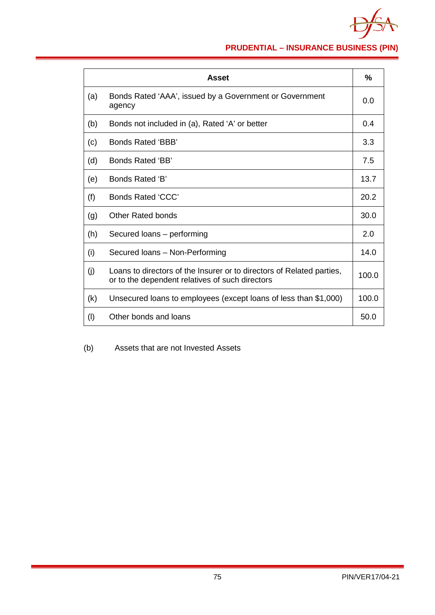

**PRUDENTIAL – INSURANCE BUSINESS (PIN)**

|     | Asset                                                                                                                    | $\frac{0}{0}$ |
|-----|--------------------------------------------------------------------------------------------------------------------------|---------------|
| (a) | Bonds Rated 'AAA', issued by a Government or Government<br>agency                                                        | 0.0           |
| (b) | Bonds not included in (a), Rated 'A' or better                                                                           | 0.4           |
| (c) | Bonds Rated 'BBB'                                                                                                        | 3.3           |
| (d) | Bonds Rated 'BB'                                                                                                         | 7.5           |
| (e) | Bonds Rated 'B'                                                                                                          | 13.7          |
| (f) | Bonds Rated 'CCC'                                                                                                        | 20.2          |
| (g) | Other Rated bonds                                                                                                        | 30.0          |
| (h) | Secured loans – performing                                                                                               | 2.0           |
| (i) | Secured Ioans - Non-Performing                                                                                           | 14.0          |
| (j) | Loans to directors of the Insurer or to directors of Related parties,<br>or to the dependent relatives of such directors | 100.0         |
| (k) | Unsecured loans to employees (except loans of less than \$1,000)                                                         | 100.0         |
| (1) | Other bonds and loans                                                                                                    | 50.0          |

(b) Assets that are not Invested Assets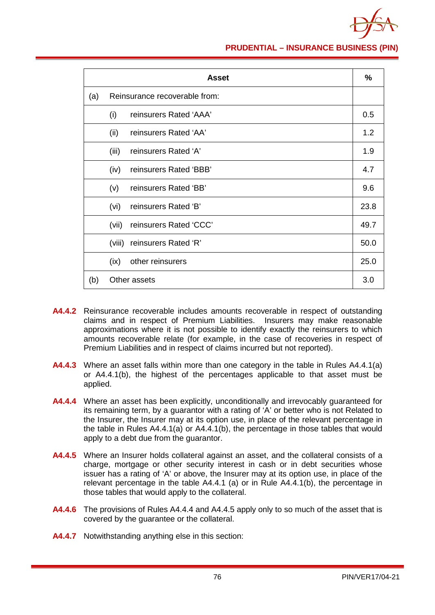

**PRUDENTIAL – INSURANCE BUSINESS (PIN)**

|     |                               | <b>Asset</b>           | $\frac{0}{0}$ |
|-----|-------------------------------|------------------------|---------------|
| (a) | Reinsurance recoverable from: |                        |               |
|     | (i)                           | reinsurers Rated 'AAA' | 0.5           |
|     | (ii)                          | reinsurers Rated 'AA'  | 1.2           |
|     | (iii)                         | reinsurers Rated 'A'   | 1.9           |
|     | (iv)                          | reinsurers Rated 'BBB' | 4.7           |
|     | (v)                           | reinsurers Rated 'BB'  | 9.6           |
|     | (vi)                          | reinsurers Rated 'B'   | 23.8          |
|     | (vii)                         | reinsurers Rated 'CCC' | 49.7          |
|     | (viii)                        | reinsurers Rated 'R'   | 50.0          |
|     | (ix)                          | other reinsurers       | 25.0          |
| (b) | Other assets                  |                        | 3.0           |

- **A4.4.2** Reinsurance recoverable includes amounts recoverable in respect of outstanding claims and in respect of Premium Liabilities. Insurers may make reasonable approximations where it is not possible to identify exactly the reinsurers to which amounts recoverable relate (for example, in the case of recoveries in respect of Premium Liabilities and in respect of claims incurred but not reported).
- **A4.4.3** Where an asset falls within more than one category in the table in Rules A4.4.1(a) or A4.4.1(b), the highest of the percentages applicable to that asset must be applied.
- **A4.4.4** Where an asset has been explicitly, unconditionally and irrevocably guaranteed for its remaining term, by a guarantor with a rating of 'A' or better who is not Related to the Insurer, the Insurer may at its option use, in place of the relevant percentage in the table in Rules A4.4.1(a) or A4.4.1(b), the percentage in those tables that would apply to a debt due from the guarantor.
- **A4.4.5** Where an Insurer holds collateral against an asset, and the collateral consists of a charge, mortgage or other security interest in cash or in debt securities whose issuer has a rating of 'A' or above, the Insurer may at its option use, in place of the relevant percentage in the table A4.4.1 (a) or in Rule A4.4.1(b), the percentage in those tables that would apply to the collateral.
- **A4.4.6** The provisions of Rules A4.4.4 and A4.4.5 apply only to so much of the asset that is covered by the guarantee or the collateral.
- **A4.4.7** Notwithstanding anything else in this section: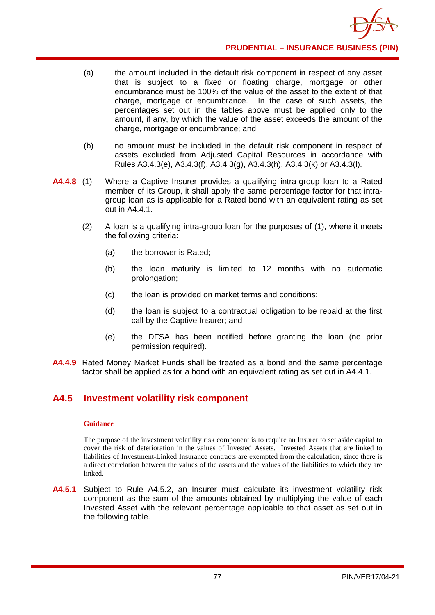- (a) the amount included in the default risk component in respect of any asset that is subject to a fixed or floating charge, mortgage or other encumbrance must be 100% of the value of the asset to the extent of that charge, mortgage or encumbrance. In the case of such assets, the percentages set out in the tables above must be applied only to the amount, if any, by which the value of the asset exceeds the amount of the charge, mortgage or encumbrance; and
- (b) no amount must be included in the default risk component in respect of assets excluded from Adjusted Capital Resources in accordance with Rules A3.4.3(e), A3.4.3(f), A3.4.3(g), A3.4.3(h), A3.4.3(k) or A3.4.3(l).
- **A4.4.8** (1) Where a Captive Insurer provides a qualifying intra-group loan to a Rated member of its Group, it shall apply the same percentage factor for that intragroup loan as is applicable for a Rated bond with an equivalent rating as set out in A4.4.1.
	- (2) A loan is a qualifying intra-group loan for the purposes of (1), where it meets the following criteria:
		- (a) the borrower is Rated;
		- (b) the loan maturity is limited to 12 months with no automatic prolongation;
		- (c) the loan is provided on market terms and conditions;
		- (d) the loan is subject to a contractual obligation to be repaid at the first call by the Captive Insurer; and
		- (e) the DFSA has been notified before granting the loan (no prior permission required).
- **A4.4.9** Rated Money Market Funds shall be treated as a bond and the same percentage factor shall be applied as for a bond with an equivalent rating as set out in A4.4.1.

## **A4.5 Investment volatility risk component**

### **Guidance**

The purpose of the investment volatility risk component is to require an Insurer to set aside capital to cover the risk of deterioration in the values of Invested Assets. Invested Assets that are linked to liabilities of Investment-Linked Insurance contracts are exempted from the calculation, since there is a direct correlation between the values of the assets and the values of the liabilities to which they are linked.

**A4.5.1** Subject to Rule A4.5.2, an Insurer must calculate its investment volatility risk component as the sum of the amounts obtained by multiplying the value of each Invested Asset with the relevant percentage applicable to that asset as set out in the following table.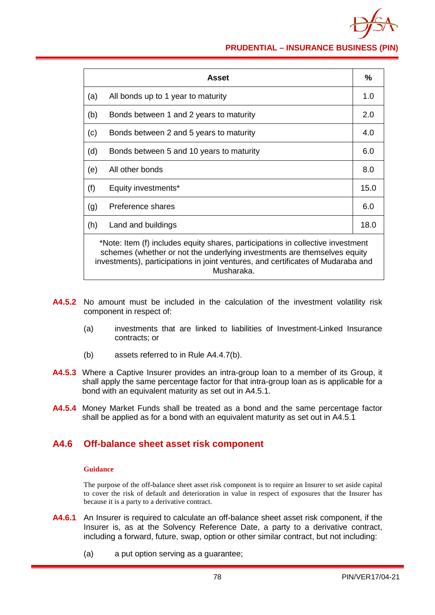

**PRUDENTIAL – INSURANCE BUSINESS (PIN)**

|     | Asset                                                                                                                                                                                                                                                         | $\frac{9}{6}$ |  |
|-----|---------------------------------------------------------------------------------------------------------------------------------------------------------------------------------------------------------------------------------------------------------------|---------------|--|
| (a) | All bonds up to 1 year to maturity                                                                                                                                                                                                                            | 1.0           |  |
| (b) | Bonds between 1 and 2 years to maturity                                                                                                                                                                                                                       | 2.0           |  |
| (c) | Bonds between 2 and 5 years to maturity                                                                                                                                                                                                                       | 4.0           |  |
| (d) | Bonds between 5 and 10 years to maturity                                                                                                                                                                                                                      | 6.0           |  |
| (e) | All other bonds                                                                                                                                                                                                                                               | 8.0           |  |
| (f) | Equity investments*                                                                                                                                                                                                                                           | 15.0          |  |
| (g) | Preference shares                                                                                                                                                                                                                                             | 6.0           |  |
| (h) | Land and buildings                                                                                                                                                                                                                                            | 18.0          |  |
|     | *Note: Item (f) includes equity shares, participations in collective investment<br>schemes (whether or not the underlying investments are themselves equity<br>investments), participations in joint ventures, and certificates of Mudaraba and<br>Musharaka. |               |  |

- **A4.5.2** No amount must be included in the calculation of the investment volatility risk component in respect of:
	- (a) investments that are linked to liabilities of Investment-Linked Insurance contracts; or
	- (b) assets referred to in Rule A4.4.7(b).
- **A4.5.3** Where a Captive Insurer provides an intra-group loan to a member of its Group, it shall apply the same percentage factor for that intra-group loan as is applicable for a bond with an equivalent maturity as set out in A4.5.1.
- **A4.5.4** Money Market Funds shall be treated as a bond and the same percentage factor shall be applied as for a bond with an equivalent maturity as set out in A4.5.1

### **A4.6 Off-balance sheet asset risk component**

### **Guidance**

The purpose of the off-balance sheet asset risk component is to require an Insurer to set aside capital to cover the risk of default and deterioration in value in respect of exposures that the Insurer has because it is a party to a derivative contract.

- **A4.6.1** An Insurer is required to calculate an off-balance sheet asset risk component, if the Insurer is, as at the Solvency Reference Date, a party to a derivative contract, including a forward, future, swap, option or other similar contract, but not including:
	- (a) a put option serving as a guarantee;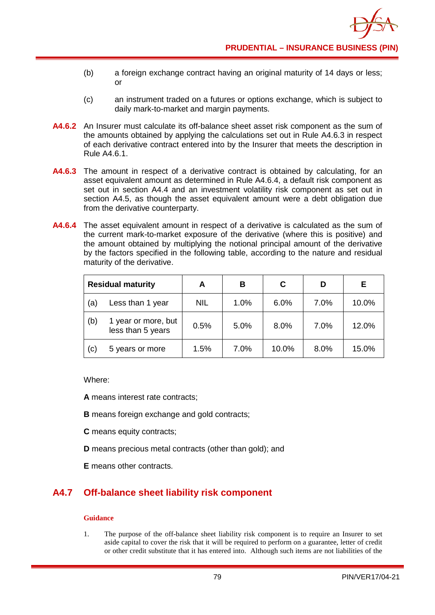- (b) a foreign exchange contract having an original maturity of 14 days or less; or
- (c) an instrument traded on a futures or options exchange, which is subject to daily mark-to-market and margin payments.
- **A4.6.2** An Insurer must calculate its off-balance sheet asset risk component as the sum of the amounts obtained by applying the calculations set out in Rule A4.6.3 in respect of each derivative contract entered into by the Insurer that meets the description in Rule A4.6.1.
- **A4.6.3** The amount in respect of a derivative contract is obtained by calculating, for an asset equivalent amount as determined in Rule A4.6.4, a default risk component as set out in section A4.4 and an investment volatility risk component as set out in section A4.5, as though the asset equivalent amount were a debt obligation due from the derivative counterparty.
- **A4.6.4** The asset equivalent amount in respect of a derivative is calculated as the sum of the current mark-to-market exposure of the derivative (where this is positive) and the amount obtained by multiplying the notional principal amount of the derivative by the factors specified in the following table, according to the nature and residual maturity of the derivative.

| <b>Residual maturity</b> |                                          | A          | в    | C     |      | Е.    |
|--------------------------|------------------------------------------|------------|------|-------|------|-------|
| (a)                      | Less than 1 year                         | <b>NIL</b> | 1.0% | 6.0%  | 7.0% | 10.0% |
| (b)                      | 1 year or more, but<br>less than 5 years | 0.5%       | 5.0% | 8.0%  | 7.0% | 12.0% |
| (c)                      | 5 years or more                          | 1.5%       | 7.0% | 10.0% | 8.0% | 15.0% |

Where:

**A** means interest rate contracts;

- **B** means foreign exchange and gold contracts;
- **C** means equity contracts;
- **D** means precious metal contracts (other than gold); and
- **E** means other contracts.

# **A4.7 Off-balance sheet liability risk component**

### **Guidance**

1. The purpose of the off-balance sheet liability risk component is to require an Insurer to set aside capital to cover the risk that it will be required to perform on a guarantee, letter of credit or other credit substitute that it has entered into. Although such items are not liabilities of the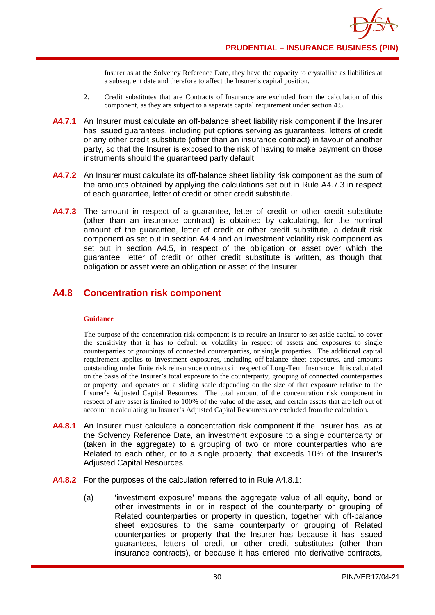

Insurer as at the Solvency Reference Date, they have the capacity to crystallise as liabilities at a subsequent date and therefore to affect the Insurer's capital position.

- 2. Credit substitutes that are Contracts of Insurance are excluded from the calculation of this component, as they are subject to a separate capital requirement under section 4.5.
- **A4.7.1** An Insurer must calculate an off-balance sheet liability risk component if the Insurer has issued guarantees, including put options serving as guarantees, letters of credit or any other credit substitute (other than an insurance contract) in favour of another party, so that the Insurer is exposed to the risk of having to make payment on those instruments should the guaranteed party default.
- **A4.7.2** An Insurer must calculate its off-balance sheet liability risk component as the sum of the amounts obtained by applying the calculations set out in Rule A4.7.3 in respect of each guarantee, letter of credit or other credit substitute.
- A4.7.3 The amount in respect of a guarantee, letter of credit or other credit substitute (other than an insurance contract) is obtained by calculating, for the nominal amount of the guarantee, letter of credit or other credit substitute, a default risk component as set out in section A4.4 and an investment volatility risk component as set out in section A4.5, in respect of the obligation or asset over which the guarantee, letter of credit or other credit substitute is written, as though that obligation or asset were an obligation or asset of the Insurer.

### **A4.8 Concentration risk component**

#### **Guidance**

The purpose of the concentration risk component is to require an Insurer to set aside capital to cover the sensitivity that it has to default or volatility in respect of assets and exposures to single counterparties or groupings of connected counterparties, or single properties. The additional capital requirement applies to investment exposures, including off-balance sheet exposures, and amounts outstanding under finite risk reinsurance contracts in respect of Long-Term Insurance. It is calculated on the basis of the Insurer's total exposure to the counterparty, grouping of connected counterparties or property, and operates on a sliding scale depending on the size of that exposure relative to the Insurer's Adjusted Capital Resources. The total amount of the concentration risk component in respect of any asset is limited to 100% of the value of the asset, and certain assets that are left out of account in calculating an Insurer's Adjusted Capital Resources are excluded from the calculation.

- **A4.8.1** An Insurer must calculate a concentration risk component if the Insurer has, as at the Solvency Reference Date, an investment exposure to a single counterparty or (taken in the aggregate) to a grouping of two or more counterparties who are Related to each other, or to a single property, that exceeds 10% of the Insurer's Adjusted Capital Resources.
- **A4.8.2** For the purposes of the calculation referred to in Rule A4.8.1:
	- (a) 'investment exposure' means the aggregate value of all equity, bond or other investments in or in respect of the counterparty or grouping of Related counterparties or property in question, together with off-balance sheet exposures to the same counterparty or grouping of Related counterparties or property that the Insurer has because it has issued guarantees, letters of credit or other credit substitutes (other than insurance contracts), or because it has entered into derivative contracts,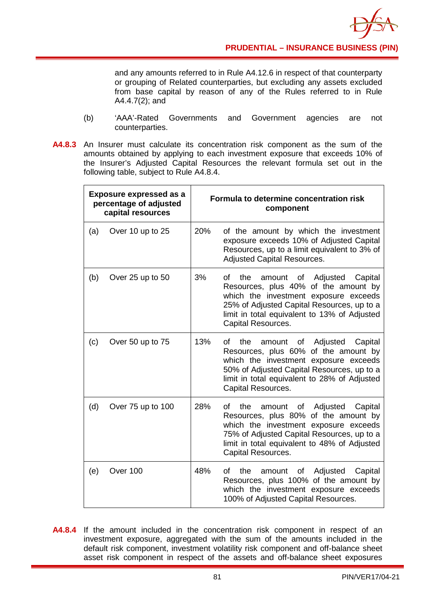

and any amounts referred to in Rule A4.12.6 in respect of that counterparty or grouping of Related counterparties, but excluding any assets excluded from base capital by reason of any of the Rules referred to in Rule A4.4.7(2); and

- (b) 'AAA'-Rated Governments and Government agencies are not counterparties.
- **A4.8.3** An Insurer must calculate its concentration risk component as the sum of the amounts obtained by applying to each investment exposure that exceeds 10% of the Insurer's Adjusted Capital Resources the relevant formula set out in the following table, subject to Rule A4.8.4.

| <b>Exposure expressed as a</b><br>percentage of adjusted<br>capital resources |                   |     | Formula to determine concentration risk<br>component                                                                                                                                                                                                         |
|-------------------------------------------------------------------------------|-------------------|-----|--------------------------------------------------------------------------------------------------------------------------------------------------------------------------------------------------------------------------------------------------------------|
| (a)                                                                           | Over 10 up to 25  | 20% | of the amount by which the investment<br>exposure exceeds 10% of Adjusted Capital<br>Resources, up to a limit equivalent to 3% of<br><b>Adjusted Capital Resources.</b>                                                                                      |
| (b)                                                                           | Over 25 up to 50  | 3%  | Adjusted<br>Capital<br>Ωf<br>the<br>amount<br>of<br>Resources, plus 40% of the amount by<br>which the investment exposure exceeds<br>25% of Adjusted Capital Resources, up to a<br>limit in total equivalent to 13% of Adjusted<br><b>Capital Resources.</b> |
| (c)                                                                           | Over 50 up to 75  | 13% | the<br>Οf<br>Adjusted<br>Capital<br>οf<br>amount<br>Resources, plus 60% of the amount by<br>which the investment exposure exceeds<br>50% of Adjusted Capital Resources, up to a<br>limit in total equivalent to 28% of Adjusted<br>Capital Resources.        |
| (d)                                                                           | Over 75 up to 100 | 28% | the<br>Adjusted<br>Capital<br>οf<br>amount<br>of<br>Resources, plus 80% of the amount by<br>which the investment exposure exceeds<br>75% of Adjusted Capital Resources, up to a<br>limit in total equivalent to 48% of Adjusted<br><b>Capital Resources.</b> |
| (e)                                                                           | Over 100          | 48% | the<br>Adjusted<br>Capital<br>οf<br>amount<br>οf<br>Resources, plus 100% of the amount by<br>which the investment exposure exceeds<br>100% of Adjusted Capital Resources.                                                                                    |

**A4.8.4** If the amount included in the concentration risk component in respect of an investment exposure, aggregated with the sum of the amounts included in the default risk component, investment volatility risk component and off-balance sheet asset risk component in respect of the assets and off-balance sheet exposures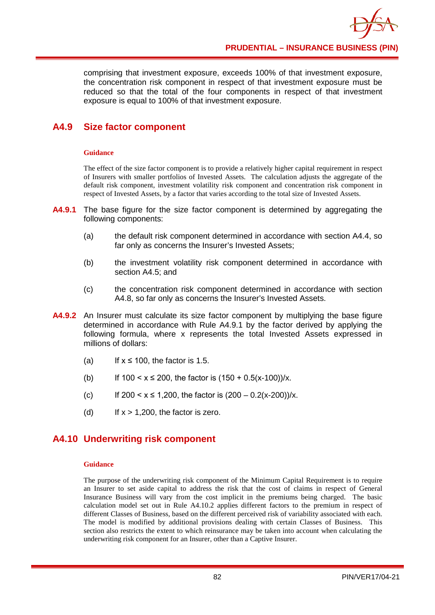comprising that investment exposure, exceeds 100% of that investment exposure, the concentration risk component in respect of that investment exposure must be reduced so that the total of the four components in respect of that investment exposure is equal to 100% of that investment exposure.

# **A4.9 Size factor component**

### **Guidance**

The effect of the size factor component is to provide a relatively higher capital requirement in respect of Insurers with smaller portfolios of Invested Assets. The calculation adjusts the aggregate of the default risk component, investment volatility risk component and concentration risk component in respect of Invested Assets, by a factor that varies according to the total size of Invested Assets.

- **A4.9.1** The base figure for the size factor component is determined by aggregating the following components:
	- (a) the default risk component determined in accordance with section A4.4, so far only as concerns the Insurer's Invested Assets;
	- (b) the investment volatility risk component determined in accordance with section A4.5; and
	- (c) the concentration risk component determined in accordance with section A4.8, so far only as concerns the Insurer's Invested Assets.
- **A4.9.2** An Insurer must calculate its size factor component by multiplying the base figure determined in accordance with Rule A4.9.1 by the factor derived by applying the following formula, where x represents the total Invested Assets expressed in millions of dollars:
	- (a) If  $x \le 100$ , the factor is 1.5.
	- (b) If  $100 < x \le 200$ , the factor is  $(150 + 0.5(x-100))/x$ .
	- (c) If  $200 < x \le 1,200$ , the factor is  $(200 0.2(x-200))/x$ .
	- (d) If  $x > 1,200$ , the factor is zero.

## **A4.10 Underwriting risk component**

### **Guidance**

The purpose of the underwriting risk component of the Minimum Capital Requirement is to require an Insurer to set aside capital to address the risk that the cost of claims in respect of General Insurance Business will vary from the cost implicit in the premiums being charged. The basic calculation model set out in Rule A4.10.2 applies different factors to the premium in respect of different Classes of Business, based on the different perceived risk of variability associated with each. The model is modified by additional provisions dealing with certain Classes of Business. This section also restricts the extent to which reinsurance may be taken into account when calculating the underwriting risk component for an Insurer, other than a Captive Insurer.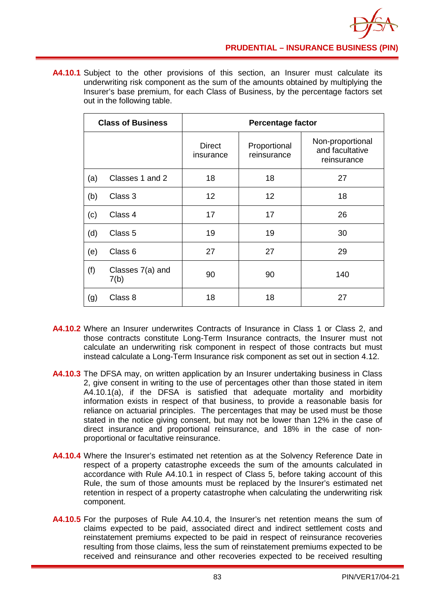

**A4.10.1** Subject to the other provisions of this section, an Insurer must calculate its underwriting risk component as the sum of the amounts obtained by multiplying the Insurer's base premium, for each Class of Business, by the percentage factors set out in the following table.

| <b>Class of Business</b> |                          | <b>Percentage factor</b>   |                             |                                                    |  |
|--------------------------|--------------------------|----------------------------|-----------------------------|----------------------------------------------------|--|
|                          |                          | <b>Direct</b><br>insurance | Proportional<br>reinsurance | Non-proportional<br>and facultative<br>reinsurance |  |
| (a)                      | Classes 1 and 2          | 18                         | 18                          | 27                                                 |  |
| (b)                      | Class 3                  | 12                         | 12                          | 18                                                 |  |
| (c)                      | Class 4                  | 17                         | 17                          | 26                                                 |  |
| (d)                      | Class <sub>5</sub>       | 19                         | 19                          | 30                                                 |  |
| (e)                      | Class <sub>6</sub>       | 27                         | 27                          | 29                                                 |  |
| (f)                      | Classes 7(a) and<br>7(b) | 90                         | 90                          | 140                                                |  |
| (g)                      | Class 8                  | 18                         | 18                          | 27                                                 |  |

- **A4.10.2** Where an Insurer underwrites Contracts of Insurance in Class 1 or Class 2, and those contracts constitute Long-Term Insurance contracts, the Insurer must not calculate an underwriting risk component in respect of those contracts but must instead calculate a Long-Term Insurance risk component as set out in section 4.12.
- **A4.10.3** The DFSA may, on written application by an Insurer undertaking business in Class 2, give consent in writing to the use of percentages other than those stated in item A4.10.1(a), if the DFSA is satisfied that adequate mortality and morbidity information exists in respect of that business, to provide a reasonable basis for reliance on actuarial principles. The percentages that may be used must be those stated in the notice giving consent, but may not be lower than 12% in the case of direct insurance and proportional reinsurance, and 18% in the case of nonproportional or facultative reinsurance.
- **A4.10.4** Where the Insurer's estimated net retention as at the Solvency Reference Date in respect of a property catastrophe exceeds the sum of the amounts calculated in accordance with Rule A4.10.1 in respect of Class 5, before taking account of this Rule, the sum of those amounts must be replaced by the Insurer's estimated net retention in respect of a property catastrophe when calculating the underwriting risk component.
- **A4.10.5** For the purposes of Rule A4.10.4, the Insurer's net retention means the sum of claims expected to be paid, associated direct and indirect settlement costs and reinstatement premiums expected to be paid in respect of reinsurance recoveries resulting from those claims, less the sum of reinstatement premiums expected to be received and reinsurance and other recoveries expected to be received resulting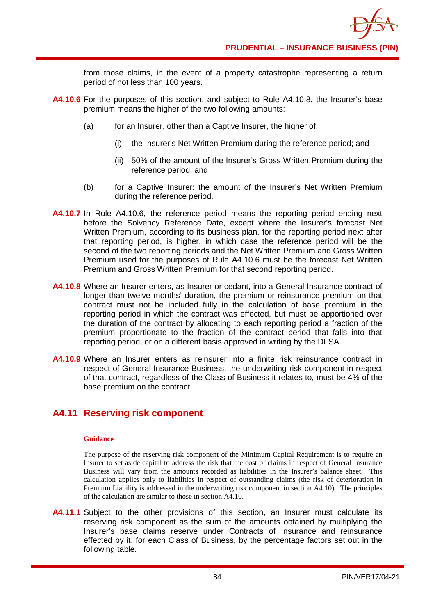from those claims, in the event of a property catastrophe representing a return period of not less than 100 years.

- **A4.10.6** For the purposes of this section, and subject to Rule A4.10.8, the Insurer's base premium means the higher of the two following amounts:
	- (a) for an Insurer, other than a Captive Insurer, the higher of:
		- (i) the Insurer's Net Written Premium during the reference period; and
		- (ii) 50% of the amount of the Insurer's Gross Written Premium during the reference period; and
	- (b) for a Captive Insurer: the amount of the Insurer's Net Written Premium during the reference period.
- **A4.10.7** In Rule A4.10.6, the reference period means the reporting period ending next before the Solvency Reference Date, except where the Insurer's forecast Net Written Premium, according to its business plan, for the reporting period next after that reporting period, is higher, in which case the reference period will be the second of the two reporting periods and the Net Written Premium and Gross Written Premium used for the purposes of Rule A4.10.6 must be the forecast Net Written Premium and Gross Written Premium for that second reporting period.
- **A4.10.8** Where an Insurer enters, as Insurer or cedant, into a General Insurance contract of longer than twelve months' duration, the premium or reinsurance premium on that contract must not be included fully in the calculation of base premium in the reporting period in which the contract was effected, but must be apportioned over the duration of the contract by allocating to each reporting period a fraction of the premium proportionate to the fraction of the contract period that falls into that reporting period, or on a different basis approved in writing by the DFSA.
- **A4.10.9** Where an Insurer enters as reinsurer into a finite risk reinsurance contract in respect of General Insurance Business, the underwriting risk component in respect of that contract, regardless of the Class of Business it relates to, must be 4% of the base premium on the contract.

## **A4.11 Reserving risk component**

### **Guidance**

The purpose of the reserving risk component of the Minimum Capital Requirement is to require an Insurer to set aside capital to address the risk that the cost of claims in respect of General Insurance Business will vary from the amounts recorded as liabilities in the Insurer's balance sheet. This calculation applies only to liabilities in respect of outstanding claims (the risk of deterioration in Premium Liability is addressed in the underwriting risk component in section A4.10). The principles of the calculation are similar to those in section A4.10.

**A4.11.1** Subject to the other provisions of this section, an Insurer must calculate its reserving risk component as the sum of the amounts obtained by multiplying the Insurer's base claims reserve under Contracts of Insurance and reinsurance effected by it, for each Class of Business, by the percentage factors set out in the following table.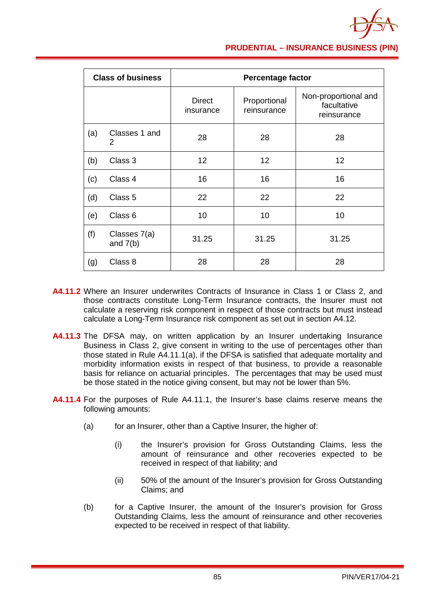

### **PRUDENTIAL – INSURANCE BUSINESS (PIN)**

| <b>Class of business</b> |                            | <b>Percentage factor</b>   |                             |                                                    |  |
|--------------------------|----------------------------|----------------------------|-----------------------------|----------------------------------------------------|--|
|                          |                            | <b>Direct</b><br>insurance | Proportional<br>reinsurance | Non-proportional and<br>facultative<br>reinsurance |  |
| (a)                      | Classes 1 and<br>2         | 28                         | 28                          | 28                                                 |  |
| (b)                      | Class 3                    | 12                         | 12                          | 12                                                 |  |
| (c)                      | Class 4                    | 16                         | 16                          | 16                                                 |  |
| (d)                      | Class 5                    | 22                         | 22                          | 22                                                 |  |
| (e)                      | Class <sub>6</sub>         | 10                         | 10                          | 10                                                 |  |
| (f)                      | Classes 7(a)<br>and $7(b)$ | 31.25                      | 31.25                       | 31.25                                              |  |
| (g)                      | Class 8                    | 28                         | 28                          | 28                                                 |  |

- **A4.11.2** Where an Insurer underwrites Contracts of Insurance in Class 1 or Class 2, and those contracts constitute Long-Term Insurance contracts, the Insurer must not calculate a reserving risk component in respect of those contracts but must instead calculate a Long-Term Insurance risk component as set out in section A4.12.
- **A4.11.3** The DFSA may, on written application by an Insurer undertaking Insurance Business in Class 2, give consent in writing to the use of percentages other than those stated in Rule A4.11.1(a), if the DFSA is satisfied that adequate mortality and morbidity information exists in respect of that business, to provide a reasonable basis for reliance on actuarial principles. The percentages that may be used must be those stated in the notice giving consent, but may not be lower than 5%.
- **A4.11.4** For the purposes of Rule A4.11.1, the Insurer's base claims reserve means the following amounts:
	- (a) for an Insurer, other than a Captive Insurer, the higher of:
		- (i) the Insurer's provision for Gross Outstanding Claims, less the amount of reinsurance and other recoveries expected to be received in respect of that liability; and
		- (ii) 50% of the amount of the Insurer's provision for Gross Outstanding Claims; and
	- (b) for a Captive Insurer, the amount of the Insurer's provision for Gross Outstanding Claims, less the amount of reinsurance and other recoveries expected to be received in respect of that liability.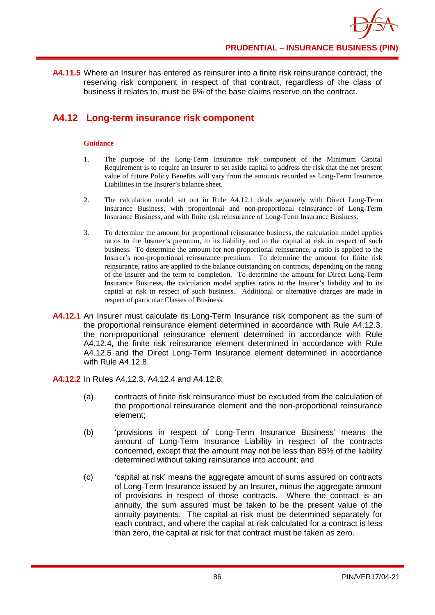**A4.11.5** Where an Insurer has entered as reinsurer into a finite risk reinsurance contract, the reserving risk component in respect of that contract, regardless of the class of business it relates to, must be 6% of the base claims reserve on the contract.

## **A4.12 Long-term insurance risk component**

### **Guidance**

- 1. The purpose of the Long-Term Insurance risk component of the Minimum Capital Requirement is to require an Insurer to set aside capital to address the risk that the net present value of future Policy Benefits will vary from the amounts recorded as Long-Term Insurance Liabilities in the Insurer's balance sheet.
- 2. The calculation model set out in Rule A4.12.1 deals separately with Direct Long-Term Insurance Business, with proportional and non-proportional reinsurance of Long-Term Insurance Business, and with finite risk reinsurance of Long-Term Insurance Business.
- 3. To determine the amount for proportional reinsurance business, the calculation model applies ratios to the Insurer's premium, to its liability and to the capital at risk in respect of such business. To determine the amount for non-proportional reinsurance, a ratio is applied to the Insurer's non-proportional reinsurance premium. To determine the amount for finite risk reinsurance, ratios are applied to the balance outstanding on contracts, depending on the rating of the Insurer and the term to completion. To determine the amount for Direct Long-Term Insurance Business, the calculation model applies ratios to the Insurer's liability and to its capital at risk in respect of such business. Additional or alternative charges are made in respect of particular Classes of Business.
- **A4.12.1** An Insurer must calculate its Long-Term Insurance risk component as the sum of the proportional reinsurance element determined in accordance with Rule A4.12.3, the non-proportional reinsurance element determined in accordance with Rule A4.12.4, the finite risk reinsurance element determined in accordance with Rule A4.12.5 and the Direct Long-Term Insurance element determined in accordance with Rule A4.12.8.
- **A4.12.2** In Rules A4.12.3, A4.12.4 and A4.12.8:
	- (a) contracts of finite risk reinsurance must be excluded from the calculation of the proportional reinsurance element and the non-proportional reinsurance element;
	- (b) 'provisions in respect of Long-Term Insurance Business' means the amount of Long-Term Insurance Liability in respect of the contracts concerned, except that the amount may not be less than 85% of the liability determined without taking reinsurance into account; and
	- (c) 'capital at risk' means the aggregate amount of sums assured on contracts of Long-Term Insurance issued by an Insurer, minus the aggregate amount of provisions in respect of those contracts. Where the contract is an annuity, the sum assured must be taken to be the present value of the annuity payments. The capital at risk must be determined separately for each contract, and where the capital at risk calculated for a contract is less than zero, the capital at risk for that contract must be taken as zero.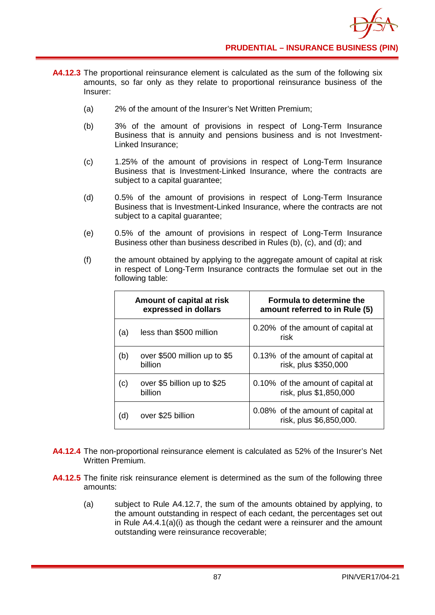

- **A4.12.3** The proportional reinsurance element is calculated as the sum of the following six amounts, so far only as they relate to proportional reinsurance business of the Insurer:
	- (a) 2% of the amount of the Insurer's Net Written Premium;
	- (b) 3% of the amount of provisions in respect of Long-Term Insurance Business that is annuity and pensions business and is not Investment-Linked Insurance;
	- (c) 1.25% of the amount of provisions in respect of Long-Term Insurance Business that is Investment-Linked Insurance, where the contracts are subject to a capital guarantee;
	- (d) 0.5% of the amount of provisions in respect of Long-Term Insurance Business that is Investment-Linked Insurance, where the contracts are not subject to a capital guarantee;
	- (e) 0.5% of the amount of provisions in respect of Long-Term Insurance Business other than business described in Rules (b), (c), and (d); and
	- (f) the amount obtained by applying to the aggregate amount of capital at risk in respect of Long-Term Insurance contracts the formulae set out in the following table:

|     | Amount of capital at risk<br>expressed in dollars | Formula to determine the<br>amount referred to in Rule (5)   |
|-----|---------------------------------------------------|--------------------------------------------------------------|
| (a) | less than \$500 million                           | 0.20% of the amount of capital at<br>risk                    |
| (b) | over \$500 million up to \$5<br>billion           | 0.13% of the amount of capital at<br>risk, plus \$350,000    |
| (c) | over \$5 billion up to \$25<br>billion            | 0.10% of the amount of capital at<br>risk, plus \$1,850,000  |
| (d) | over \$25 billion                                 | 0.08% of the amount of capital at<br>risk, plus \$6,850,000. |

- **A4.12.4** The non-proportional reinsurance element is calculated as 52% of the Insurer's Net Written Premium.
- **A4.12.5** The finite risk reinsurance element is determined as the sum of the following three amounts:
	- (a) subject to Rule A4.12.7, the sum of the amounts obtained by applying, to the amount outstanding in respect of each cedant, the percentages set out in Rule A4.4.1(a)(i) as though the cedant were a reinsurer and the amount outstanding were reinsurance recoverable;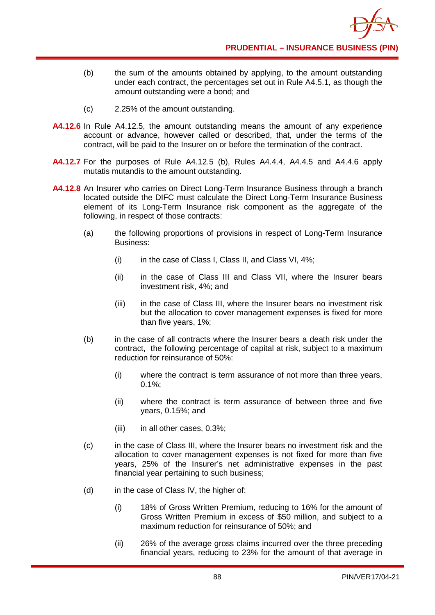

- (b) the sum of the amounts obtained by applying, to the amount outstanding under each contract, the percentages set out in Rule A4.5.1, as though the amount outstanding were a bond; and
- (c) 2.25% of the amount outstanding.
- **A4.12.6** In Rule A4.12.5, the amount outstanding means the amount of any experience account or advance, however called or described, that, under the terms of the contract, will be paid to the Insurer on or before the termination of the contract.
- **A4.12.7** For the purposes of Rule A4.12.5 (b), Rules A4.4.4, A4.4.5 and A4.4.6 apply mutatis mutandis to the amount outstanding.
- **A4.12.8** An Insurer who carries on Direct Long-Term Insurance Business through a branch located outside the DIFC must calculate the Direct Long-Term Insurance Business element of its Long-Term Insurance risk component as the aggregate of the following, in respect of those contracts:
	- (a) the following proportions of provisions in respect of Long-Term Insurance Business:
		- (i) in the case of Class I, Class II, and Class VI, 4%;
		- (ii) in the case of Class III and Class VII, where the Insurer bears investment risk, 4%; and
		- (iii) in the case of Class III, where the Insurer bears no investment risk but the allocation to cover management expenses is fixed for more than five years, 1%;
	- (b) in the case of all contracts where the Insurer bears a death risk under the contract, the following percentage of capital at risk, subject to a maximum reduction for reinsurance of 50%:
		- (i) where the contract is term assurance of not more than three years,  $0.1\%$ :
		- (ii) where the contract is term assurance of between three and five years, 0.15%; and
		- (iii) in all other cases, 0.3%;
	- (c) in the case of Class III, where the Insurer bears no investment risk and the allocation to cover management expenses is not fixed for more than five years, 25% of the Insurer's net administrative expenses in the past financial year pertaining to such business;
	- (d) in the case of Class IV, the higher of:
		- (i) 18% of Gross Written Premium, reducing to 16% for the amount of Gross Written Premium in excess of \$50 million, and subject to a maximum reduction for reinsurance of 50%; and
		- (ii) 26% of the average gross claims incurred over the three preceding financial years, reducing to 23% for the amount of that average in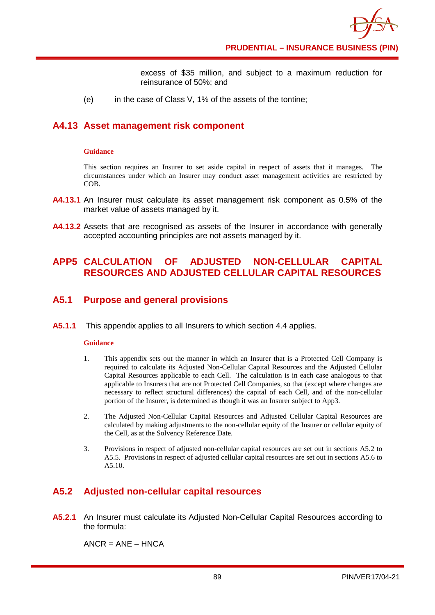

excess of \$35 million, and subject to a maximum reduction for reinsurance of 50%; and

(e) in the case of Class V, 1% of the assets of the tontine;

### **A4.13 Asset management risk component**

#### **Guidance**

This section requires an Insurer to set aside capital in respect of assets that it manages. The circumstances under which an Insurer may conduct asset management activities are restricted by COB.

- **A4.13.1** An Insurer must calculate its asset management risk component as 0.5% of the market value of assets managed by it.
- **A4.13.2** Assets that are recognised as assets of the Insurer in accordance with generally accepted accounting principles are not assets managed by it.

## **APP5 CALCULATION OF ADJUSTED NON-CELLULAR CAPITAL RESOURCES AND ADJUSTED CELLULAR CAPITAL RESOURCES**

### **A5.1 Purpose and general provisions**

**A5.1.1** This appendix applies to all Insurers to which section 4.4 applies.

### **Guidance**

- 1. This appendix sets out the manner in which an Insurer that is a Protected Cell Company is required to calculate its Adjusted Non-Cellular Capital Resources and the Adjusted Cellular Capital Resources applicable to each Cell. The calculation is in each case analogous to that applicable to Insurers that are not Protected Cell Companies, so that (except where changes are necessary to reflect structural differences) the capital of each Cell, and of the non-cellular portion of the Insurer, is determined as though it was an Insurer subject to App3.
- 2. The Adjusted Non-Cellular Capital Resources and Adjusted Cellular Capital Resources are calculated by making adjustments to the non-cellular equity of the Insurer or cellular equity of the Cell, as at the Solvency Reference Date.
- 3. Provisions in respect of adjusted non-cellular capital resources are set out in sections A5.2 to A5.5. Provisions in respect of adjusted cellular capital resources are set out in sections A5.6 to A5.10.

## **A5.2 Adjusted non-cellular capital resources**

**A5.2.1** An Insurer must calculate its Adjusted Non-Cellular Capital Resources according to the formula:

 $ANCE = ANF - HNCA$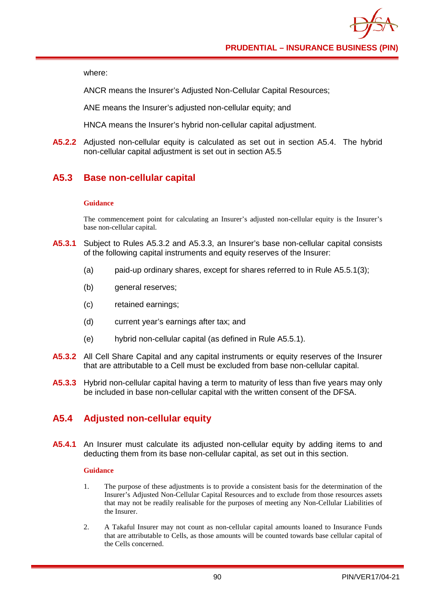where:

ANCR means the Insurer's Adjusted Non-Cellular Capital Resources;

ANE means the Insurer's adjusted non-cellular equity; and

HNCA means the Insurer's hybrid non-cellular capital adjustment.

**A5.2.2** Adjusted non-cellular equity is calculated as set out in section A5.4. The hybrid non-cellular capital adjustment is set out in section A5.5

# **A5.3 Base non-cellular capital**

### **Guidance**

The commencement point for calculating an Insurer's adjusted non-cellular equity is the Insurer's base non-cellular capital.

- **A5.3.1** Subject to Rules A5.3.2 and A5.3.3, an Insurer's base non-cellular capital consists of the following capital instruments and equity reserves of the Insurer:
	- (a) paid-up ordinary shares, except for shares referred to in Rule A5.5.1(3);
	- (b) general reserves;
	- (c) retained earnings;
	- (d) current year's earnings after tax; and
	- (e) hybrid non-cellular capital (as defined in Rule A5.5.1).
- **A5.3.2** All Cell Share Capital and any capital instruments or equity reserves of the Insurer that are attributable to a Cell must be excluded from base non-cellular capital.
- **A5.3.3** Hybrid non-cellular capital having a term to maturity of less than five years may only be included in base non-cellular capital with the written consent of the DFSA.

# **A5.4 Adjusted non-cellular equity**

**A5.4.1** An Insurer must calculate its adjusted non-cellular equity by adding items to and deducting them from its base non-cellular capital, as set out in this section.

### **Guidance**

- 1. The purpose of these adjustments is to provide a consistent basis for the determination of the Insurer's Adjusted Non-Cellular Capital Resources and to exclude from those resources assets that may not be readily realisable for the purposes of meeting any Non-Cellular Liabilities of the Insurer.
- 2. A Takaful Insurer may not count as non-cellular capital amounts loaned to Insurance Funds that are attributable to Cells, as those amounts will be counted towards base cellular capital of the Cells concerned.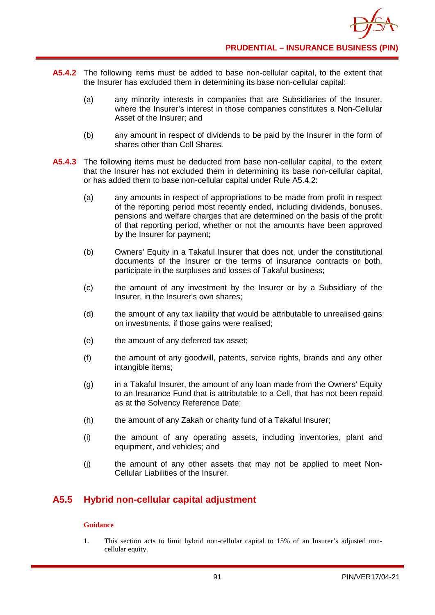

- **A5.4.2** The following items must be added to base non-cellular capital, to the extent that the Insurer has excluded them in determining its base non-cellular capital:
	- (a) any minority interests in companies that are Subsidiaries of the Insurer, where the Insurer's interest in those companies constitutes a Non-Cellular Asset of the Insurer; and
	- (b) any amount in respect of dividends to be paid by the Insurer in the form of shares other than Cell Shares.
- **A5.4.3** The following items must be deducted from base non-cellular capital, to the extent that the Insurer has not excluded them in determining its base non-cellular capital, or has added them to base non-cellular capital under Rule A5.4.2:
	- (a) any amounts in respect of appropriations to be made from profit in respect of the reporting period most recently ended, including dividends, bonuses, pensions and welfare charges that are determined on the basis of the profit of that reporting period, whether or not the amounts have been approved by the Insurer for payment;
	- (b) Owners' Equity in a Takaful Insurer that does not, under the constitutional documents of the Insurer or the terms of insurance contracts or both, participate in the surpluses and losses of Takaful business;
	- (c) the amount of any investment by the Insurer or by a Subsidiary of the Insurer, in the Insurer's own shares;
	- (d) the amount of any tax liability that would be attributable to unrealised gains on investments, if those gains were realised;
	- (e) the amount of any deferred tax asset;
	- (f) the amount of any goodwill, patents, service rights, brands and any other intangible items;
	- (g) in a Takaful Insurer, the amount of any loan made from the Owners' Equity to an Insurance Fund that is attributable to a Cell, that has not been repaid as at the Solvency Reference Date;
	- (h) the amount of any Zakah or charity fund of a Takaful Insurer;
	- (i) the amount of any operating assets, including inventories, plant and equipment, and vehicles; and
	- (j) the amount of any other assets that may not be applied to meet Non-Cellular Liabilities of the Insurer.

## **A5.5 Hybrid non-cellular capital adjustment**

### **Guidance**

1. This section acts to limit hybrid non-cellular capital to 15% of an Insurer's adjusted noncellular equity.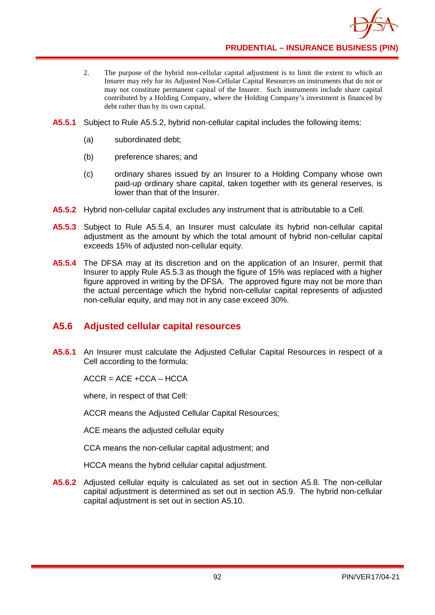

**PRUDENTIAL – INSURANCE BUSINESS (PIN)**

- 2. The purpose of the hybrid non-cellular capital adjustment is to limit the extent to which an Insurer may rely for its Adjusted Non-Cellular Capital Resources on instruments that do not or may not constitute permanent capital of the Insurer. Such instruments include share capital contributed by a Holding Company, where the Holding Company's investment is financed by debt rather than by its own capital.
- **A5.5.1** Subject to Rule A5.5.2, hybrid non-cellular capital includes the following items:
	- (a) subordinated debt;
	- (b) preference shares; and
	- (c) ordinary shares issued by an Insurer to a Holding Company whose own paid-up ordinary share capital, taken together with its general reserves, is lower than that of the Insurer.
- **A5.5.2** Hybrid non-cellular capital excludes any instrument that is attributable to a Cell.
- **A5.5.3** Subject to Rule A5.5.4, an Insurer must calculate its hybrid non-cellular capital adjustment as the amount by which the total amount of hybrid non-cellular capital exceeds 15% of adjusted non-cellular equity.
- **A5.5.4** The DFSA may at its discretion and on the application of an Insurer, permit that Insurer to apply Rule A5.5.3 as though the figure of 15% was replaced with a higher figure approved in writing by the DFSA. The approved figure may not be more than the actual percentage which the hybrid non-cellular capital represents of adjusted non-cellular equity, and may not in any case exceed 30%.

### **A5.6 Adjusted cellular capital resources**

**A5.6.1** An Insurer must calculate the Adjusted Cellular Capital Resources in respect of a Cell according to the formula:

 $ACCR = ACE + CCA - HCCA$ 

where, in respect of that Cell:

ACCR means the Adjusted Cellular Capital Resources;

ACE means the adiusted cellular equity

CCA means the non-cellular capital adjustment; and

HCCA means the hybrid cellular capital adjustment.

**A5.6.2** Adjusted cellular equity is calculated as set out in section A5.8. The non-cellular capital adjustment is determined as set out in section A5.9. The hybrid non-cellular capital adjustment is set out in section A5.10.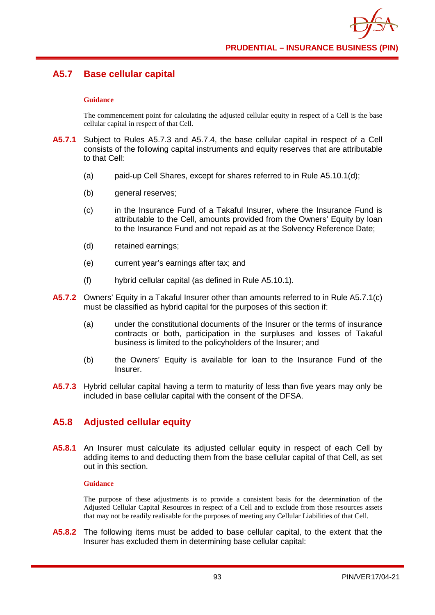# **A5.7 Base cellular capital**

### **Guidance**

The commencement point for calculating the adjusted cellular equity in respect of a Cell is the base cellular capital in respect of that Cell.

- **A5.7.1** Subject to Rules A5.7.3 and A5.7.4, the base cellular capital in respect of a Cell consists of the following capital instruments and equity reserves that are attributable to that Cell:
	- (a) paid-up Cell Shares, except for shares referred to in Rule  $A5.10.1(d)$ ;
	- (b) general reserves;
	- (c) in the Insurance Fund of a Takaful Insurer, where the Insurance Fund is attributable to the Cell, amounts provided from the Owners' Equity by loan to the Insurance Fund and not repaid as at the Solvency Reference Date;
	- (d) retained earnings;
	- (e) current year's earnings after tax; and
	- (f) hybrid cellular capital (as defined in Rule A5.10.1).
- **A5.7.2** Owners' Equity in a Takaful Insurer other than amounts referred to in Rule A5.7.1(c) must be classified as hybrid capital for the purposes of this section if:
	- (a) under the constitutional documents of the Insurer or the terms of insurance contracts or both, participation in the surpluses and losses of Takaful business is limited to the policyholders of the Insurer; and
	- (b) the Owners' Equity is available for loan to the Insurance Fund of the Insurer.
- **A5.7.3** Hybrid cellular capital having a term to maturity of less than five years may only be included in base cellular capital with the consent of the DFSA.

### **A5.8 Adjusted cellular equity**

**A5.8.1** An Insurer must calculate its adjusted cellular equity in respect of each Cell by adding items to and deducting them from the base cellular capital of that Cell, as set out in this section.

### **Guidance**

The purpose of these adjustments is to provide a consistent basis for the determination of the Adjusted Cellular Capital Resources in respect of a Cell and to exclude from those resources assets that may not be readily realisable for the purposes of meeting any Cellular Liabilities of that Cell.

**A5.8.2** The following items must be added to base cellular capital, to the extent that the Insurer has excluded them in determining base cellular capital: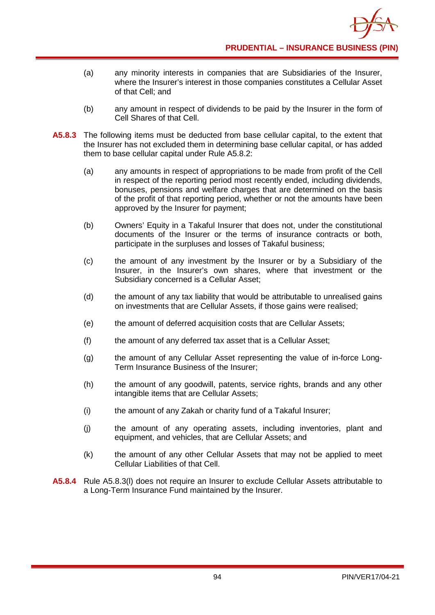

- (a) any minority interests in companies that are Subsidiaries of the Insurer, where the Insurer's interest in those companies constitutes a Cellular Asset of that Cell; and
- (b) any amount in respect of dividends to be paid by the Insurer in the form of Cell Shares of that Cell.
- **A5.8.3** The following items must be deducted from base cellular capital, to the extent that the Insurer has not excluded them in determining base cellular capital, or has added them to base cellular capital under Rule A5.8.2:
	- (a) any amounts in respect of appropriations to be made from profit of the Cell in respect of the reporting period most recently ended, including dividends, bonuses, pensions and welfare charges that are determined on the basis of the profit of that reporting period, whether or not the amounts have been approved by the Insurer for payment;
	- (b) Owners' Equity in a Takaful Insurer that does not, under the constitutional documents of the Insurer or the terms of insurance contracts or both, participate in the surpluses and losses of Takaful business;
	- (c) the amount of any investment by the Insurer or by a Subsidiary of the Insurer, in the Insurer's own shares, where that investment or the Subsidiary concerned is a Cellular Asset;
	- (d) the amount of any tax liability that would be attributable to unrealised gains on investments that are Cellular Assets, if those gains were realised;
	- (e) the amount of deferred acquisition costs that are Cellular Assets;
	- (f) the amount of any deferred tax asset that is a Cellular Asset;
	- (g) the amount of any Cellular Asset representing the value of in-force Long-Term Insurance Business of the Insurer;
	- (h) the amount of any goodwill, patents, service rights, brands and any other intangible items that are Cellular Assets;
	- (i) the amount of any Zakah or charity fund of a Takaful Insurer;
	- (j) the amount of any operating assets, including inventories, plant and equipment, and vehicles, that are Cellular Assets; and
	- (k) the amount of any other Cellular Assets that may not be applied to meet Cellular Liabilities of that Cell.
- **A5.8.4** Rule A5.8.3(l) does not require an Insurer to exclude Cellular Assets attributable to a Long-Term Insurance Fund maintained by the Insurer.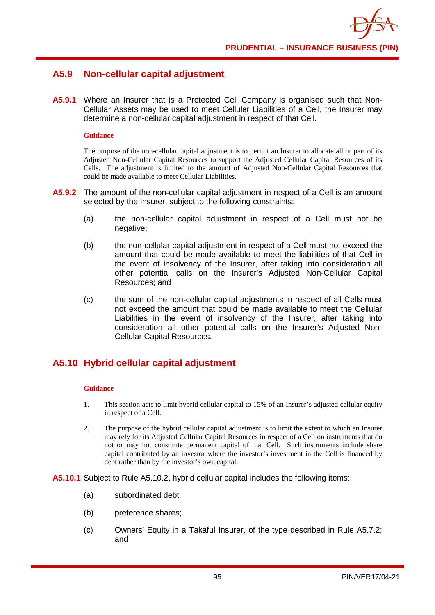

### **A5.9 Non-cellular capital adjustment**

**A5.9.1** Where an Insurer that is a Protected Cell Company is organised such that Non-Cellular Assets may be used to meet Cellular Liabilities of a Cell, the Insurer may determine a non-cellular capital adjustment in respect of that Cell.

#### **Guidance**

The purpose of the non-cellular capital adjustment is to permit an Insurer to allocate all or part of its Adjusted Non-Cellular Capital Resources to support the Adjusted Cellular Capital Resources of its Cells. The adjustment is limited to the amount of Adjusted Non-Cellular Capital Resources that could be made available to meet Cellular Liabilities.

- **A5.9.2** The amount of the non-cellular capital adjustment in respect of a Cell is an amount selected by the Insurer, subject to the following constraints:
	- (a) the non-cellular capital adjustment in respect of a Cell must not be negative;
	- (b) the non-cellular capital adjustment in respect of a Cell must not exceed the amount that could be made available to meet the liabilities of that Cell in the event of insolvency of the Insurer, after taking into consideration all other potential calls on the Insurer's Adjusted Non-Cellular Capital Resources; and
	- (c) the sum of the non-cellular capital adjustments in respect of all Cells must not exceed the amount that could be made available to meet the Cellular Liabilities in the event of insolvency of the Insurer, after taking into consideration all other potential calls on the Insurer's Adjusted Non-Cellular Capital Resources.

### **A5.10 Hybrid cellular capital adjustment**

#### **Guidance**

- 1. This section acts to limit hybrid cellular capital to 15% of an Insurer's adjusted cellular equity in respect of a Cell.
- 2. The purpose of the hybrid cellular capital adjustment is to limit the extent to which an Insurer may rely for its Adjusted Cellular Capital Resources in respect of a Cell on instruments that do not or may not constitute permanent capital of that Cell. Such instruments include share capital contributed by an investor where the investor's investment in the Cell is financed by debt rather than by the investor's own capital.

**A5.10.1** Subject to Rule A5.10.2, hybrid cellular capital includes the following items:

- (a) subordinated debt;
- (b) preference shares;
- (c) Owners' Equity in a Takaful Insurer, of the type described in Rule A5.7.2; and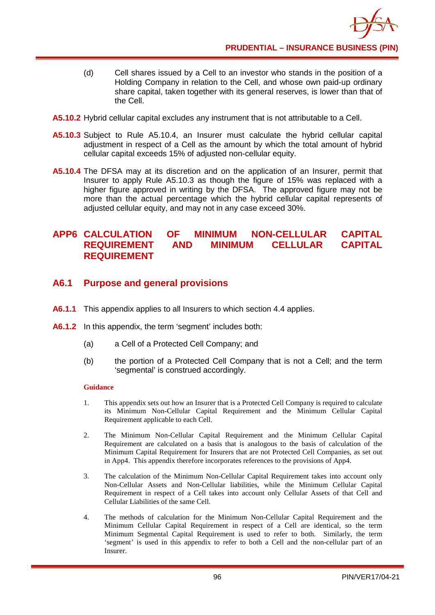- (d) Cell shares issued by a Cell to an investor who stands in the position of a Holding Company in relation to the Cell, and whose own paid-up ordinary share capital, taken together with its general reserves, is lower than that of the Cell.
- **A5.10.2** Hybrid cellular capital excludes any instrument that is not attributable to a Cell.
- **A5.10.3** Subject to Rule A5.10.4, an Insurer must calculate the hybrid cellular capital adjustment in respect of a Cell as the amount by which the total amount of hybrid cellular capital exceeds 15% of adjusted non-cellular equity.
- **A5.10.4** The DFSA may at its discretion and on the application of an Insurer, permit that Insurer to apply Rule A5.10.3 as though the figure of 15% was replaced with a higher figure approved in writing by the DFSA. The approved figure may not be more than the actual percentage which the hybrid cellular capital represents of adjusted cellular equity, and may not in any case exceed 30%.

### **APP6 CALCULATION OF MINIMUM NON-CELLULAR CAPITAL REQUIREMENT AND MINIMUM CELLULAR CAPITAL REQUIREMENT**

## **A6.1 Purpose and general provisions**

- **A6.1.1** This appendix applies to all Insurers to which section 4.4 applies.
- **A6.1.2** In this appendix, the term 'segment' includes both:
	- (a) a Cell of a Protected Cell Company; and
	- (b) the portion of a Protected Cell Company that is not a Cell; and the term 'segmental' is construed accordingly.

### **Guidance**

- 1. This appendix sets out how an Insurer that is a Protected Cell Company is required to calculate its Minimum Non-Cellular Capital Requirement and the Minimum Cellular Capital Requirement applicable to each Cell.
- 2. The Minimum Non-Cellular Capital Requirement and the Minimum Cellular Capital Requirement are calculated on a basis that is analogous to the basis of calculation of the Minimum Capital Requirement for Insurers that are not Protected Cell Companies, as set out in App4. This appendix therefore incorporates references to the provisions of App4.
- 3. The calculation of the Minimum Non-Cellular Capital Requirement takes into account only Non-Cellular Assets and Non-Cellular liabilities, while the Minimum Cellular Capital Requirement in respect of a Cell takes into account only Cellular Assets of that Cell and Cellular Liabilities of the same Cell.
- 4. The methods of calculation for the Minimum Non-Cellular Capital Requirement and the Minimum Cellular Capital Requirement in respect of a Cell are identical, so the term Minimum Segmental Capital Requirement is used to refer to both. Similarly, the term 'segment' is used in this appendix to refer to both a Cell and the non-cellular part of an Insurer.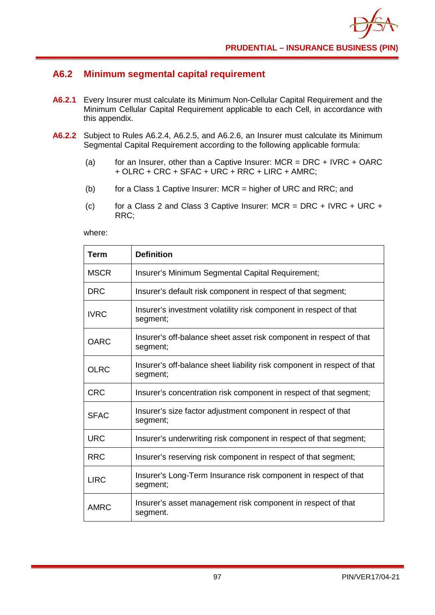## **A6.2 Minimum segmental capital requirement**

- **A6.2.1** Every Insurer must calculate its Minimum Non-Cellular Capital Requirement and the Minimum Cellular Capital Requirement applicable to each Cell, in accordance with this appendix.
- **A6.2.2** Subject to Rules A6.2.4, A6.2.5, and A6.2.6, an Insurer must calculate its Minimum Segmental Capital Requirement according to the following applicable formula:
	- (a) for an Insurer, other than a Captive Insurer:  $MCR = DRC + IVRC + OARC$ + OLRC + CRC + SFAC + URC + RRC + LIRC + AMRC;
	- (b) for a Class 1 Captive Insurer: MCR = higher of URC and RRC; and
	- (c) for a Class 2 and Class 3 Captive Insurer:  $MCR = DRC + IVRC + URC +$ RRC;

where:

| <b>Term</b> | <b>Definition</b>                                                                   |
|-------------|-------------------------------------------------------------------------------------|
| <b>MSCR</b> | Insurer's Minimum Segmental Capital Requirement;                                    |
| <b>DRC</b>  | Insurer's default risk component in respect of that segment;                        |
| <b>IVRC</b> | Insurer's investment volatility risk component in respect of that<br>segment;       |
| <b>OARC</b> | Insurer's off-balance sheet asset risk component in respect of that<br>segment;     |
| <b>OLRC</b> | Insurer's off-balance sheet liability risk component in respect of that<br>segment; |
| <b>CRC</b>  | Insurer's concentration risk component in respect of that segment;                  |
| <b>SFAC</b> | Insurer's size factor adjustment component in respect of that<br>segment;           |
| <b>URC</b>  | Insurer's underwriting risk component in respect of that segment;                   |
| <b>RRC</b>  | Insurer's reserving risk component in respect of that segment;                      |
| <b>LIRC</b> | Insurer's Long-Term Insurance risk component in respect of that<br>segment;         |
| <b>AMRC</b> | Insurer's asset management risk component in respect of that<br>segment.            |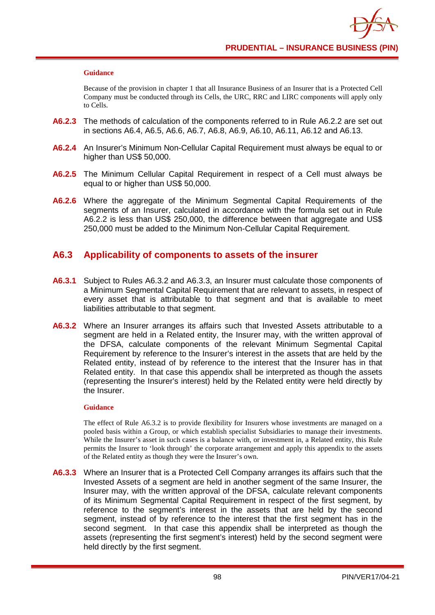#### **Guidance**

Because of the provision in chapter 1 that all Insurance Business of an Insurer that is a Protected Cell Company must be conducted through its Cells, the URC, RRC and LIRC components will apply only to Cells.

- **A6.2.3** The methods of calculation of the components referred to in Rule A6.2.2 are set out in sections A6.4, A6.5, A6.6, A6.7, A6.8, A6.9, A6.10, A6.11, A6.12 and A6.13.
- **A6.2.4** An Insurer's Minimum Non-Cellular Capital Requirement must always be equal to or higher than US\$ 50,000.
- **A6.2.5** The Minimum Cellular Capital Requirement in respect of a Cell must always be equal to or higher than US\$ 50,000.
- **A6.2.6** Where the aggregate of the Minimum Segmental Capital Requirements of the segments of an Insurer, calculated in accordance with the formula set out in Rule A6.2.2 is less than US\$ 250,000, the difference between that aggregate and US\$ 250,000 must be added to the Minimum Non-Cellular Capital Requirement.

### **A6.3 Applicability of components to assets of the insurer**

- **A6.3.1** Subject to Rules A6.3.2 and A6.3.3, an Insurer must calculate those components of a Minimum Segmental Capital Requirement that are relevant to assets, in respect of every asset that is attributable to that segment and that is available to meet liabilities attributable to that segment.
- **A6.3.2** Where an Insurer arranges its affairs such that Invested Assets attributable to a segment are held in a Related entity, the Insurer may, with the written approval of the DFSA, calculate components of the relevant Minimum Segmental Capital Requirement by reference to the Insurer's interest in the assets that are held by the Related entity, instead of by reference to the interest that the Insurer has in that Related entity. In that case this appendix shall be interpreted as though the assets (representing the Insurer's interest) held by the Related entity were held directly by the Insurer.

#### **Guidance**

The effect of Rule A6.3.2 is to provide flexibility for Insurers whose investments are managed on a pooled basis within a Group, or which establish specialist Subsidiaries to manage their investments. While the Insurer's asset in such cases is a balance with, or investment in, a Related entity, this Rule permits the Insurer to 'look through' the corporate arrangement and apply this appendix to the assets of the Related entity as though they were the Insurer's own.

**A6.3.3** Where an Insurer that is a Protected Cell Company arranges its affairs such that the Invested Assets of a segment are held in another segment of the same Insurer, the Insurer may, with the written approval of the DFSA, calculate relevant components of its Minimum Segmental Capital Requirement in respect of the first segment, by reference to the segment's interest in the assets that are held by the second segment, instead of by reference to the interest that the first segment has in the second segment. In that case this appendix shall be interpreted as though the assets (representing the first segment's interest) held by the second segment were held directly by the first segment.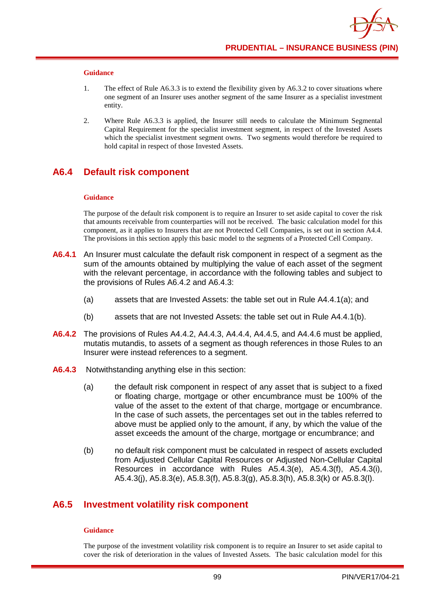#### **Guidance**

- 1. The effect of Rule A6.3.3 is to extend the flexibility given by A6.3.2 to cover situations where one segment of an Insurer uses another segment of the same Insurer as a specialist investment entity.
- 2. Where Rule A6.3.3 is applied, the Insurer still needs to calculate the Minimum Segmental Capital Requirement for the specialist investment segment, in respect of the Invested Assets which the specialist investment segment owns. Two segments would therefore be required to hold capital in respect of those Invested Assets.

## **A6.4 Default risk component**

#### **Guidance**

The purpose of the default risk component is to require an Insurer to set aside capital to cover the risk that amounts receivable from counterparties will not be received. The basic calculation model for this component, as it applies to Insurers that are not Protected Cell Companies, is set out in section A4.4. The provisions in this section apply this basic model to the segments of a Protected Cell Company.

- **A6.4.1** An Insurer must calculate the default risk component in respect of a segment as the sum of the amounts obtained by multiplying the value of each asset of the segment with the relevant percentage, in accordance with the following tables and subject to the provisions of Rules A6.4.2 and A6.4.3:
	- (a) assets that are Invested Assets: the table set out in Rule A4.4.1(a); and
	- (b) assets that are not Invested Assets: the table set out in Rule A4.4.1(b).
- **A6.4.2** The provisions of Rules A4.4.2, A4.4.3, A4.4.4, A4.4.5, and A4.4.6 must be applied, mutatis mutandis, to assets of a segment as though references in those Rules to an Insurer were instead references to a segment.
- **A6.4.3** Notwithstanding anything else in this section:
	- (a) the default risk component in respect of any asset that is subject to a fixed or floating charge, mortgage or other encumbrance must be 100% of the value of the asset to the extent of that charge, mortgage or encumbrance. In the case of such assets, the percentages set out in the tables referred to above must be applied only to the amount, if any, by which the value of the asset exceeds the amount of the charge, mortgage or encumbrance; and
	- (b) no default risk component must be calculated in respect of assets excluded from Adjusted Cellular Capital Resources or Adjusted Non-Cellular Capital Resources in accordance with Rules A5.4.3(e), A5.4.3(f), A5.4.3(i), A5.4.3(j), A5.8.3(e), A5.8.3(f), A5.8.3(g), A5.8.3(h), A5.8.3(k) or A5.8.3(l).

### **A6.5 Investment volatility risk component**

#### **Guidance**

The purpose of the investment volatility risk component is to require an Insurer to set aside capital to cover the risk of deterioration in the values of Invested Assets. The basic calculation model for this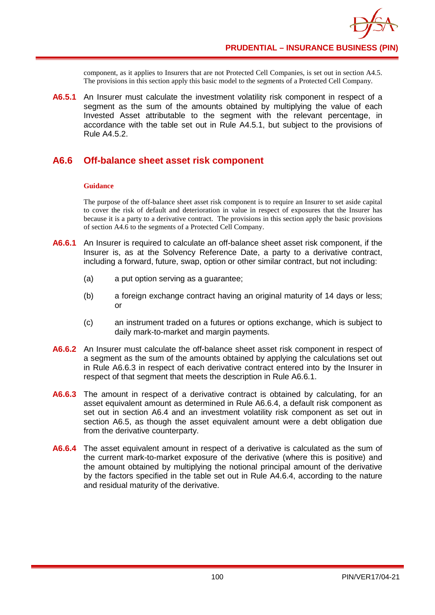component, as it applies to Insurers that are not Protected Cell Companies, is set out in section A4.5. The provisions in this section apply this basic model to the segments of a Protected Cell Company.

**A6.5.1** An Insurer must calculate the investment volatility risk component in respect of a segment as the sum of the amounts obtained by multiplying the value of each Invested Asset attributable to the segment with the relevant percentage, in accordance with the table set out in Rule A4.5.1, but subject to the provisions of Rule A4.5.2.

## **A6.6 Off-balance sheet asset risk component**

### **Guidance**

The purpose of the off-balance sheet asset risk component is to require an Insurer to set aside capital to cover the risk of default and deterioration in value in respect of exposures that the Insurer has because it is a party to a derivative contract. The provisions in this section apply the basic provisions of section A4.6 to the segments of a Protected Cell Company.

- **A6.6.1** An Insurer is required to calculate an off-balance sheet asset risk component, if the Insurer is, as at the Solvency Reference Date, a party to a derivative contract, including a forward, future, swap, option or other similar contract, but not including:
	- (a) a put option serving as a guarantee;
	- (b) a foreign exchange contract having an original maturity of 14 days or less; or
	- (c) an instrument traded on a futures or options exchange, which is subject to daily mark-to-market and margin payments.
- **A6.6.2** An Insurer must calculate the off-balance sheet asset risk component in respect of a segment as the sum of the amounts obtained by applying the calculations set out in Rule A6.6.3 in respect of each derivative contract entered into by the Insurer in respect of that segment that meets the description in Rule A6.6.1.
- **A6.6.3** The amount in respect of a derivative contract is obtained by calculating, for an asset equivalent amount as determined in Rule A6.6.4, a default risk component as set out in section A6.4 and an investment volatility risk component as set out in section A6.5, as though the asset equivalent amount were a debt obligation due from the derivative counterparty.
- **A6.6.4** The asset equivalent amount in respect of a derivative is calculated as the sum of the current mark-to-market exposure of the derivative (where this is positive) and the amount obtained by multiplying the notional principal amount of the derivative by the factors specified in the table set out in Rule A4.6.4, according to the nature and residual maturity of the derivative.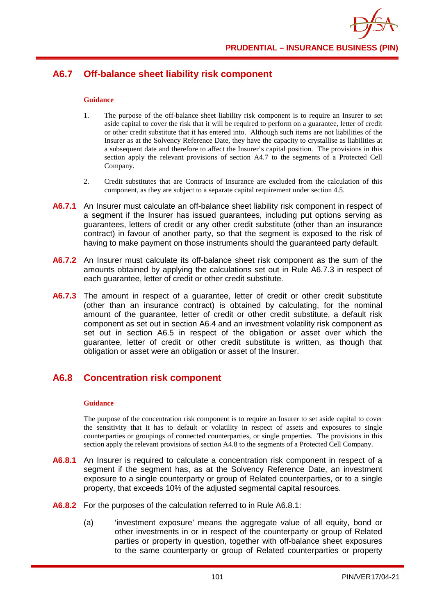# **A6.7 Off-balance sheet liability risk component**

### **Guidance**

- 1. The purpose of the off-balance sheet liability risk component is to require an Insurer to set aside capital to cover the risk that it will be required to perform on a guarantee, letter of credit or other credit substitute that it has entered into. Although such items are not liabilities of the Insurer as at the Solvency Reference Date, they have the capacity to crystallise as liabilities at a subsequent date and therefore to affect the Insurer's capital position. The provisions in this section apply the relevant provisions of section A4.7 to the segments of a Protected Cell Company.
- 2. Credit substitutes that are Contracts of Insurance are excluded from the calculation of this component, as they are subject to a separate capital requirement under section 4.5.
- **A6.7.1** An Insurer must calculate an off-balance sheet liability risk component in respect of a segment if the Insurer has issued guarantees, including put options serving as guarantees, letters of credit or any other credit substitute (other than an insurance contract) in favour of another party, so that the segment is exposed to the risk of having to make payment on those instruments should the guaranteed party default.
- **A6.7.2** An Insurer must calculate its off-balance sheet risk component as the sum of the amounts obtained by applying the calculations set out in Rule A6.7.3 in respect of each guarantee, letter of credit or other credit substitute.
- A6.7.3 The amount in respect of a guarantee, letter of credit or other credit substitute (other than an insurance contract) is obtained by calculating, for the nominal amount of the guarantee, letter of credit or other credit substitute, a default risk component as set out in section A6.4 and an investment volatility risk component as set out in section A6.5 in respect of the obligation or asset over which the guarantee, letter of credit or other credit substitute is written, as though that obligation or asset were an obligation or asset of the Insurer.

## **A6.8 Concentration risk component**

#### **Guidance**

The purpose of the concentration risk component is to require an Insurer to set aside capital to cover the sensitivity that it has to default or volatility in respect of assets and exposures to single counterparties or groupings of connected counterparties, or single properties. The provisions in this section apply the relevant provisions of section A4.8 to the segments of a Protected Cell Company.

- **A6.8.1** An Insurer is required to calculate a concentration risk component in respect of a segment if the segment has, as at the Solvency Reference Date, an investment exposure to a single counterparty or group of Related counterparties, or to a single property, that exceeds 10% of the adjusted segmental capital resources.
- **A6.8.2** For the purposes of the calculation referred to in Rule A6.8.1:
	- (a) 'investment exposure' means the aggregate value of all equity, bond or other investments in or in respect of the counterparty or group of Related parties or property in question, together with off-balance sheet exposures to the same counterparty or group of Related counterparties or property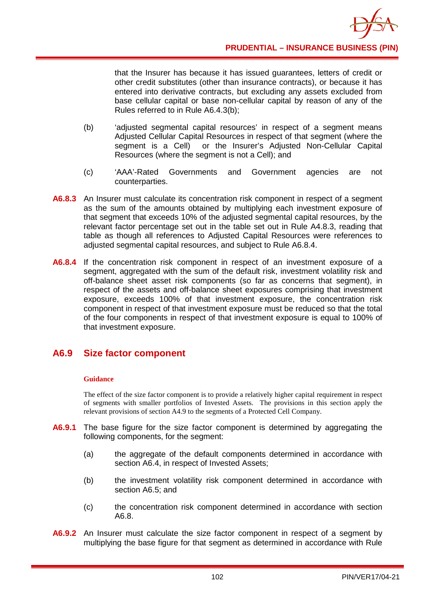that the Insurer has because it has issued guarantees, letters of credit or other credit substitutes (other than insurance contracts), or because it has entered into derivative contracts, but excluding any assets excluded from base cellular capital or base non-cellular capital by reason of any of the Rules referred to in Rule A6.4.3(b);

- (b) 'adjusted segmental capital resources' in respect of a segment means Adjusted Cellular Capital Resources in respect of that segment (where the segment is a Cell) or the Insurer's Adjusted Non-Cellular Capital Resources (where the segment is not a Cell); and
- (c) 'AAA'-Rated Governments and Government agencies are not counterparties.
- **A6.8.3** An Insurer must calculate its concentration risk component in respect of a segment as the sum of the amounts obtained by multiplying each investment exposure of that segment that exceeds 10% of the adjusted segmental capital resources, by the relevant factor percentage set out in the table set out in Rule A4.8.3, reading that table as though all references to Adjusted Capital Resources were references to adjusted segmental capital resources, and subject to Rule A6.8.4.
- **A6.8.4** If the concentration risk component in respect of an investment exposure of a segment, aggregated with the sum of the default risk, investment volatility risk and off-balance sheet asset risk components (so far as concerns that segment), in respect of the assets and off-balance sheet exposures comprising that investment exposure, exceeds 100% of that investment exposure, the concentration risk component in respect of that investment exposure must be reduced so that the total of the four components in respect of that investment exposure is equal to 100% of that investment exposure.

### **A6.9 Size factor component**

### **Guidance**

The effect of the size factor component is to provide a relatively higher capital requirement in respect of segments with smaller portfolios of Invested Assets. The provisions in this section apply the relevant provisions of section A4.9 to the segments of a Protected Cell Company.

- **A6.9.1** The base figure for the size factor component is determined by aggregating the following components, for the segment:
	- (a) the aggregate of the default components determined in accordance with section A6.4, in respect of Invested Assets;
	- (b) the investment volatility risk component determined in accordance with section A6.5; and
	- (c) the concentration risk component determined in accordance with section A6.8.
- **A6.9.2** An Insurer must calculate the size factor component in respect of a segment by multiplying the base figure for that segment as determined in accordance with Rule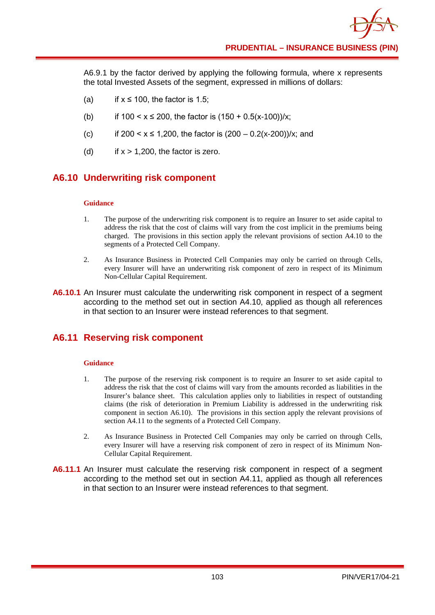A6.9.1 by the factor derived by applying the following formula, where x represents the total Invested Assets of the segment, expressed in millions of dollars:

- (a) if  $x \le 100$ , the factor is 1.5;
- (b) if  $100 < x \le 200$ , the factor is  $(150 + 0.5(x-100))/x$ ;
- (c) if  $200 < x \le 1,200$ , the factor is  $(200 0.2(x-200))/x$ ; and
- (d) if  $x > 1,200$ , the factor is zero.

## **A6.10 Underwriting risk component**

#### **Guidance**

- 1. The purpose of the underwriting risk component is to require an Insurer to set aside capital to address the risk that the cost of claims will vary from the cost implicit in the premiums being charged. The provisions in this section apply the relevant provisions of section A4.10 to the segments of a Protected Cell Company.
- 2. As Insurance Business in Protected Cell Companies may only be carried on through Cells, every Insurer will have an underwriting risk component of zero in respect of its Minimum Non-Cellular Capital Requirement.
- **A6.10.1** An Insurer must calculate the underwriting risk component in respect of a segment according to the method set out in section A4.10, applied as though all references in that section to an Insurer were instead references to that segment.

## **A6.11 Reserving risk component**

### **Guidance**

- 1. The purpose of the reserving risk component is to require an Insurer to set aside capital to address the risk that the cost of claims will vary from the amounts recorded as liabilities in the Insurer's balance sheet. This calculation applies only to liabilities in respect of outstanding claims (the risk of deterioration in Premium Liability is addressed in the underwriting risk component in section A6.10). The provisions in this section apply the relevant provisions of section A4.11 to the segments of a Protected Cell Company.
- 2. As Insurance Business in Protected Cell Companies may only be carried on through Cells, every Insurer will have a reserving risk component of zero in respect of its Minimum Non-Cellular Capital Requirement.
- **A6.11.1** An Insurer must calculate the reserving risk component in respect of a segment according to the method set out in section A4.11, applied as though all references in that section to an Insurer were instead references to that segment.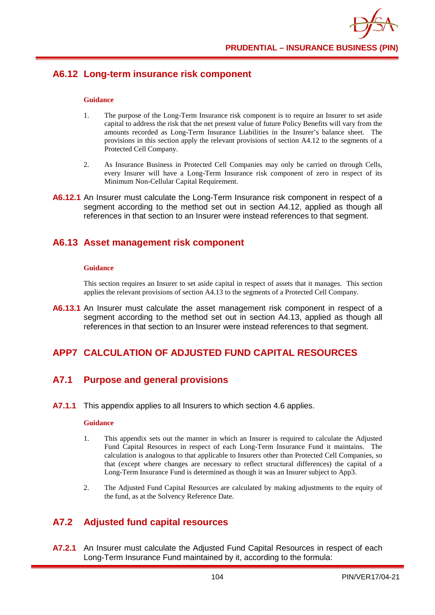## **A6.12 Long-term insurance risk component**

#### **Guidance**

- 1. The purpose of the Long-Term Insurance risk component is to require an Insurer to set aside capital to address the risk that the net present value of future Policy Benefits will vary from the amounts recorded as Long-Term Insurance Liabilities in the Insurer's balance sheet. The provisions in this section apply the relevant provisions of section A4.12 to the segments of a Protected Cell Company.
- 2. As Insurance Business in Protected Cell Companies may only be carried on through Cells, every Insurer will have a Long-Term Insurance risk component of zero in respect of its Minimum Non-Cellular Capital Requirement.
- **A6.12.1** An Insurer must calculate the Long-Term Insurance risk component in respect of a segment according to the method set out in section A4.12, applied as though all references in that section to an Insurer were instead references to that segment.

### **A6.13 Asset management risk component**

#### **Guidance**

This section requires an Insurer to set aside capital in respect of assets that it manages. This section applies the relevant provisions of section A4.13 to the segments of a Protected Cell Company.

**A6.13.1** An Insurer must calculate the asset management risk component in respect of a segment according to the method set out in section A4.13, applied as though all references in that section to an Insurer were instead references to that segment.

# **APP7 CALCULATION OF ADJUSTED FUND CAPITAL RESOURCES**

# **A7.1 Purpose and general provisions**

**A7.1.1** This appendix applies to all Insurers to which section 4.6 applies.

#### **Guidance**

- 1. This appendix sets out the manner in which an Insurer is required to calculate the Adjusted Fund Capital Resources in respect of each Long-Term Insurance Fund it maintains. The calculation is analogous to that applicable to Insurers other than Protected Cell Companies, so that (except where changes are necessary to reflect structural differences) the capital of a Long-Term Insurance Fund is determined as though it was an Insurer subject to App3.
- 2. The Adjusted Fund Capital Resources are calculated by making adjustments to the equity of the fund, as at the Solvency Reference Date.

# **A7.2 Adjusted fund capital resources**

**A7.2.1** An Insurer must calculate the Adjusted Fund Capital Resources in respect of each Long-Term Insurance Fund maintained by it, according to the formula: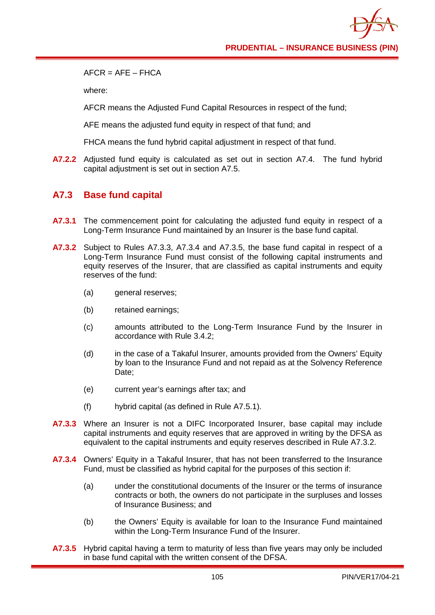$AFCR - AFF - FHCA$ 

where:

AFCR means the Adjusted Fund Capital Resources in respect of the fund;

AFE means the adjusted fund equity in respect of that fund; and

FHCA means the fund hybrid capital adjustment in respect of that fund.

**A7.2.2** Adjusted fund equity is calculated as set out in section A7.4. The fund hybrid capital adjustment is set out in section A7.5.

## **A7.3 Base fund capital**

- **A7.3.1** The commencement point for calculating the adjusted fund equity in respect of a Long-Term Insurance Fund maintained by an Insurer is the base fund capital.
- **A7.3.2** Subject to Rules A7.3.3, A7.3.4 and A7.3.5, the base fund capital in respect of a Long-Term Insurance Fund must consist of the following capital instruments and equity reserves of the Insurer, that are classified as capital instruments and equity reserves of the fund:
	- (a) general reserves:
	- (b) retained earnings;
	- (c) amounts attributed to the Long-Term Insurance Fund by the Insurer in accordance with Rule 3.4.2;
	- (d) in the case of a Takaful Insurer, amounts provided from the Owners' Equity by loan to the Insurance Fund and not repaid as at the Solvency Reference Date:
	- (e) current year's earnings after tax; and
	- (f) hybrid capital (as defined in Rule A7.5.1).
- **A7.3.3** Where an Insurer is not a DIFC Incorporated Insurer, base capital may include capital instruments and equity reserves that are approved in writing by the DFSA as equivalent to the capital instruments and equity reserves described in Rule A7.3.2.
- **A7.3.4** Owners' Equity in a Takaful Insurer, that has not been transferred to the Insurance Fund, must be classified as hybrid capital for the purposes of this section if:
	- (a) under the constitutional documents of the Insurer or the terms of insurance contracts or both, the owners do not participate in the surpluses and losses of Insurance Business; and
	- (b) the Owners' Equity is available for loan to the Insurance Fund maintained within the Long-Term Insurance Fund of the Insurer.
- **A7.3.5** Hybrid capital having a term to maturity of less than five years may only be included in base fund capital with the written consent of the DFSA.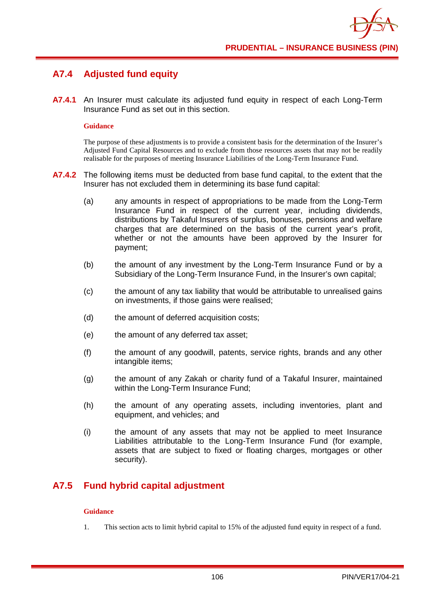# **A7.4 Adjusted fund equity**

**A7.4.1** An Insurer must calculate its adjusted fund equity in respect of each Long-Term Insurance Fund as set out in this section.

### **Guidance**

The purpose of these adjustments is to provide a consistent basis for the determination of the Insurer's Adjusted Fund Capital Resources and to exclude from those resources assets that may not be readily realisable for the purposes of meeting Insurance Liabilities of the Long-Term Insurance Fund.

- **A7.4.2** The following items must be deducted from base fund capital, to the extent that the Insurer has not excluded them in determining its base fund capital:
	- (a) any amounts in respect of appropriations to be made from the Long-Term Insurance Fund in respect of the current year, including dividends, distributions by Takaful Insurers of surplus, bonuses, pensions and welfare charges that are determined on the basis of the current year's profit, whether or not the amounts have been approved by the Insurer for payment;
	- (b) the amount of any investment by the Long-Term Insurance Fund or by a Subsidiary of the Long-Term Insurance Fund, in the Insurer's own capital;
	- (c) the amount of any tax liability that would be attributable to unrealised gains on investments, if those gains were realised;
	- (d) the amount of deferred acquisition costs;
	- (e) the amount of any deferred tax asset;
	- (f) the amount of any goodwill, patents, service rights, brands and any other intangible items;
	- (g) the amount of any Zakah or charity fund of a Takaful Insurer, maintained within the Long-Term Insurance Fund;
	- (h) the amount of any operating assets, including inventories, plant and equipment, and vehicles; and
	- (i) the amount of any assets that may not be applied to meet Insurance Liabilities attributable to the Long-Term Insurance Fund (for example, assets that are subject to fixed or floating charges, mortgages or other security).

# **A7.5 Fund hybrid capital adjustment**

### **Guidance**

1. This section acts to limit hybrid capital to 15% of the adjusted fund equity in respect of a fund.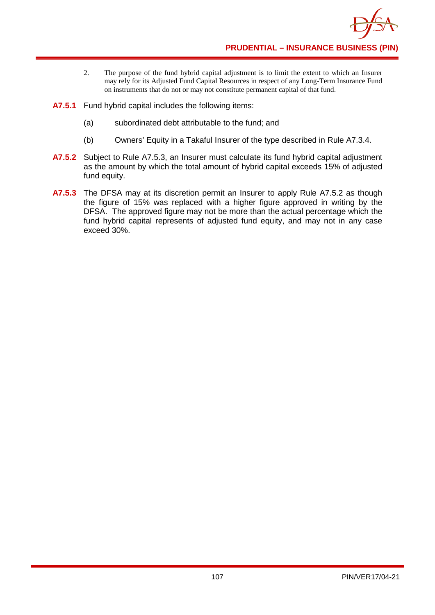

- 2. The purpose of the fund hybrid capital adjustment is to limit the extent to which an Insurer may rely for its Adjusted Fund Capital Resources in respect of any Long-Term Insurance Fund on instruments that do not or may not constitute permanent capital of that fund.
- **A7.5.1** Fund hybrid capital includes the following items:
	- (a) subordinated debt attributable to the fund; and
	- (b) Owners' Equity in a Takaful Insurer of the type described in Rule A7.3.4.
- **A7.5.2** Subject to Rule A7.5.3, an Insurer must calculate its fund hybrid capital adjustment as the amount by which the total amount of hybrid capital exceeds 15% of adjusted fund equity.
- **A7.5.3** The DFSA may at its discretion permit an Insurer to apply Rule A7.5.2 as though the figure of 15% was replaced with a higher figure approved in writing by the DFSA. The approved figure may not be more than the actual percentage which the fund hybrid capital represents of adjusted fund equity, and may not in any case exceed 30%.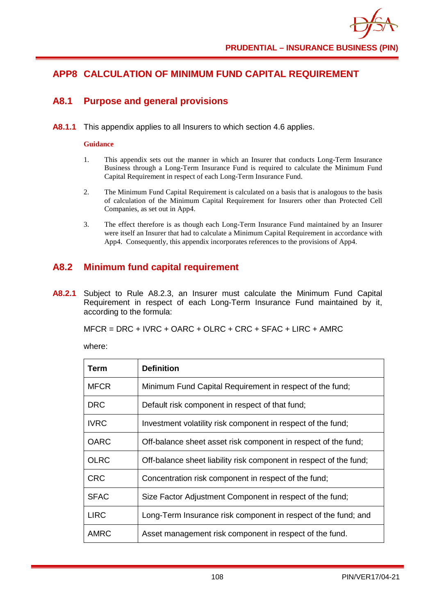# **APP8 CALCULATION OF MINIMUM FUND CAPITAL REQUIREMENT**

## **A8.1 Purpose and general provisions**

**A8.1.1** This appendix applies to all Insurers to which section 4.6 applies.

#### **Guidance**

- 1. This appendix sets out the manner in which an Insurer that conducts Long-Term Insurance Business through a Long-Term Insurance Fund is required to calculate the Minimum Fund Capital Requirement in respect of each Long-Term Insurance Fund.
- 2. The Minimum Fund Capital Requirement is calculated on a basis that is analogous to the basis of calculation of the Minimum Capital Requirement for Insurers other than Protected Cell Companies, as set out in App4.
- 3. The effect therefore is as though each Long-Term Insurance Fund maintained by an Insurer were itself an Insurer that had to calculate a Minimum Capital Requirement in accordance with App4. Consequently, this appendix incorporates references to the provisions of App4.

# **A8.2 Minimum fund capital requirement**

**A8.2.1** Subject to Rule A8.2.3, an Insurer must calculate the Minimum Fund Capital Requirement in respect of each Long-Term Insurance Fund maintained by it, according to the formula:

MFCR = DRC + IVRC + OARC + OLRC + CRC + SFAC + LIRC + AMRC

where:

| Term        | <b>Definition</b>                                                  |
|-------------|--------------------------------------------------------------------|
| <b>MFCR</b> | Minimum Fund Capital Requirement in respect of the fund;           |
| <b>DRC</b>  | Default risk component in respect of that fund;                    |
| <b>IVRC</b> | Investment volatility risk component in respect of the fund;       |
| <b>OARC</b> | Off-balance sheet asset risk component in respect of the fund;     |
| <b>OLRC</b> | Off-balance sheet liability risk component in respect of the fund; |
| <b>CRC</b>  | Concentration risk component in respect of the fund;               |
| <b>SFAC</b> | Size Factor Adjustment Component in respect of the fund;           |
| <b>LIRC</b> | Long-Term Insurance risk component in respect of the fund; and     |
| <b>AMRC</b> | Asset management risk component in respect of the fund.            |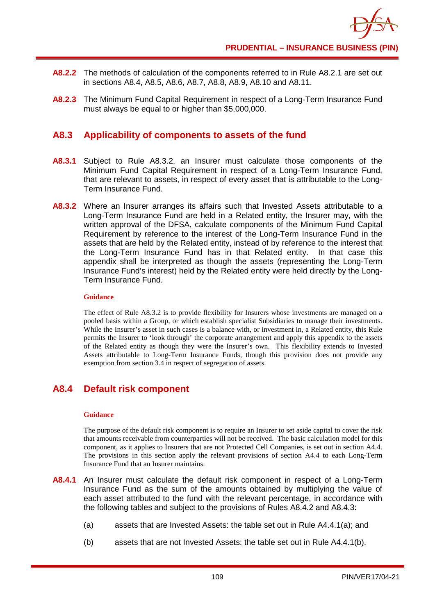- **A8.2.2** The methods of calculation of the components referred to in Rule A8.2.1 are set out in sections A8.4, A8.5, A8.6, A8.7, A8.8, A8.9, A8.10 and A8.11.
- **A8.2.3** The Minimum Fund Capital Requirement in respect of a Long-Term Insurance Fund must always be equal to or higher than \$5,000,000.

## **A8.3 Applicability of components to assets of the fund**

- **A8.3.1** Subject to Rule A8.3.2, an Insurer must calculate those components of the Minimum Fund Capital Requirement in respect of a Long-Term Insurance Fund, that are relevant to assets, in respect of every asset that is attributable to the Long-Term Insurance Fund.
- **A8.3.2** Where an Insurer arranges its affairs such that Invested Assets attributable to a Long-Term Insurance Fund are held in a Related entity, the Insurer may, with the written approval of the DFSA, calculate components of the Minimum Fund Capital Requirement by reference to the interest of the Long-Term Insurance Fund in the assets that are held by the Related entity, instead of by reference to the interest that the Long-Term Insurance Fund has in that Related entity. In that case this appendix shall be interpreted as though the assets (representing the Long-Term Insurance Fund's interest) held by the Related entity were held directly by the Long-Term Insurance Fund.

#### **Guidance**

The effect of Rule A8.3.2 is to provide flexibility for Insurers whose investments are managed on a pooled basis within a Group, or which establish specialist Subsidiaries to manage their investments. While the Insurer's asset in such cases is a balance with, or investment in, a Related entity, this Rule permits the Insurer to 'look through' the corporate arrangement and apply this appendix to the assets of the Related entity as though they were the Insurer's own. This flexibility extends to Invested Assets attributable to Long-Term Insurance Funds, though this provision does not provide any exemption from section 3.4 in respect of segregation of assets.

# **A8.4 Default risk component**

### **Guidance**

The purpose of the default risk component is to require an Insurer to set aside capital to cover the risk that amounts receivable from counterparties will not be received. The basic calculation model for this component, as it applies to Insurers that are not Protected Cell Companies, is set out in section A4.4. The provisions in this section apply the relevant provisions of section A4.4 to each Long-Term Insurance Fund that an Insurer maintains.

- **A8.4.1** An Insurer must calculate the default risk component in respect of a Long-Term Insurance Fund as the sum of the amounts obtained by multiplying the value of each asset attributed to the fund with the relevant percentage, in accordance with the following tables and subject to the provisions of Rules A8.4.2 and A8.4.3:
	- (a) assets that are Invested Assets: the table set out in Rule A4.4.1(a); and
	- (b) assets that are not Invested Assets: the table set out in Rule A4.4.1(b).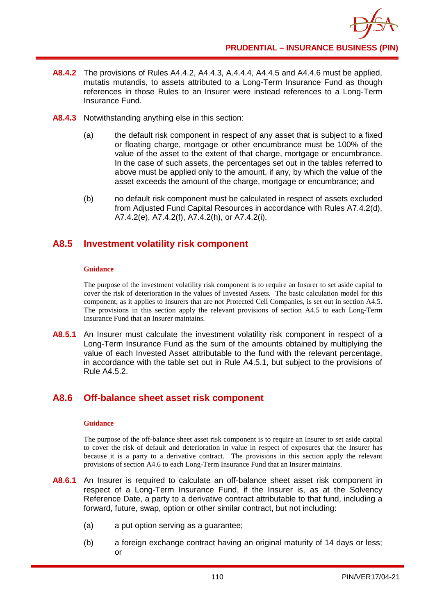- **A8.4.2** The provisions of Rules A4.4.2, A4.4.3, A.4.4.4, A4.4.5 and A4.4.6 must be applied, mutatis mutandis, to assets attributed to a Long-Term Insurance Fund as though references in those Rules to an Insurer were instead references to a Long-Term Insurance Fund.
- **A8.4.3** Notwithstanding anything else in this section:
	- (a) the default risk component in respect of any asset that is subject to a fixed or floating charge, mortgage or other encumbrance must be 100% of the value of the asset to the extent of that charge, mortgage or encumbrance. In the case of such assets, the percentages set out in the tables referred to above must be applied only to the amount, if any, by which the value of the asset exceeds the amount of the charge, mortgage or encumbrance; and
	- (b) no default risk component must be calculated in respect of assets excluded from Adjusted Fund Capital Resources in accordance with Rules A7.4.2(d), A7.4.2(e), A7.4.2(f), A7.4.2(h), or A7.4.2(i).

# **A8.5 Investment volatility risk component**

### **Guidance**

The purpose of the investment volatility risk component is to require an Insurer to set aside capital to cover the risk of deterioration in the values of Invested Assets. The basic calculation model for this component, as it applies to Insurers that are not Protected Cell Companies, is set out in section A4.5. The provisions in this section apply the relevant provisions of section A4.5 to each Long-Term Insurance Fund that an Insurer maintains.

**A8.5.1** An Insurer must calculate the investment volatility risk component in respect of a Long-Term Insurance Fund as the sum of the amounts obtained by multiplying the value of each Invested Asset attributable to the fund with the relevant percentage, in accordance with the table set out in Rule A4.5.1, but subject to the provisions of Rule A4.5.2.

# **A8.6 Off-balance sheet asset risk component**

### **Guidance**

The purpose of the off-balance sheet asset risk component is to require an Insurer to set aside capital to cover the risk of default and deterioration in value in respect of exposures that the Insurer has because it is a party to a derivative contract. The provisions in this section apply the relevant provisions of section A4.6 to each Long-Term Insurance Fund that an Insurer maintains.

- **A8.6.1** An Insurer is required to calculate an off-balance sheet asset risk component in respect of a Long-Term Insurance Fund, if the Insurer is, as at the Solvency Reference Date, a party to a derivative contract attributable to that fund, including a forward, future, swap, option or other similar contract, but not including:
	- (a) a put option serving as a guarantee;
	- (b) a foreign exchange contract having an original maturity of 14 days or less; or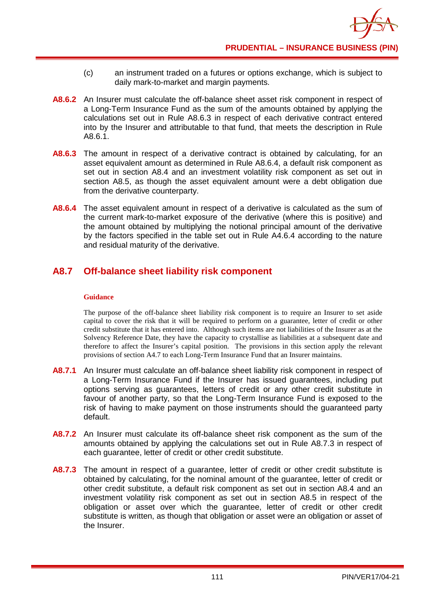- (c) an instrument traded on a futures or options exchange, which is subject to daily mark-to-market and margin payments.
- **A8.6.2** An Insurer must calculate the off-balance sheet asset risk component in respect of a Long-Term Insurance Fund as the sum of the amounts obtained by applying the calculations set out in Rule A8.6.3 in respect of each derivative contract entered into by the Insurer and attributable to that fund, that meets the description in Rule A8.6.1.
- **A8.6.3** The amount in respect of a derivative contract is obtained by calculating, for an asset equivalent amount as determined in Rule A8.6.4, a default risk component as set out in section A8.4 and an investment volatility risk component as set out in section A8.5, as though the asset equivalent amount were a debt obligation due from the derivative counterparty.
- **A8.6.4** The asset equivalent amount in respect of a derivative is calculated as the sum of the current mark-to-market exposure of the derivative (where this is positive) and the amount obtained by multiplying the notional principal amount of the derivative by the factors specified in the table set out in Rule A4.6.4 according to the nature and residual maturity of the derivative.

# **A8.7 Off-balance sheet liability risk component**

### **Guidance**

The purpose of the off-balance sheet liability risk component is to require an Insurer to set aside capital to cover the risk that it will be required to perform on a guarantee, letter of credit or other credit substitute that it has entered into. Although such items are not liabilities of the Insurer as at the Solvency Reference Date, they have the capacity to crystallise as liabilities at a subsequent date and therefore to affect the Insurer's capital position. The provisions in this section apply the relevant provisions of section A4.7 to each Long-Term Insurance Fund that an Insurer maintains.

- **A8.7.1** An Insurer must calculate an off-balance sheet liability risk component in respect of a Long-Term Insurance Fund if the Insurer has issued guarantees, including put options serving as guarantees, letters of credit or any other credit substitute in favour of another party, so that the Long-Term Insurance Fund is exposed to the risk of having to make payment on those instruments should the guaranteed party default.
- **A8.7.2** An Insurer must calculate its off-balance sheet risk component as the sum of the amounts obtained by applying the calculations set out in Rule A8.7.3 in respect of each guarantee, letter of credit or other credit substitute.
- A8.7.3 The amount in respect of a quarantee, letter of credit or other credit substitute is obtained by calculating, for the nominal amount of the guarantee, letter of credit or other credit substitute, a default risk component as set out in section A8.4 and an investment volatility risk component as set out in section A8.5 in respect of the obligation or asset over which the guarantee, letter of credit or other credit substitute is written, as though that obligation or asset were an obligation or asset of the Insurer.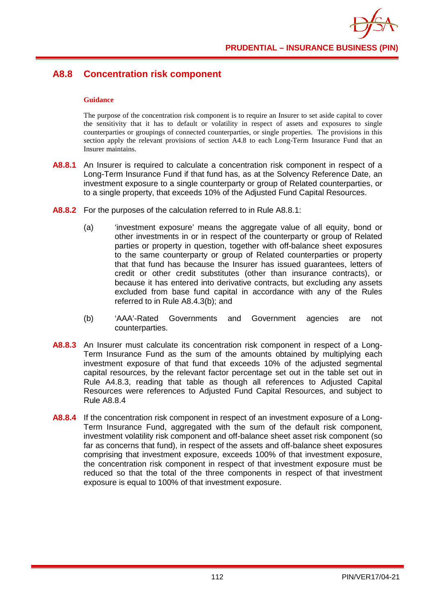## **A8.8 Concentration risk component**

#### **Guidance**

The purpose of the concentration risk component is to require an Insurer to set aside capital to cover the sensitivity that it has to default or volatility in respect of assets and exposures to single counterparties or groupings of connected counterparties, or single properties. The provisions in this section apply the relevant provisions of section A4.8 to each Long-Term Insurance Fund that an Insurer maintains.

- **A8.8.1** An Insurer is required to calculate a concentration risk component in respect of a Long-Term Insurance Fund if that fund has, as at the Solvency Reference Date, an investment exposure to a single counterparty or group of Related counterparties, or to a single property, that exceeds 10% of the Adjusted Fund Capital Resources.
- **A8.8.2** For the purposes of the calculation referred to in Rule A8.8.1:
	- (a) 'investment exposure' means the aggregate value of all equity, bond or other investments in or in respect of the counterparty or group of Related parties or property in question, together with off-balance sheet exposures to the same counterparty or group of Related counterparties or property that that fund has because the Insurer has issued guarantees, letters of credit or other credit substitutes (other than insurance contracts), or because it has entered into derivative contracts, but excluding any assets excluded from base fund capital in accordance with any of the Rules referred to in Rule A8.4.3(b); and
	- (b) 'AAA'-Rated Governments and Government agencies are not counterparties.
- **A8.8.3** An Insurer must calculate its concentration risk component in respect of a Long-Term Insurance Fund as the sum of the amounts obtained by multiplying each investment exposure of that fund that exceeds 10% of the adjusted segmental capital resources, by the relevant factor percentage set out in the table set out in Rule A4.8.3, reading that table as though all references to Adjusted Capital Resources were references to Adjusted Fund Capital Resources, and subject to Rule A8.8.4
- **A8.8.4** If the concentration risk component in respect of an investment exposure of a Long-Term Insurance Fund, aggregated with the sum of the default risk component, investment volatility risk component and off-balance sheet asset risk component (so far as concerns that fund), in respect of the assets and off-balance sheet exposures comprising that investment exposure, exceeds 100% of that investment exposure, the concentration risk component in respect of that investment exposure must be reduced so that the total of the three components in respect of that investment exposure is equal to 100% of that investment exposure.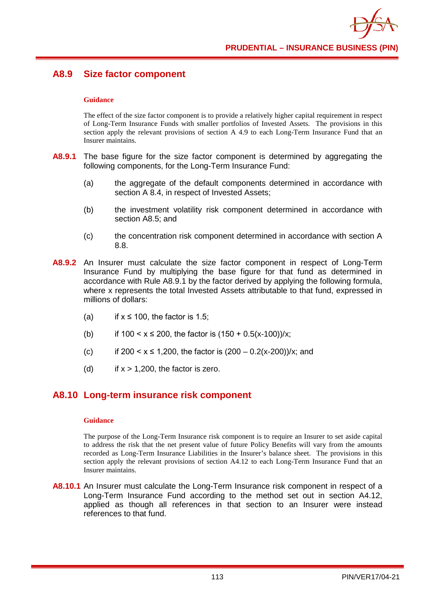# **A8.9 Size factor component**

### **Guidance**

The effect of the size factor component is to provide a relatively higher capital requirement in respect of Long-Term Insurance Funds with smaller portfolios of Invested Assets. The provisions in this section apply the relevant provisions of section A 4.9 to each Long-Term Insurance Fund that an Insurer maintains.

- **A8.9.1** The base figure for the size factor component is determined by aggregating the following components, for the Long-Term Insurance Fund:
	- (a) the aggregate of the default components determined in accordance with section A 8.4, in respect of Invested Assets:
	- (b) the investment volatility risk component determined in accordance with section A8.5; and
	- (c) the concentration risk component determined in accordance with section A 8.8.
- **A8.9.2** An Insurer must calculate the size factor component in respect of Long-Term Insurance Fund by multiplying the base figure for that fund as determined in accordance with Rule A8.9.1 by the factor derived by applying the following formula, where x represents the total Invested Assets attributable to that fund, expressed in millions of dollars:
	- (a) if  $x \le 100$ , the factor is 1.5;
	- (b) if  $100 \le x \le 200$ , the factor is  $(150 + 0.5(x-100))/x$ ;
	- (c) if  $200 < x \le 1,200$ , the factor is  $(200 0.2(x-200))/x$ ; and
	- (d) if  $x > 1,200$ , the factor is zero.

## **A8.10 Long-term insurance risk component**

### **Guidance**

The purpose of the Long-Term Insurance risk component is to require an Insurer to set aside capital to address the risk that the net present value of future Policy Benefits will vary from the amounts recorded as Long-Term Insurance Liabilities in the Insurer's balance sheet. The provisions in this section apply the relevant provisions of section A4.12 to each Long-Term Insurance Fund that an Insurer maintains.

**A8.10.1** An Insurer must calculate the Long-Term Insurance risk component in respect of a Long-Term Insurance Fund according to the method set out in section A4.12, applied as though all references in that section to an Insurer were instead references to that fund.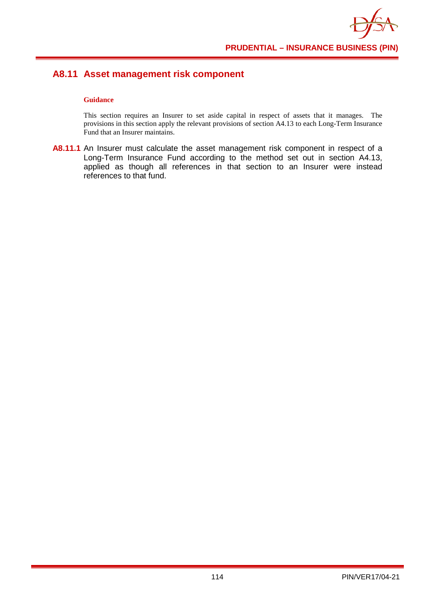# **A8.11 Asset management risk component**

### **Guidance**

This section requires an Insurer to set aside capital in respect of assets that it manages. The provisions in this section apply the relevant provisions of section A4.13 to each Long-Term Insurance Fund that an Insurer maintains.

**A8.11.1** An Insurer must calculate the asset management risk component in respect of a Long-Term Insurance Fund according to the method set out in section A4.13, applied as though all references in that section to an Insurer were instead references to that fund.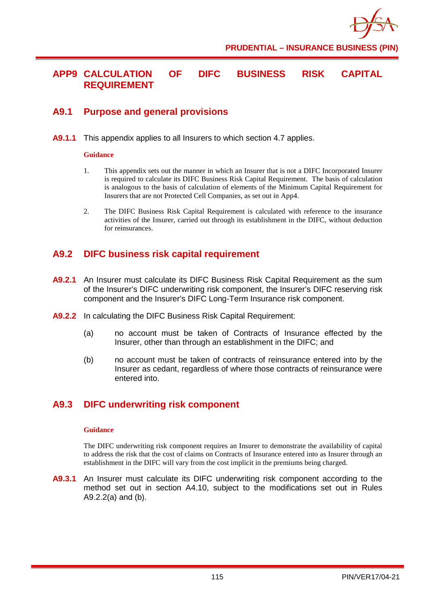

**PRUDENTIAL – INSURANCE BUSINESS (PIN)**

## **APP9 CALCULATION OF DIFC BUSINESS RISK CAPITAL REQUIREMENT**

## **A9.1 Purpose and general provisions**

**A9.1.1** This appendix applies to all Insurers to which section 4.7 applies.

#### **Guidance**

- 1. This appendix sets out the manner in which an Insurer that is not a DIFC Incorporated Insurer is required to calculate its DIFC Business Risk Capital Requirement. The basis of calculation is analogous to the basis of calculation of elements of the Minimum Capital Requirement for Insurers that are not Protected Cell Companies, as set out in App4.
- 2. The DIFC Business Risk Capital Requirement is calculated with reference to the insurance activities of the Insurer, carried out through its establishment in the DIFC, without deduction for reinsurances.

## **A9.2 DIFC business risk capital requirement**

- **A9.2.1** An Insurer must calculate its DIFC Business Risk Capital Requirement as the sum of the Insurer's DIFC underwriting risk component, the Insurer's DIFC reserving risk component and the Insurer's DIFC Long-Term Insurance risk component.
- **A9.2.2** In calculating the DIFC Business Risk Capital Requirement:
	- (a) no account must be taken of Contracts of Insurance effected by the Insurer, other than through an establishment in the DIFC; and
	- (b) no account must be taken of contracts of reinsurance entered into by the Insurer as cedant, regardless of where those contracts of reinsurance were entered into.

# **A9.3 DIFC underwriting risk component**

### **Guidance**

The DIFC underwriting risk component requires an Insurer to demonstrate the availability of capital to address the risk that the cost of claims on Contracts of Insurance entered into as Insurer through an establishment in the DIFC will vary from the cost implicit in the premiums being charged.

**A9.3.1** An Insurer must calculate its DIFC underwriting risk component according to the method set out in section A4.10, subject to the modifications set out in Rules A9.2.2(a) and (b).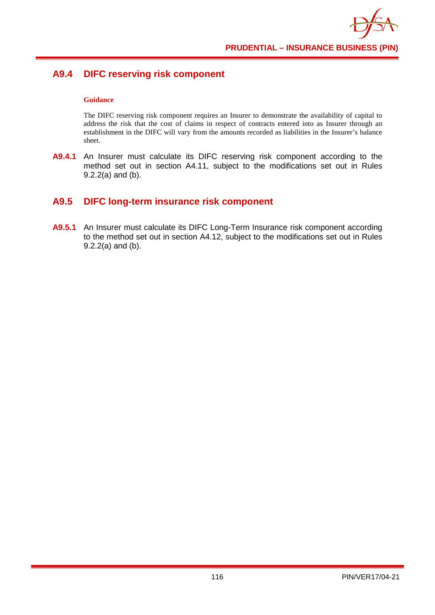# **A9.4 DIFC reserving risk component**

### **Guidance**

The DIFC reserving risk component requires an Insurer to demonstrate the availability of capital to address the risk that the cost of claims in respect of contracts entered into as Insurer through an establishment in the DIFC will vary from the amounts recorded as liabilities in the Insurer's balance sheet.

**A9.4.1** An Insurer must calculate its DIFC reserving risk component according to the method set out in section A4.11, subject to the modifications set out in Rules 9.2.2(a) and (b).

# **A9.5 DIFC long-term insurance risk component**

**A9.5.1** An Insurer must calculate its DIFC Long-Term Insurance risk component according to the method set out in section A4.12, subject to the modifications set out in Rules 9.2.2(a) and (b).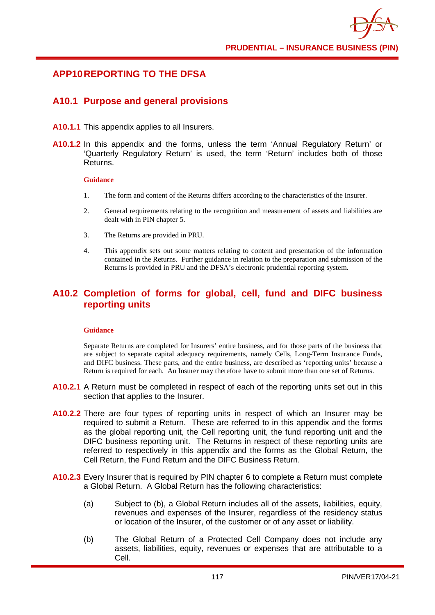

### **APP10REPORTING TO THE DFSA**

### **A10.1 Purpose and general provisions**

- **A10.1.1** This appendix applies to all Insurers.
- **A10.1.2** In this appendix and the forms, unless the term 'Annual Regulatory Return' or 'Quarterly Regulatory Return' is used, the term 'Return' includes both of those Returns.

#### **Guidance**

- 1. The form and content of the Returns differs according to the characteristics of the Insurer.
- 2. General requirements relating to the recognition and measurement of assets and liabilities are dealt with in PIN chapter 5.
- 3. The Returns are provided in PRU.
- 4. This appendix sets out some matters relating to content and presentation of the information contained in the Returns. Further guidance in relation to the preparation and submission of the Returns is provided in PRU and the DFSA's electronic prudential reporting system.

## **A10.2 Completion of forms for global, cell, fund and DIFC business reporting units**

#### **Guidance**

Separate Returns are completed for Insurers' entire business, and for those parts of the business that are subject to separate capital adequacy requirements, namely Cells, Long-Term Insurance Funds, and DIFC business. These parts, and the entire business, are described as 'reporting units' because a Return is required for each. An Insurer may therefore have to submit more than one set of Returns.

- **A10.2.1** A Return must be completed in respect of each of the reporting units set out in this section that applies to the Insurer.
- **A10.2.2** There are four types of reporting units in respect of which an Insurer may be required to submit a Return. These are referred to in this appendix and the forms as the global reporting unit, the Cell reporting unit, the fund reporting unit and the DIFC business reporting unit. The Returns in respect of these reporting units are referred to respectively in this appendix and the forms as the Global Return, the Cell Return, the Fund Return and the DIFC Business Return.
- **A10.2.3** Every Insurer that is required by PIN chapter 6 to complete a Return must complete a Global Return. A Global Return has the following characteristics:
	- (a) Subject to (b), a Global Return includes all of the assets, liabilities, equity, revenues and expenses of the Insurer, regardless of the residency status or location of the Insurer, of the customer or of any asset or liability.
	- (b) The Global Return of a Protected Cell Company does not include any assets, liabilities, equity, revenues or expenses that are attributable to a Cell.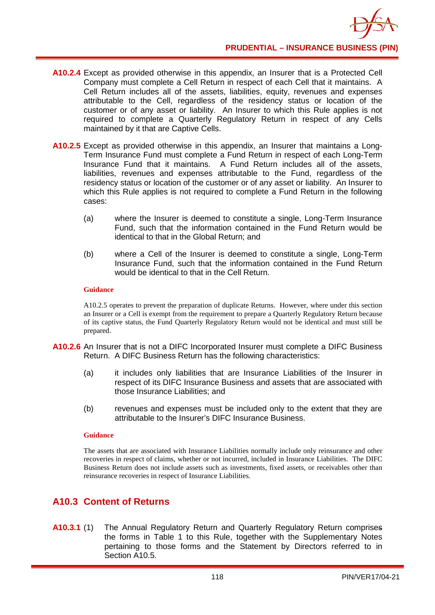- **A10.2.4** Except as provided otherwise in this appendix, an Insurer that is a Protected Cell Company must complete a Cell Return in respect of each Cell that it maintains. A Cell Return includes all of the assets, liabilities, equity, revenues and expenses attributable to the Cell, regardless of the residency status or location of the customer or of any asset or liability. An Insurer to which this Rule applies is not required to complete a Quarterly Regulatory Return in respect of any Cells maintained by it that are Captive Cells.
- **A10.2.5** Except as provided otherwise in this appendix, an Insurer that maintains a Long-Term Insurance Fund must complete a Fund Return in respect of each Long-Term Insurance Fund that it maintains. A Fund Return includes all of the assets, liabilities, revenues and expenses attributable to the Fund, regardless of the residency status or location of the customer or of any asset or liability. An Insurer to which this Rule applies is not required to complete a Fund Return in the following cases:
	- (a) where the Insurer is deemed to constitute a single, Long-Term Insurance Fund, such that the information contained in the Fund Return would be identical to that in the Global Return; and
	- (b) where a Cell of the Insurer is deemed to constitute a single, Long-Term Insurance Fund, such that the information contained in the Fund Return would be identical to that in the Cell Return.

### **Guidance**

A10.2.5 operates to prevent the preparation of duplicate Returns. However, where under this section an Insurer or a Cell is exempt from the requirement to prepare a Quarterly Regulatory Return because of its captive status, the Fund Quarterly Regulatory Return would not be identical and must still be prepared.

- **A10.2.6** An Insurer that is not a DIFC Incorporated Insurer must complete a DIFC Business Return. A DIFC Business Return has the following characteristics:
	- (a) it includes only liabilities that are Insurance Liabilities of the Insurer in respect of its DIFC Insurance Business and assets that are associated with those Insurance Liabilities; and
	- (b) revenues and expenses must be included only to the extent that they are attributable to the Insurer's DIFC Insurance Business.

### **Guidance**

The assets that are associated with Insurance Liabilities normally include only reinsurance and other recoveries in respect of claims, whether or not incurred, included in Insurance Liabilities. The DIFC Business Return does not include assets such as investments, fixed assets, or receivables other than reinsurance recoveries in respect of Insurance Liabilities.

# **A10.3 Content of Returns**

**A10.3.1** (1) The Annual Regulatory Return and Quarterly Regulatory Return comprises the forms in Table 1 to this Rule, together with the Supplementary Notes pertaining to those forms and the Statement by Directors referred to in Section A<sub>10.5</sub>.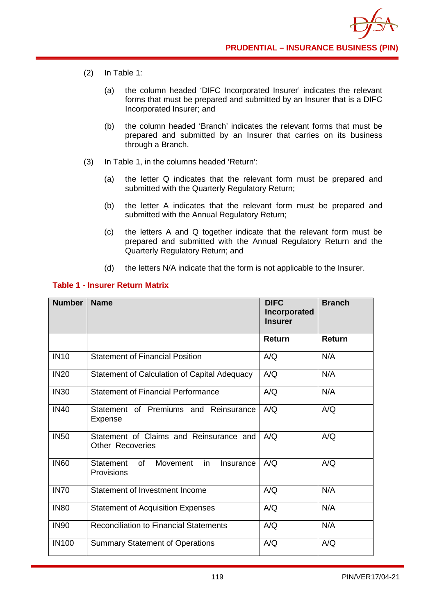- (2) In Table 1:
	- (a) the column headed 'DIFC Incorporated Insurer' indicates the relevant forms that must be prepared and submitted by an Insurer that is a DIFC Incorporated Insurer; and
	- (b) the column headed 'Branch' indicates the relevant forms that must be prepared and submitted by an Insurer that carries on its business through a Branch.
- (3) In Table 1, in the columns headed 'Return':
	- (a) the letter Q indicates that the relevant form must be prepared and submitted with the Quarterly Regulatory Return;
	- (b) the letter A indicates that the relevant form must be prepared and submitted with the Annual Regulatory Return;
	- (c) the letters A and Q together indicate that the relevant form must be prepared and submitted with the Annual Regulatory Return and the Quarterly Regulatory Return; and
	- (d) the letters N/A indicate that the form is not applicable to the Insurer.

### **Table 1 - Insurer Return Matrix**

| <b>Number</b> | <b>Name</b>                                                                | <b>DIFC</b><br>Incorporated<br><b>Insurer</b> | <b>Branch</b> |
|---------------|----------------------------------------------------------------------------|-----------------------------------------------|---------------|
|               |                                                                            | Return                                        | <b>Return</b> |
| <b>IN10</b>   | <b>Statement of Financial Position</b>                                     | A/Q                                           | N/A           |
| <b>IN20</b>   | Statement of Calculation of Capital Adequacy                               | A/Q                                           | N/A           |
| <b>IN30</b>   | <b>Statement of Financial Performance</b>                                  | A/Q                                           | N/A           |
| <b>IN40</b>   | Statement of Premiums and Reinsurance<br>Expense                           | A/Q                                           | A/Q           |
| <b>IN50</b>   | Statement of Claims and Reinsurance and<br><b>Other Recoveries</b>         | A/Q                                           | A/Q           |
| <b>IN60</b>   | Movement<br>in<br><b>Statement</b><br>of<br>Insurance<br><b>Provisions</b> | A/Q                                           | A/Q           |
| <b>IN70</b>   | Statement of Investment Income                                             | A/Q                                           | N/A           |
| <b>IN80</b>   | <b>Statement of Acquisition Expenses</b>                                   | A/Q                                           | N/A           |
| <b>IN90</b>   | <b>Reconciliation to Financial Statements</b>                              | A/Q                                           | N/A           |
| <b>IN100</b>  | <b>Summary Statement of Operations</b>                                     | A/Q                                           | A/Q           |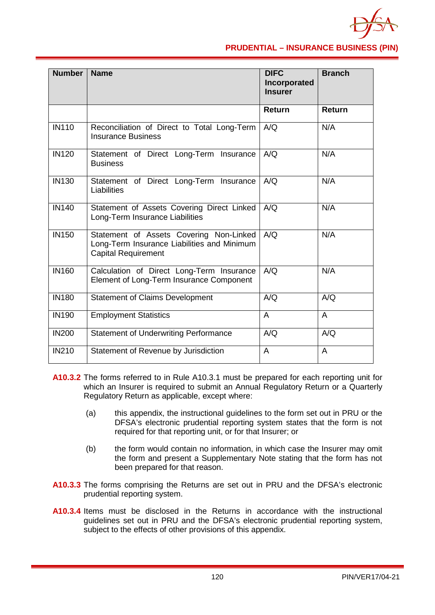

### **PRUDENTIAL – INSURANCE BUSINESS (PIN)**

| <b>Number</b> | <b>Name</b>                                                                                                          | <b>DIFC</b><br>Incorporated<br><b>Insurer</b> | <b>Branch</b> |
|---------------|----------------------------------------------------------------------------------------------------------------------|-----------------------------------------------|---------------|
|               |                                                                                                                      | <b>Return</b>                                 | Return        |
| <b>IN110</b>  | Reconciliation of Direct to Total Long-Term<br><b>Insurance Business</b>                                             | A/Q                                           | N/A           |
| <b>IN120</b>  | Statement of Direct Long-Term Insurance<br><b>Business</b>                                                           | A/Q                                           | N/A           |
| IN130         | Statement of Direct Long-Term Insurance<br>Liabilities                                                               | A/Q                                           | N/A           |
| <b>IN140</b>  | Statement of Assets Covering Direct Linked<br>Long-Term Insurance Liabilities                                        | A/Q                                           | N/A           |
| <b>IN150</b>  | Statement of Assets Covering Non-Linked<br>Long-Term Insurance Liabilities and Minimum<br><b>Capital Requirement</b> | A/Q                                           | N/A           |
| <b>IN160</b>  | Calculation of Direct Long-Term Insurance<br>Element of Long-Term Insurance Component                                | A/Q                                           | N/A           |
| <b>IN180</b>  | <b>Statement of Claims Development</b>                                                                               | A/Q                                           | A/Q           |
| <b>IN190</b>  | <b>Employment Statistics</b>                                                                                         | A                                             | A             |
| <b>IN200</b>  | <b>Statement of Underwriting Performance</b>                                                                         | A/Q                                           | A/Q           |
| <b>IN210</b>  | Statement of Revenue by Jurisdiction                                                                                 | A                                             | A             |

- **A10.3.2** The forms referred to in Rule A10.3.1 must be prepared for each reporting unit for which an Insurer is required to submit an Annual Regulatory Return or a Quarterly Regulatory Return as applicable, except where:
	- (a) this appendix, the instructional guidelines to the form set out in PRU or the DFSA's electronic prudential reporting system states that the form is not required for that reporting unit, or for that Insurer; or
	- (b) the form would contain no information, in which case the Insurer may omit the form and present a Supplementary Note stating that the form has not been prepared for that reason.
- **A10.3.3** The forms comprising the Returns are set out in PRU and the DFSA's electronic prudential reporting system.
- **A10.3.4** Items must be disclosed in the Returns in accordance with the instructional guidelines set out in PRU and the DFSA's electronic prudential reporting system, subject to the effects of other provisions of this appendix.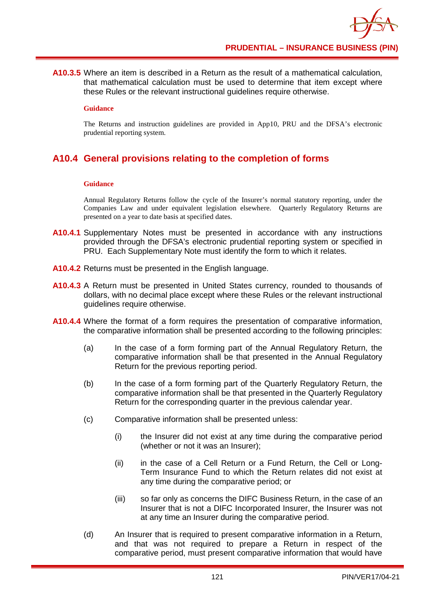**A10.3.5** Where an item is described in a Return as the result of a mathematical calculation, that mathematical calculation must be used to determine that item except where these Rules or the relevant instructional guidelines require otherwise.

#### **Guidance**

The Returns and instruction guidelines are provided in App10, PRU and the DFSA's electronic prudential reporting system.

# **A10.4 General provisions relating to the completion of forms**

### **Guidance**

Annual Regulatory Returns follow the cycle of the Insurer's normal statutory reporting, under the Companies Law and under equivalent legislation elsewhere. Quarterly Regulatory Returns are presented on a year to date basis at specified dates.

- **A10.4.1** Supplementary Notes must be presented in accordance with any instructions provided through the DFSA's electronic prudential reporting system or specified in PRU. Each Supplementary Note must identify the form to which it relates.
- **A10.4.2** Returns must be presented in the English language.
- **A10.4.3** A Return must be presented in United States currency, rounded to thousands of dollars, with no decimal place except where these Rules or the relevant instructional guidelines require otherwise.
- **A10.4.4** Where the format of a form requires the presentation of comparative information, the comparative information shall be presented according to the following principles:
	- (a) In the case of a form forming part of the Annual Regulatory Return, the comparative information shall be that presented in the Annual Regulatory Return for the previous reporting period.
	- (b) In the case of a form forming part of the Quarterly Regulatory Return, the comparative information shall be that presented in the Quarterly Regulatory Return for the corresponding quarter in the previous calendar year.
	- (c) Comparative information shall be presented unless:
		- (i) the Insurer did not exist at any time during the comparative period (whether or not it was an Insurer);
		- (ii) in the case of a Cell Return or a Fund Return, the Cell or Long-Term Insurance Fund to which the Return relates did not exist at any time during the comparative period; or
		- (iii) so far only as concerns the DIFC Business Return, in the case of an Insurer that is not a DIFC Incorporated Insurer, the Insurer was not at any time an Insurer during the comparative period.
	- (d) An Insurer that is required to present comparative information in a Return, and that was not required to prepare a Return in respect of the comparative period, must present comparative information that would have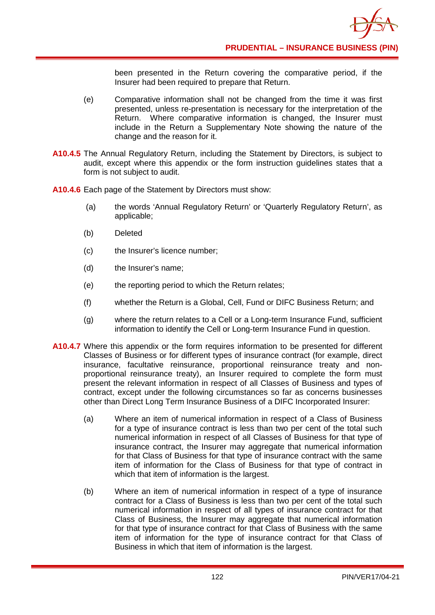been presented in the Return covering the comparative period, if the Insurer had been required to prepare that Return.

- (e) Comparative information shall not be changed from the time it was first presented, unless re-presentation is necessary for the interpretation of the Return. Where comparative information is changed, the Insurer must include in the Return a Supplementary Note showing the nature of the change and the reason for it.
- **A10.4.5** The Annual Regulatory Return, including the Statement by Directors, is subject to audit, except where this appendix or the form instruction guidelines states that a form is not subject to audit.
- **A10.4.6** Each page of the Statement by Directors must show:
	- (a) the words 'Annual Regulatory Return' or 'Quarterly Regulatory Return', as applicable;
	- (b) Deleted
	- (c) the Insurer's licence number;
	- (d) the Insurer's name;
	- (e) the reporting period to which the Return relates;
	- (f) whether the Return is a Global, Cell, Fund or DIFC Business Return; and
	- (g) where the return relates to a Cell or a Long-term Insurance Fund, sufficient information to identify the Cell or Long-term Insurance Fund in question.
- **A10.4.7** Where this appendix or the form requires information to be presented for different Classes of Business or for different types of insurance contract (for example, direct insurance, facultative reinsurance, proportional reinsurance treaty and nonproportional reinsurance treaty), an Insurer required to complete the form must present the relevant information in respect of all Classes of Business and types of contract, except under the following circumstances so far as concerns businesses other than Direct Long Term Insurance Business of a DIFC Incorporated Insurer:
	- (a) Where an item of numerical information in respect of a Class of Business for a type of insurance contract is less than two per cent of the total such numerical information in respect of all Classes of Business for that type of insurance contract, the Insurer may aggregate that numerical information for that Class of Business for that type of insurance contract with the same item of information for the Class of Business for that type of contract in which that item of information is the largest.
	- (b) Where an item of numerical information in respect of a type of insurance contract for a Class of Business is less than two per cent of the total such numerical information in respect of all types of insurance contract for that Class of Business, the Insurer may aggregate that numerical information for that type of insurance contract for that Class of Business with the same item of information for the type of insurance contract for that Class of Business in which that item of information is the largest.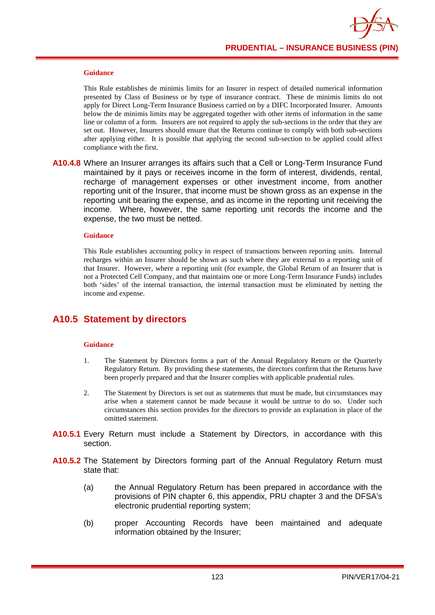

#### **Guidance**

This Rule establishes de minimis limits for an Insurer in respect of detailed numerical information presented by Class of Business or by type of insurance contract. These de minimis limits do not apply for Direct Long-Term Insurance Business carried on by a DIFC Incorporated Insurer. Amounts below the de minimis limits may be aggregated together with other items of information in the same line or column of a form. Insurers are not required to apply the sub-sections in the order that they are set out. However, Insurers should ensure that the Returns continue to comply with both sub-sections after applying either. It is possible that applying the second sub-section to be applied could affect compliance with the first.

**A10.4.8** Where an Insurer arranges its affairs such that a Cell or Long-Term Insurance Fund maintained by it pays or receives income in the form of interest, dividends, rental, recharge of management expenses or other investment income, from another reporting unit of the Insurer, that income must be shown gross as an expense in the reporting unit bearing the expense, and as income in the reporting unit receiving the income. Where, however, the same reporting unit records the income and the expense, the two must be netted.

#### **Guidance**

This Rule establishes accounting policy in respect of transactions between reporting units. Internal recharges within an Insurer should be shown as such where they are external to a reporting unit of that Insurer. However, where a reporting unit (for example, the Global Return of an Insurer that is not a Protected Cell Company, and that maintains one or more Long-Term Insurance Funds) includes both 'sides' of the internal transaction, the internal transaction must be eliminated by netting the income and expense.

## **A10.5 Statement by directors**

#### **Guidance**

- 1. The Statement by Directors forms a part of the Annual Regulatory Return or the Quarterly Regulatory Return. By providing these statements, the directors confirm that the Returns have been properly prepared and that the Insurer complies with applicable prudential rules.
- 2. The Statement by Directors is set out as statements that must be made, but circumstances may arise when a statement cannot be made because it would be untrue to do so. Under such circumstances this section provides for the directors to provide an explanation in place of the omitted statement.
- **A10.5.1** Every Return must include a Statement by Directors, in accordance with this section.
- **A10.5.2** The Statement by Directors forming part of the Annual Regulatory Return must state that:
	- (a) the Annual Regulatory Return has been prepared in accordance with the provisions of PIN chapter 6, this appendix, PRU chapter 3 and the DFSA's electronic prudential reporting system;
	- (b) proper Accounting Records have been maintained and adequate information obtained by the Insurer;